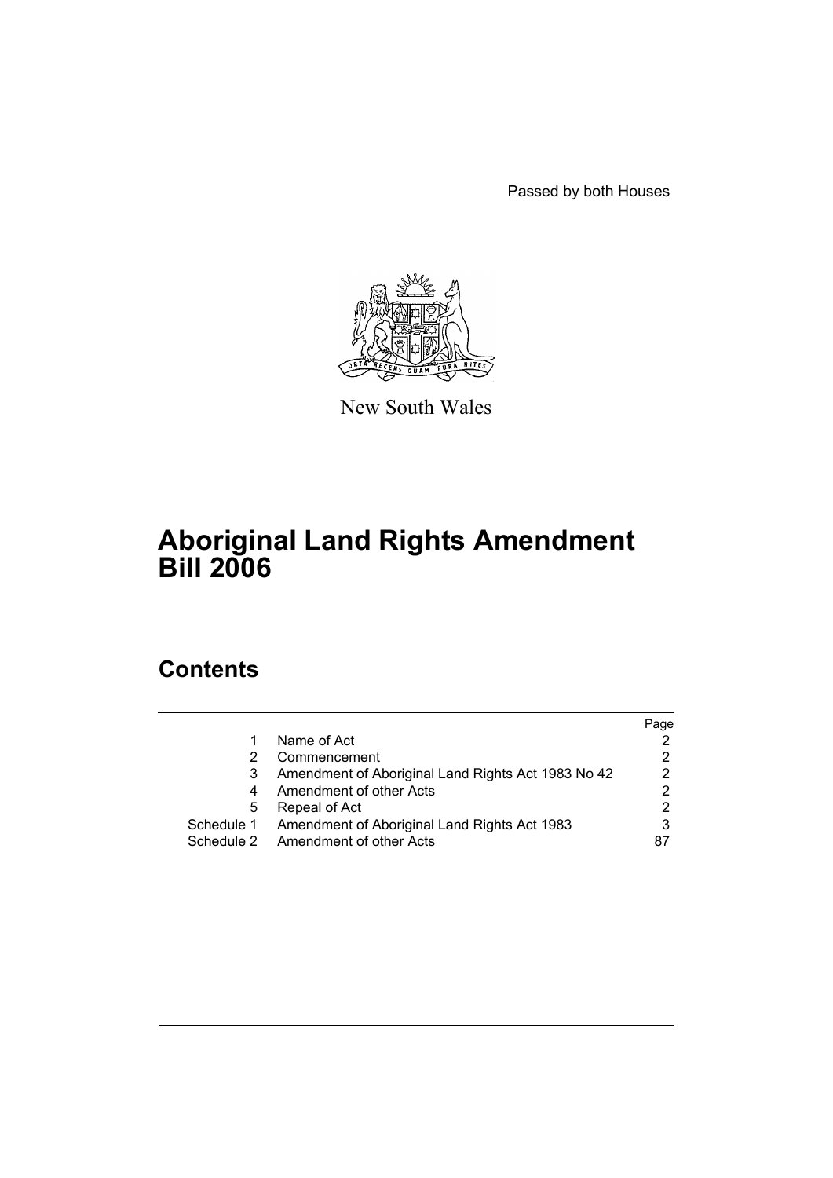Passed by both Houses



New South Wales

# **Aboriginal Land Rights Amendment Bill 2006**

# **Contents**

|   |                                                         | Page |
|---|---------------------------------------------------------|------|
|   | Name of Act                                             |      |
| 2 | Commencement                                            |      |
| 3 | Amendment of Aboriginal Land Rights Act 1983 No 42      | 2    |
| 4 | Amendment of other Acts                                 |      |
| 5 | Repeal of Act                                           | 2    |
|   | Schedule 1 Amendment of Aboriginal Land Rights Act 1983 |      |
|   | Schedule 2 Amendment of other Acts                      | 87   |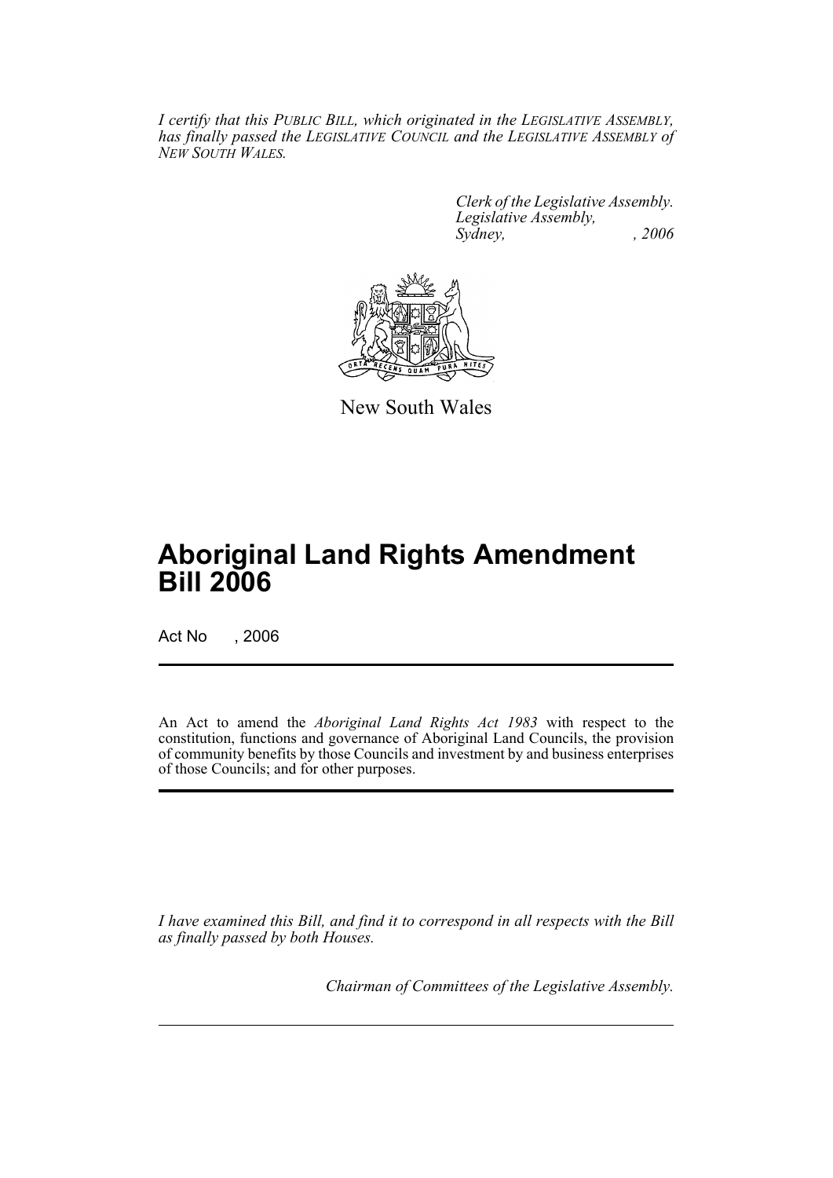*I certify that this PUBLIC BILL, which originated in the LEGISLATIVE ASSEMBLY, has finally passed the LEGISLATIVE COUNCIL and the LEGISLATIVE ASSEMBLY of NEW SOUTH WALES.*

> *Clerk of the Legislative Assembly. Legislative Assembly, Sydney, , 2006*



New South Wales

# **Aboriginal Land Rights Amendment Bill 2006**

Act No , 2006

An Act to amend the *Aboriginal Land Rights Act 1983* with respect to the constitution, functions and governance of Aboriginal Land Councils, the provision of community benefits by those Councils and investment by and business enterprises of those Councils; and for other purposes.

*I have examined this Bill, and find it to correspond in all respects with the Bill as finally passed by both Houses.*

*Chairman of Committees of the Legislative Assembly.*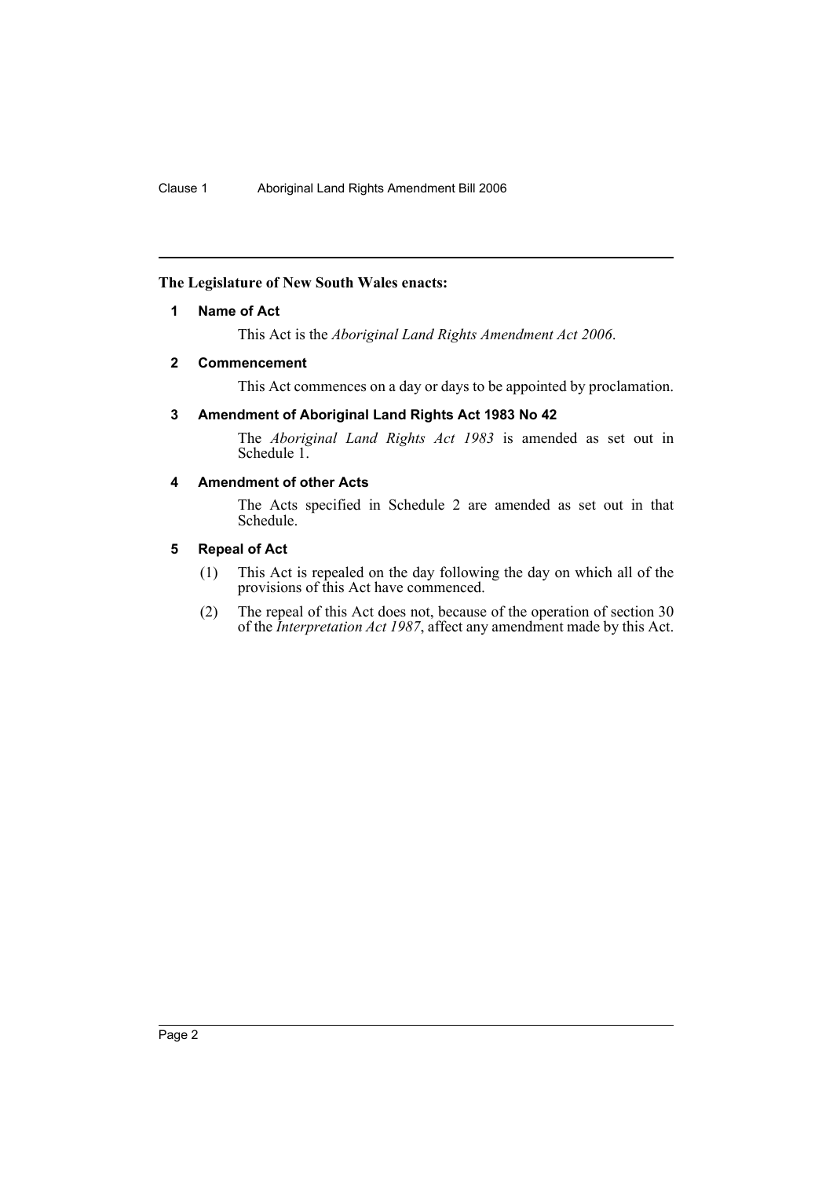# <span id="page-2-0"></span>**The Legislature of New South Wales enacts:**

# **1 Name of Act**

This Act is the *Aboriginal Land Rights Amendment Act 2006*.

### <span id="page-2-1"></span>**2 Commencement**

This Act commences on a day or days to be appointed by proclamation.

# <span id="page-2-2"></span>**3 Amendment of Aboriginal Land Rights Act 1983 No 42**

The *Aboriginal Land Rights Act 1983* is amended as set out in Schedule 1.

# <span id="page-2-3"></span>**4 Amendment of other Acts**

The Acts specified in Schedule 2 are amended as set out in that Schedule.

## <span id="page-2-4"></span>**5 Repeal of Act**

- (1) This Act is repealed on the day following the day on which all of the provisions of this Act have commenced.
- (2) The repeal of this Act does not, because of the operation of section 30 of the *Interpretation Act 1987*, affect any amendment made by this Act.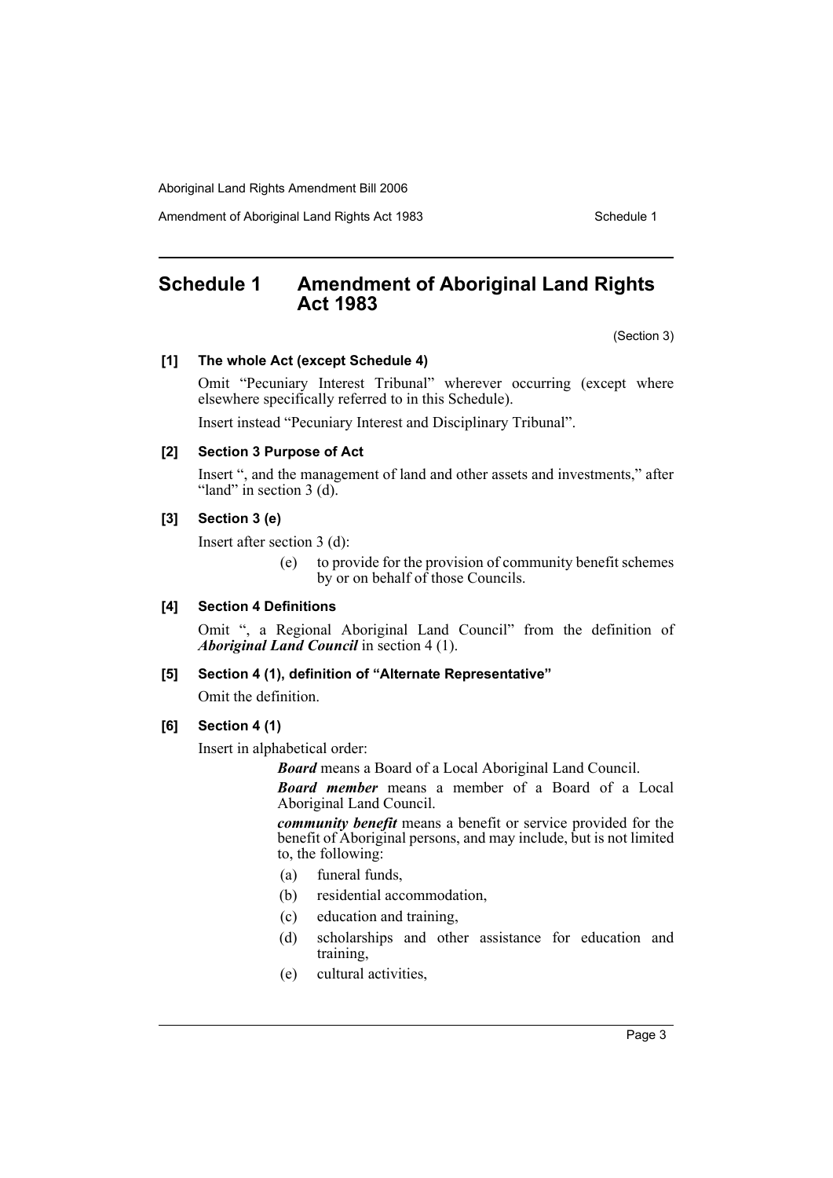Amendment of Aboriginal Land Rights Act 1983 Schedule 1

# <span id="page-3-0"></span>**Schedule 1 Amendment of Aboriginal Land Rights Act 1983**

(Section 3)

### **[1] The whole Act (except Schedule 4)**

Omit "Pecuniary Interest Tribunal" wherever occurring (except where elsewhere specifically referred to in this Schedule).

Insert instead "Pecuniary Interest and Disciplinary Tribunal".

# **[2] Section 3 Purpose of Act**

Insert ", and the management of land and other assets and investments," after "land" in section  $3$  (d).

# **[3] Section 3 (e)**

Insert after section 3 (d):

(e) to provide for the provision of community benefit schemes by or on behalf of those Councils.

# **[4] Section 4 Definitions**

Omit ", a Regional Aboriginal Land Council" from the definition of *Aboriginal Land Council* in section 4 (1).

# **[5] Section 4 (1), definition of "Alternate Representative"**

Omit the definition.

**[6] Section 4 (1)**

Insert in alphabetical order:

*Board* means a Board of a Local Aboriginal Land Council.

*Board member* means a member of a Board of a Local Aboriginal Land Council.

*community benefit* means a benefit or service provided for the benefit of Aboriginal persons, and may include, but is not limited to, the following:

- (a) funeral funds,
- (b) residential accommodation,
- (c) education and training,
- (d) scholarships and other assistance for education and training,
- (e) cultural activities,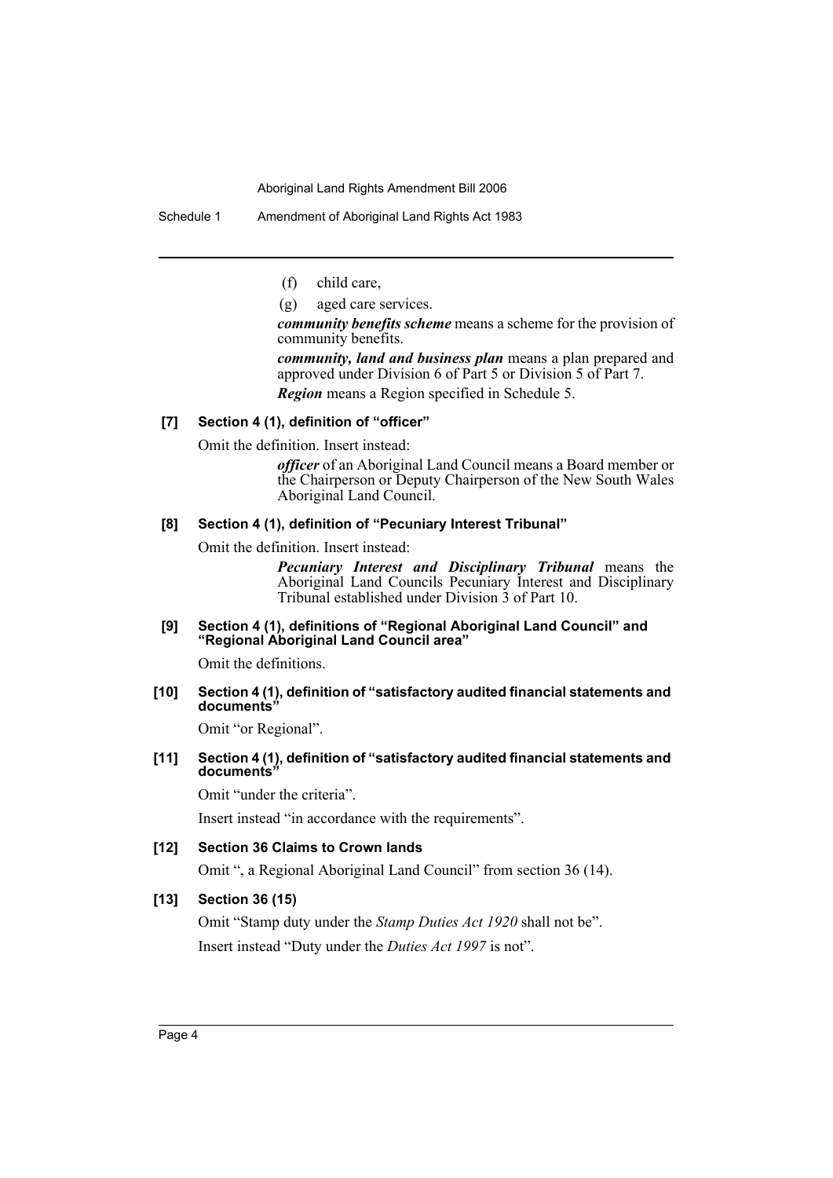Schedule 1 Amendment of Aboriginal Land Rights Act 1983

(f) child care,

(g) aged care services.

*community benefits scheme* means a scheme for the provision of community benefits.

*community, land and business plan* means a plan prepared and approved under Division 6 of Part 5 or Division 5 of Part 7. *Region* means a Region specified in Schedule 5.

# **[7] Section 4 (1), definition of "officer"**

Omit the definition. Insert instead:

*officer* of an Aboriginal Land Council means a Board member or the Chairperson or Deputy Chairperson of the New South Wales Aboriginal Land Council.

### **[8] Section 4 (1), definition of "Pecuniary Interest Tribunal"**

Omit the definition. Insert instead:

*Pecuniary Interest and Disciplinary Tribunal* means the Aboriginal Land Councils Pecuniary Interest and Disciplinary Tribunal established under Division 3 of Part 10.

### **[9] Section 4 (1), definitions of "Regional Aboriginal Land Council" and "Regional Aboriginal Land Council area"**

Omit the definitions.

### **[10] Section 4 (1), definition of "satisfactory audited financial statements and documents"**

Omit "or Regional".

# **[11] Section 4 (1), definition of "satisfactory audited financial statements and documents"**

Omit "under the criteria".

Insert instead "in accordance with the requirements".

# **[12] Section 36 Claims to Crown lands**

Omit ", a Regional Aboriginal Land Council" from section 36 (14).

# **[13] Section 36 (15)**

Omit "Stamp duty under the *Stamp Duties Act 1920* shall not be". Insert instead "Duty under the *Duties Act 1997* is not".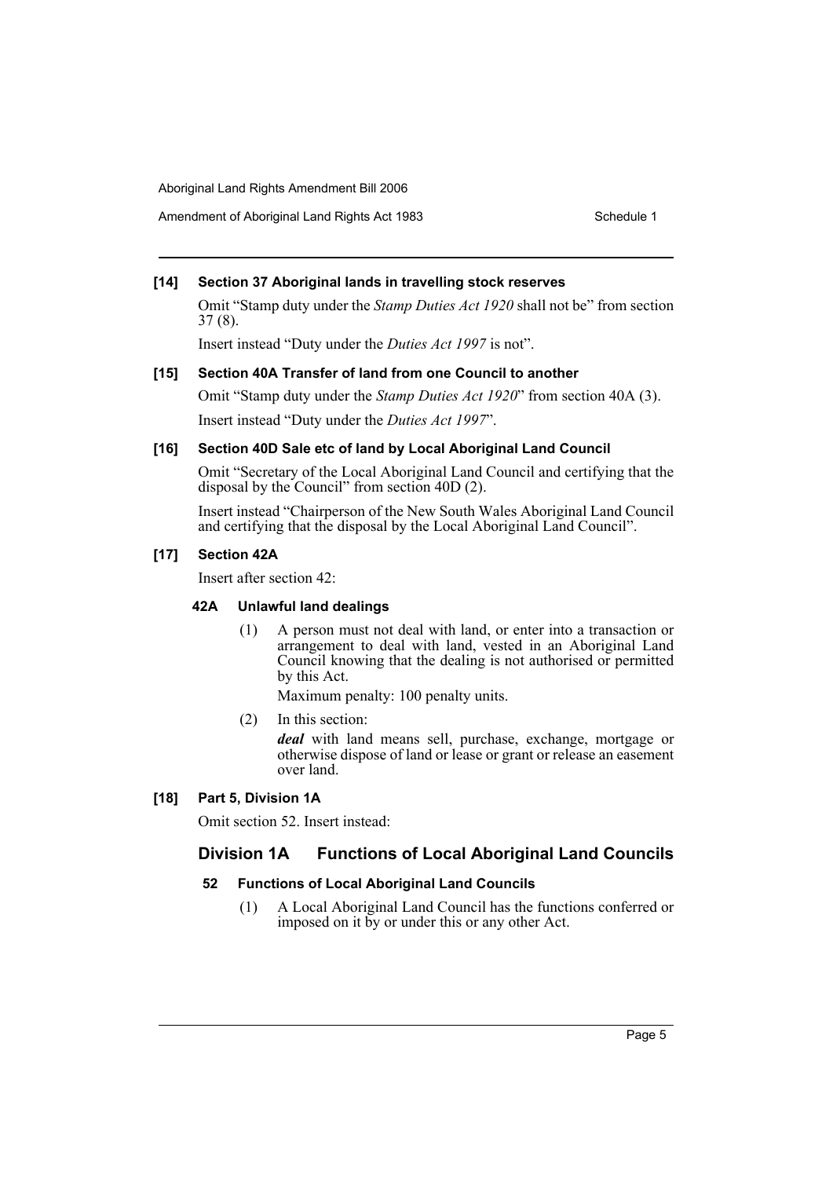Amendment of Aboriginal Land Rights Act 1983 Schedule 1

# **[14] Section 37 Aboriginal lands in travelling stock reserves**

Omit "Stamp duty under the *Stamp Duties Act 1920* shall not be" from section 37 (8).

Insert instead "Duty under the *Duties Act 1997* is not".

# **[15] Section 40A Transfer of land from one Council to another**

Omit "Stamp duty under the *Stamp Duties Act 1920*" from section 40A (3). Insert instead "Duty under the *Duties Act 1997*".

# **[16] Section 40D Sale etc of land by Local Aboriginal Land Council**

Omit "Secretary of the Local Aboriginal Land Council and certifying that the disposal by the Council" from section 40D (2).

Insert instead "Chairperson of the New South Wales Aboriginal Land Council and certifying that the disposal by the Local Aboriginal Land Council".

# **[17] Section 42A**

Insert after section 42:

# **42A Unlawful land dealings**

(1) A person must not deal with land, or enter into a transaction or arrangement to deal with land, vested in an Aboriginal Land Council knowing that the dealing is not authorised or permitted by this Act.

Maximum penalty: 100 penalty units.

(2) In this section:

*deal* with land means sell, purchase, exchange, mortgage or otherwise dispose of land or lease or grant or release an easement over land.

# **[18] Part 5, Division 1A**

Omit section 52. Insert instead:

# **Division 1A Functions of Local Aboriginal Land Councils**

# **52 Functions of Local Aboriginal Land Councils**

(1) A Local Aboriginal Land Council has the functions conferred or imposed on it by or under this or any other Act.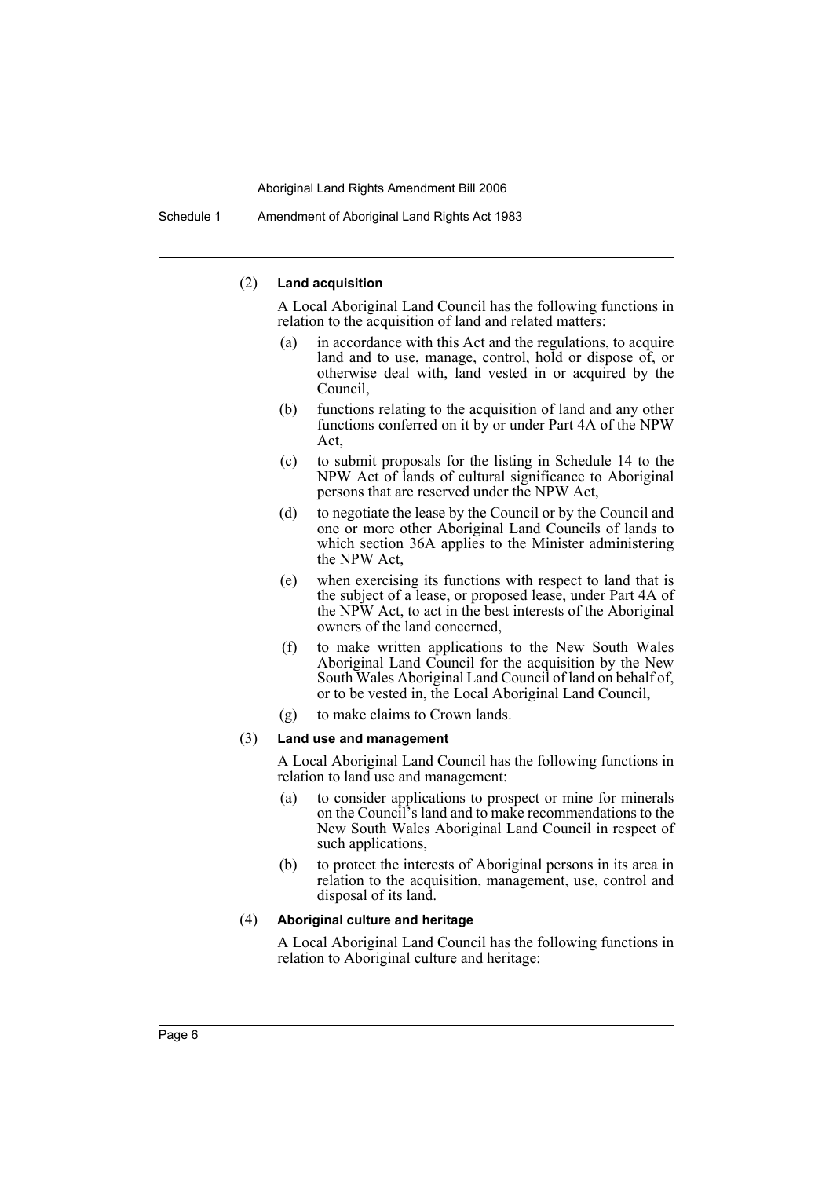Schedule 1 Amendment of Aboriginal Land Rights Act 1983

### (2) **Land acquisition**

A Local Aboriginal Land Council has the following functions in relation to the acquisition of land and related matters:

- (a) in accordance with this Act and the regulations, to acquire land and to use, manage, control, hold or dispose of, or otherwise deal with, land vested in or acquired by the Council,
- (b) functions relating to the acquisition of land and any other functions conferred on it by or under Part 4A of the NPW Act,
- (c) to submit proposals for the listing in Schedule 14 to the NPW Act of lands of cultural significance to Aboriginal persons that are reserved under the NPW Act,
- (d) to negotiate the lease by the Council or by the Council and one or more other Aboriginal Land Councils of lands to which section 36A applies to the Minister administering the NPW Act,
- (e) when exercising its functions with respect to land that is the subject of a lease, or proposed lease, under Part 4A of the NPW Act, to act in the best interests of the Aboriginal owners of the land concerned,
- (f) to make written applications to the New South Wales Aboriginal Land Council for the acquisition by the New South Wales Aboriginal Land Council of land on behalf of, or to be vested in, the Local Aboriginal Land Council,
- (g) to make claims to Crown lands.

### (3) **Land use and management**

A Local Aboriginal Land Council has the following functions in relation to land use and management:

- (a) to consider applications to prospect or mine for minerals on the Council's land and to make recommendations to the New South Wales Aboriginal Land Council in respect of such applications,
- (b) to protect the interests of Aboriginal persons in its area in relation to the acquisition, management, use, control and disposal of its land.

### (4) **Aboriginal culture and heritage**

A Local Aboriginal Land Council has the following functions in relation to Aboriginal culture and heritage: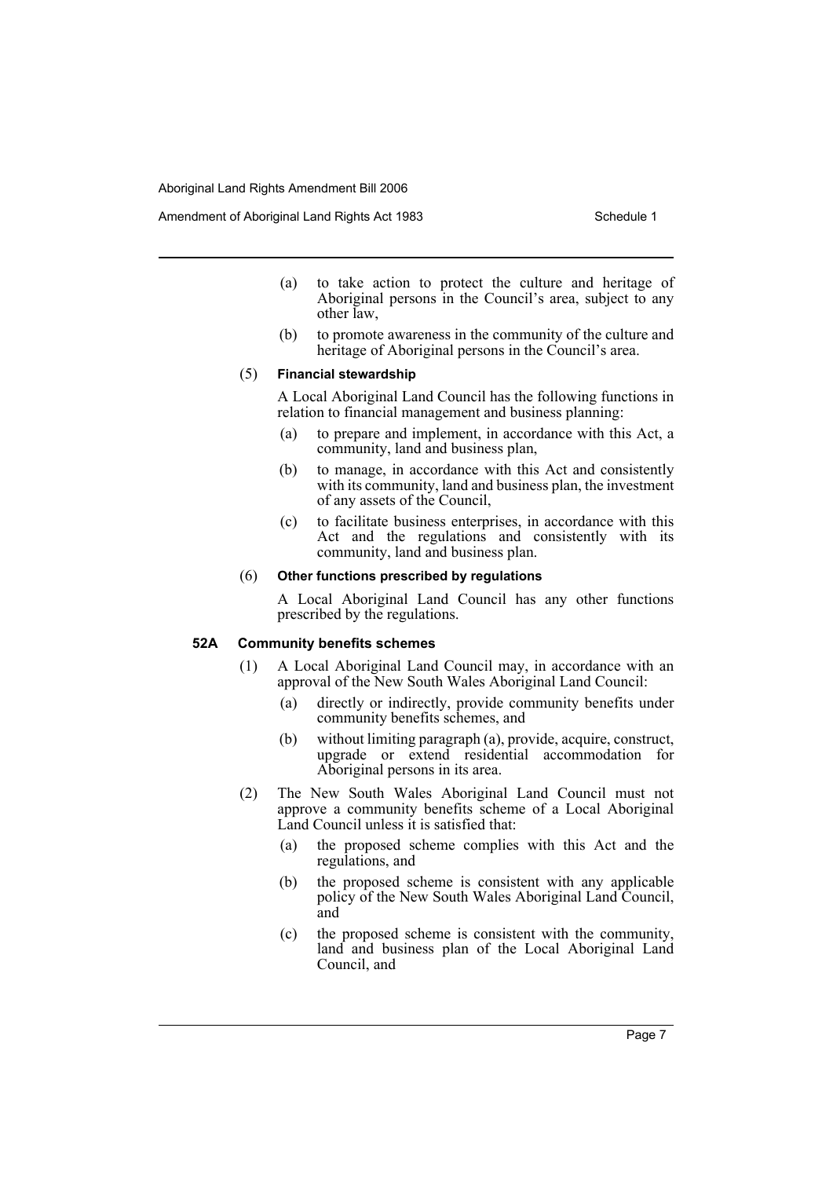Amendment of Aboriginal Land Rights Act 1983 Schedule 1

- (a) to take action to protect the culture and heritage of Aboriginal persons in the Council's area, subject to any other law,
- (b) to promote awareness in the community of the culture and heritage of Aboriginal persons in the Council's area.

### (5) **Financial stewardship**

A Local Aboriginal Land Council has the following functions in relation to financial management and business planning:

- (a) to prepare and implement, in accordance with this Act, a community, land and business plan,
- (b) to manage, in accordance with this Act and consistently with its community, land and business plan, the investment of any assets of the Council,
- (c) to facilitate business enterprises, in accordance with this Act and the regulations and consistently with its community, land and business plan.

### (6) **Other functions prescribed by regulations**

A Local Aboriginal Land Council has any other functions prescribed by the regulations.

### **52A Community benefits schemes**

- (1) A Local Aboriginal Land Council may, in accordance with an approval of the New South Wales Aboriginal Land Council:
	- (a) directly or indirectly, provide community benefits under community benefits schemes, and
	- (b) without limiting paragraph (a), provide, acquire, construct, upgrade or extend residential accommodation for Aboriginal persons in its area.
- (2) The New South Wales Aboriginal Land Council must not approve a community benefits scheme of a Local Aboriginal Land Council unless it is satisfied that:
	- (a) the proposed scheme complies with this Act and the regulations, and
	- (b) the proposed scheme is consistent with any applicable policy of the New South Wales Aboriginal Land Council, and
	- (c) the proposed scheme is consistent with the community, land and business plan of the Local Aboriginal Land Council, and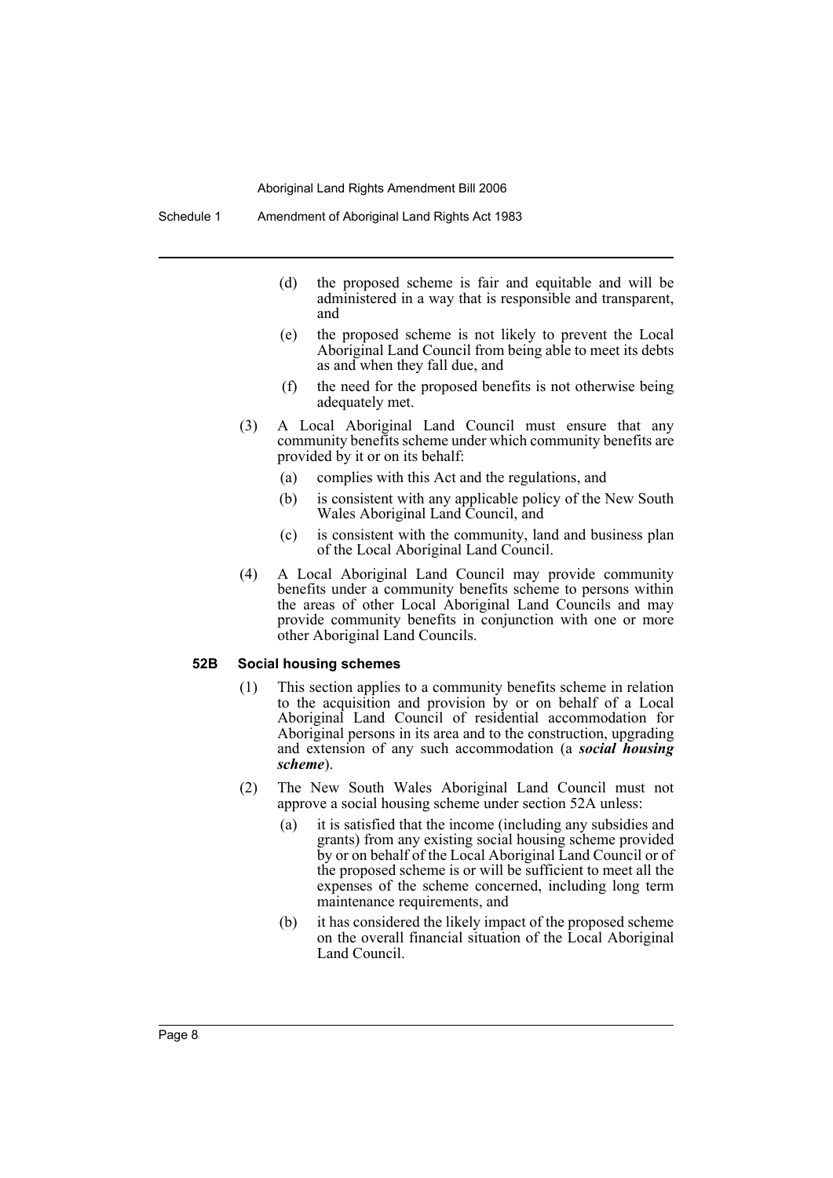- (d) the proposed scheme is fair and equitable and will be administered in a way that is responsible and transparent, and
- (e) the proposed scheme is not likely to prevent the Local Aboriginal Land Council from being able to meet its debts as and when they fall due, and
- (f) the need for the proposed benefits is not otherwise being adequately met.
- (3) A Local Aboriginal Land Council must ensure that any community benefits scheme under which community benefits are provided by it or on its behalf:
	- (a) complies with this Act and the regulations, and
	- (b) is consistent with any applicable policy of the New South Wales Aboriginal Land Council, and
	- (c) is consistent with the community, land and business plan of the Local Aboriginal Land Council.
- (4) A Local Aboriginal Land Council may provide community benefits under a community benefits scheme to persons within the areas of other Local Aboriginal Land Councils and may provide community benefits in conjunction with one or more other Aboriginal Land Councils.

### **52B Social housing schemes**

- (1) This section applies to a community benefits scheme in relation to the acquisition and provision by or on behalf of a Local Aboriginal Land Council of residential accommodation for Aboriginal persons in its area and to the construction, upgrading and extension of any such accommodation (a *social housing scheme*).
- (2) The New South Wales Aboriginal Land Council must not approve a social housing scheme under section 52A unless:
	- (a) it is satisfied that the income (including any subsidies and grants) from any existing social housing scheme provided by or on behalf of the Local Aboriginal Land Council or of the proposed scheme is or will be sufficient to meet all the expenses of the scheme concerned, including long term maintenance requirements, and
	- (b) it has considered the likely impact of the proposed scheme on the overall financial situation of the Local Aboriginal Land Council.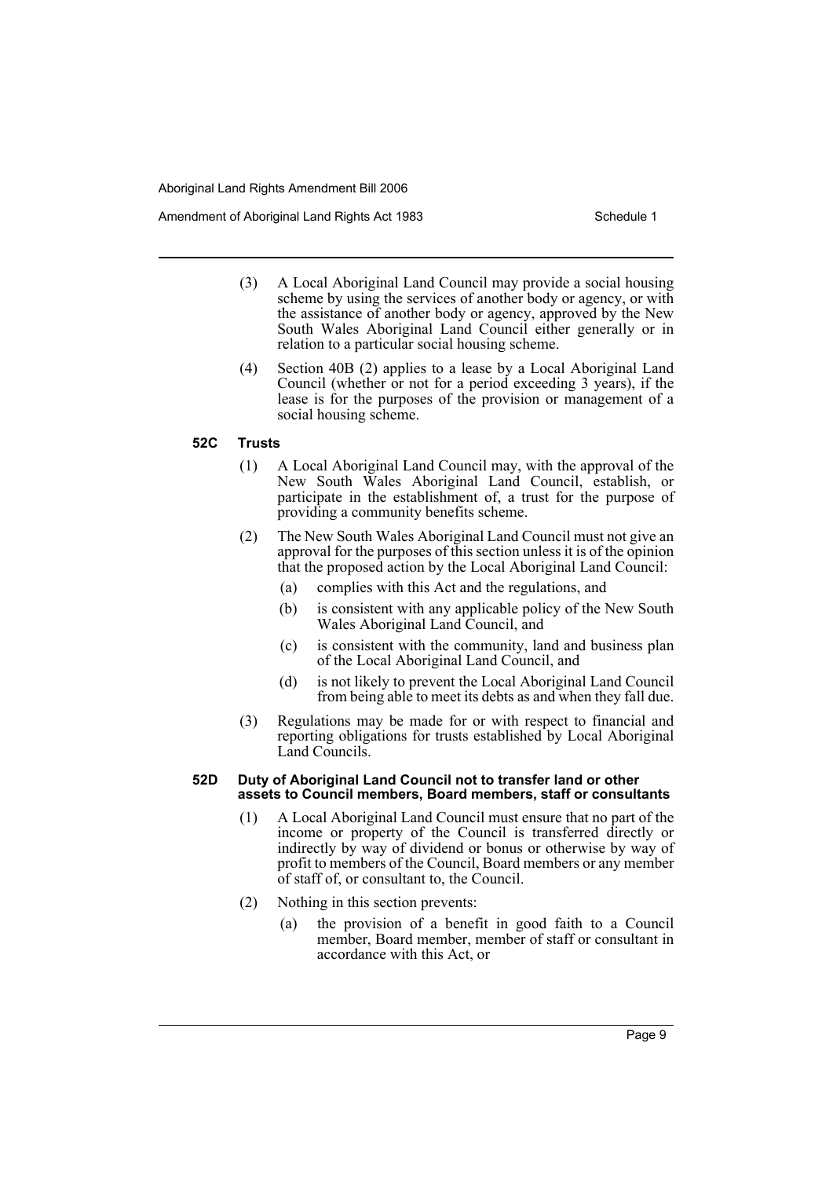Amendment of Aboriginal Land Rights Act 1983 Schedule 1

- (3) A Local Aboriginal Land Council may provide a social housing scheme by using the services of another body or agency, or with the assistance of another body or agency, approved by the New South Wales Aboriginal Land Council either generally or in relation to a particular social housing scheme.
- (4) Section 40B (2) applies to a lease by a Local Aboriginal Land Council (whether or not for a period exceeding 3 years), if the lease is for the purposes of the provision or management of a social housing scheme.

### **52C Trusts**

- (1) A Local Aboriginal Land Council may, with the approval of the New South Wales Aboriginal Land Council, establish, or participate in the establishment of, a trust for the purpose of providing a community benefits scheme.
- (2) The New South Wales Aboriginal Land Council must not give an approval for the purposes of this section unless it is of the opinion that the proposed action by the Local Aboriginal Land Council:
	- (a) complies with this Act and the regulations, and
	- (b) is consistent with any applicable policy of the New South Wales Aboriginal Land Council, and
	- (c) is consistent with the community, land and business plan of the Local Aboriginal Land Council, and
	- (d) is not likely to prevent the Local Aboriginal Land Council from being able to meet its debts as and when they fall due.
- (3) Regulations may be made for or with respect to financial and reporting obligations for trusts established by Local Aboriginal Land Councils.

### **52D Duty of Aboriginal Land Council not to transfer land or other assets to Council members, Board members, staff or consultants**

- (1) A Local Aboriginal Land Council must ensure that no part of the income or property of the Council is transferred directly or indirectly by way of dividend or bonus or otherwise by way of profit to members of the Council, Board members or any member of staff of, or consultant to, the Council.
- (2) Nothing in this section prevents:
	- (a) the provision of a benefit in good faith to a Council member, Board member, member of staff or consultant in accordance with this Act, or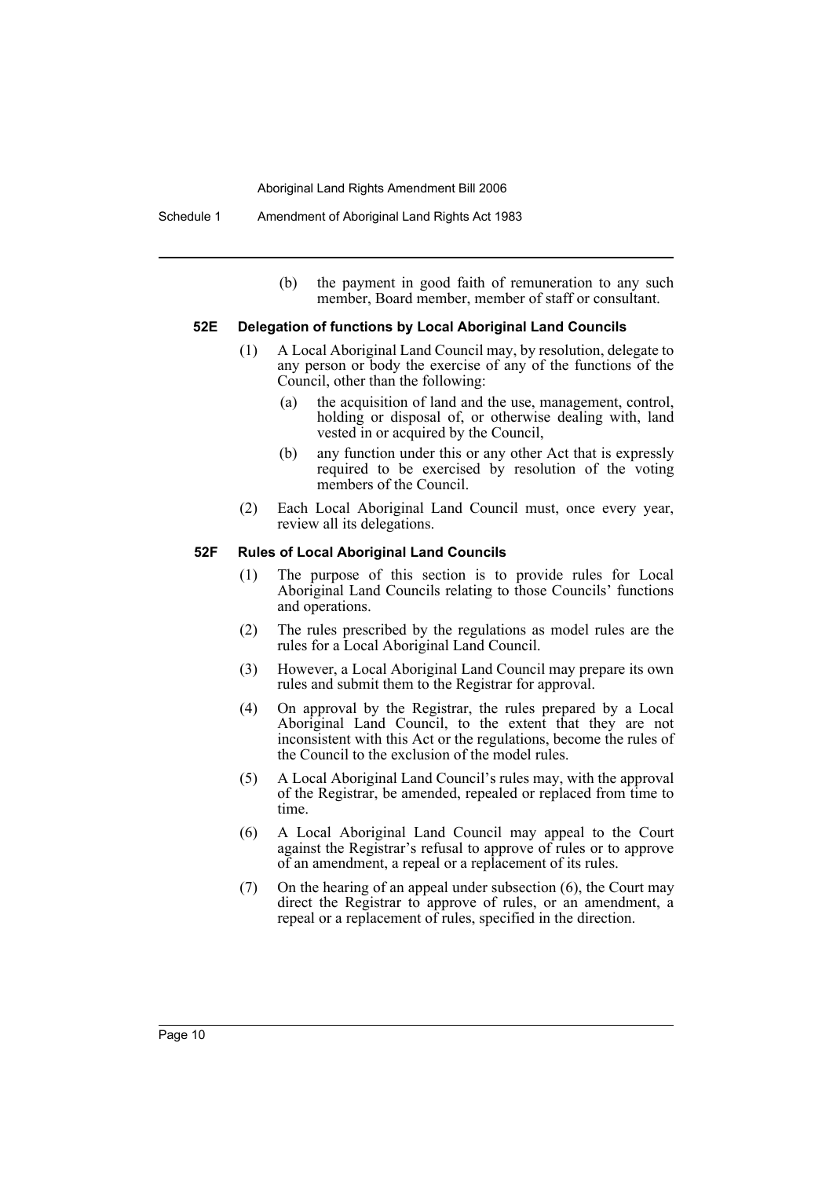(b) the payment in good faith of remuneration to any such member, Board member, member of staff or consultant.

### **52E Delegation of functions by Local Aboriginal Land Councils**

- (1) A Local Aboriginal Land Council may, by resolution, delegate to any person or body the exercise of any of the functions of the Council, other than the following:
	- (a) the acquisition of land and the use, management, control, holding or disposal of, or otherwise dealing with, land vested in or acquired by the Council,
	- (b) any function under this or any other Act that is expressly required to be exercised by resolution of the voting members of the Council.
- (2) Each Local Aboriginal Land Council must, once every year, review all its delegations.

### **52F Rules of Local Aboriginal Land Councils**

- (1) The purpose of this section is to provide rules for Local Aboriginal Land Councils relating to those Councils' functions and operations.
- (2) The rules prescribed by the regulations as model rules are the rules for a Local Aboriginal Land Council.
- (3) However, a Local Aboriginal Land Council may prepare its own rules and submit them to the Registrar for approval.
- (4) On approval by the Registrar, the rules prepared by a Local Aboriginal Land Council, to the extent that they are not inconsistent with this Act or the regulations, become the rules of the Council to the exclusion of the model rules.
- (5) A Local Aboriginal Land Council's rules may, with the approval of the Registrar, be amended, repealed or replaced from time to time.
- (6) A Local Aboriginal Land Council may appeal to the Court against the Registrar's refusal to approve of rules or to approve of an amendment, a repeal or a replacement of its rules.
- (7) On the hearing of an appeal under subsection (6), the Court may direct the Registrar to approve of rules, or an amendment, a repeal or a replacement of rules, specified in the direction.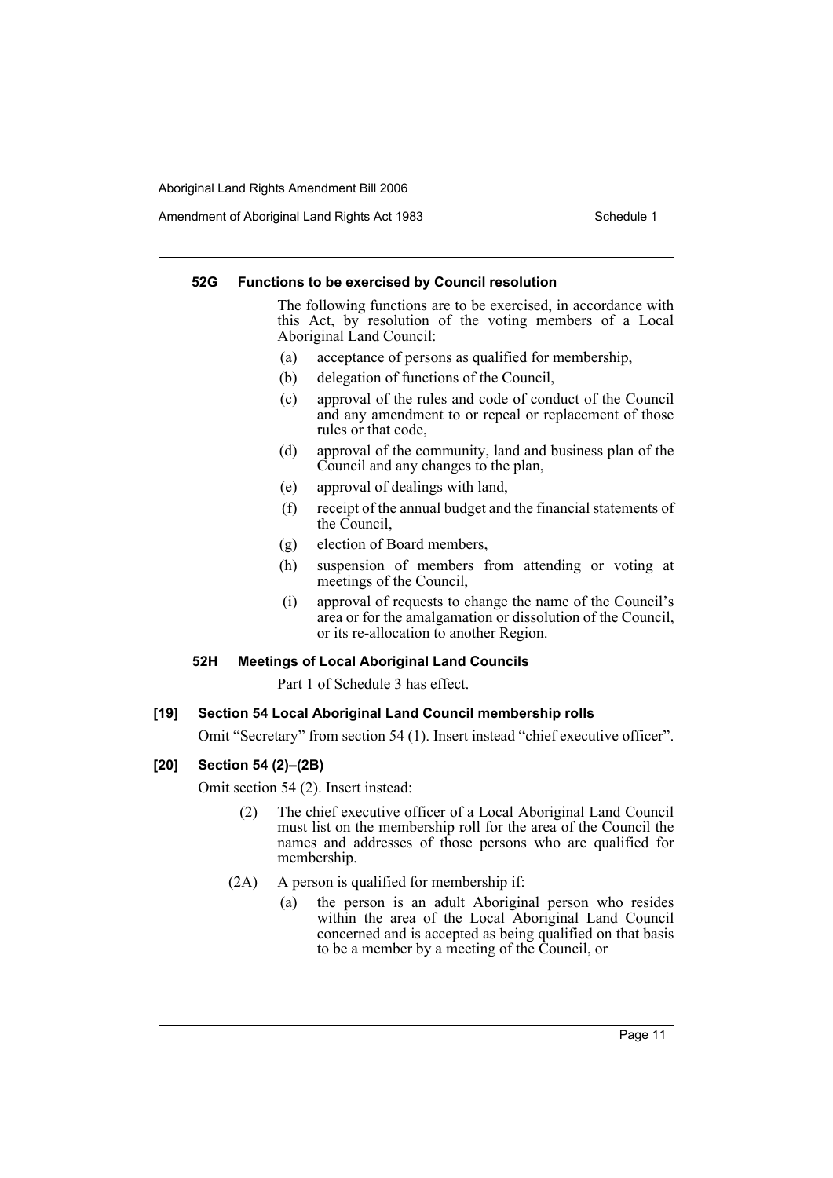Amendment of Aboriginal Land Rights Act 1983 Schedule 1

### **52G Functions to be exercised by Council resolution**

The following functions are to be exercised, in accordance with this Act, by resolution of the voting members of a Local Aboriginal Land Council:

- (a) acceptance of persons as qualified for membership,
- (b) delegation of functions of the Council,
- (c) approval of the rules and code of conduct of the Council and any amendment to or repeal or replacement of those rules or that code,
- (d) approval of the community, land and business plan of the Council and any changes to the plan,
- (e) approval of dealings with land,
- (f) receipt of the annual budget and the financial statements of the Council,
- (g) election of Board members,
- (h) suspension of members from attending or voting at meetings of the Council,
- (i) approval of requests to change the name of the Council's area or for the amalgamation or dissolution of the Council, or its re-allocation to another Region.

### **52H Meetings of Local Aboriginal Land Councils**

Part 1 of Schedule 3 has effect.

# **[19] Section 54 Local Aboriginal Land Council membership rolls**

Omit "Secretary" from section 54 (1). Insert instead "chief executive officer".

### **[20] Section 54 (2)–(2B)**

Omit section 54 (2). Insert instead:

- (2) The chief executive officer of a Local Aboriginal Land Council must list on the membership roll for the area of the Council the names and addresses of those persons who are qualified for membership.
- (2A) A person is qualified for membership if:
	- (a) the person is an adult Aboriginal person who resides within the area of the Local Aboriginal Land Council concerned and is accepted as being qualified on that basis to be a member by a meeting of the Council, or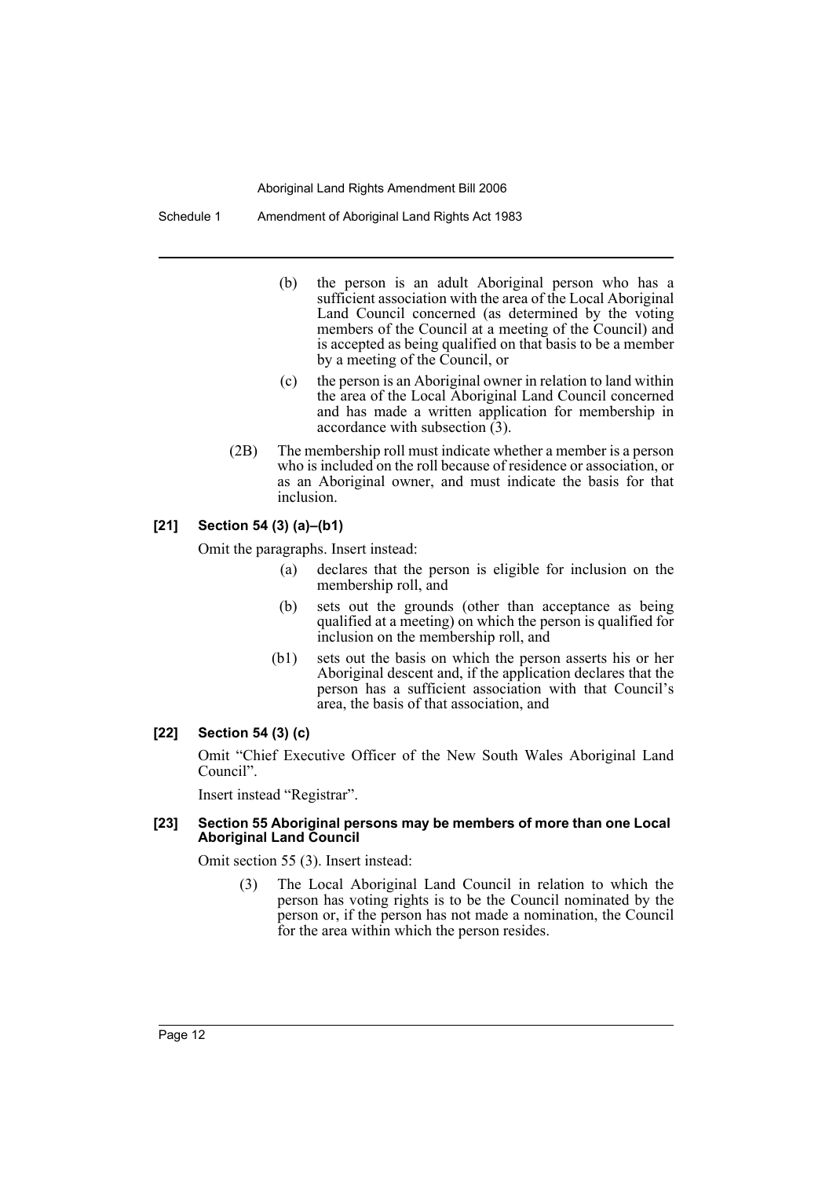Schedule 1 Amendment of Aboriginal Land Rights Act 1983

- (b) the person is an adult Aboriginal person who has a sufficient association with the area of the Local Aboriginal Land Council concerned (as determined by the voting members of the Council at a meeting of the Council) and is accepted as being qualified on that basis to be a member by a meeting of the Council, or
- (c) the person is an Aboriginal owner in relation to land within the area of the Local Aboriginal Land Council concerned and has made a written application for membership in accordance with subsection (3).
- (2B) The membership roll must indicate whether a member is a person who is included on the roll because of residence or association, or as an Aboriginal owner, and must indicate the basis for that inclusion.

# **[21] Section 54 (3) (a)–(b1)**

Omit the paragraphs. Insert instead:

- (a) declares that the person is eligible for inclusion on the membership roll, and
- (b) sets out the grounds (other than acceptance as being qualified at a meeting) on which the person is qualified for inclusion on the membership roll, and
- (b1) sets out the basis on which the person asserts his or her Aboriginal descent and, if the application declares that the person has a sufficient association with that Council's area, the basis of that association, and

### **[22] Section 54 (3) (c)**

Omit "Chief Executive Officer of the New South Wales Aboriginal Land Council".

Insert instead "Registrar".

### **[23] Section 55 Aboriginal persons may be members of more than one Local Aboriginal Land Council**

Omit section 55 (3). Insert instead:

(3) The Local Aboriginal Land Council in relation to which the person has voting rights is to be the Council nominated by the person or, if the person has not made a nomination, the Council for the area within which the person resides.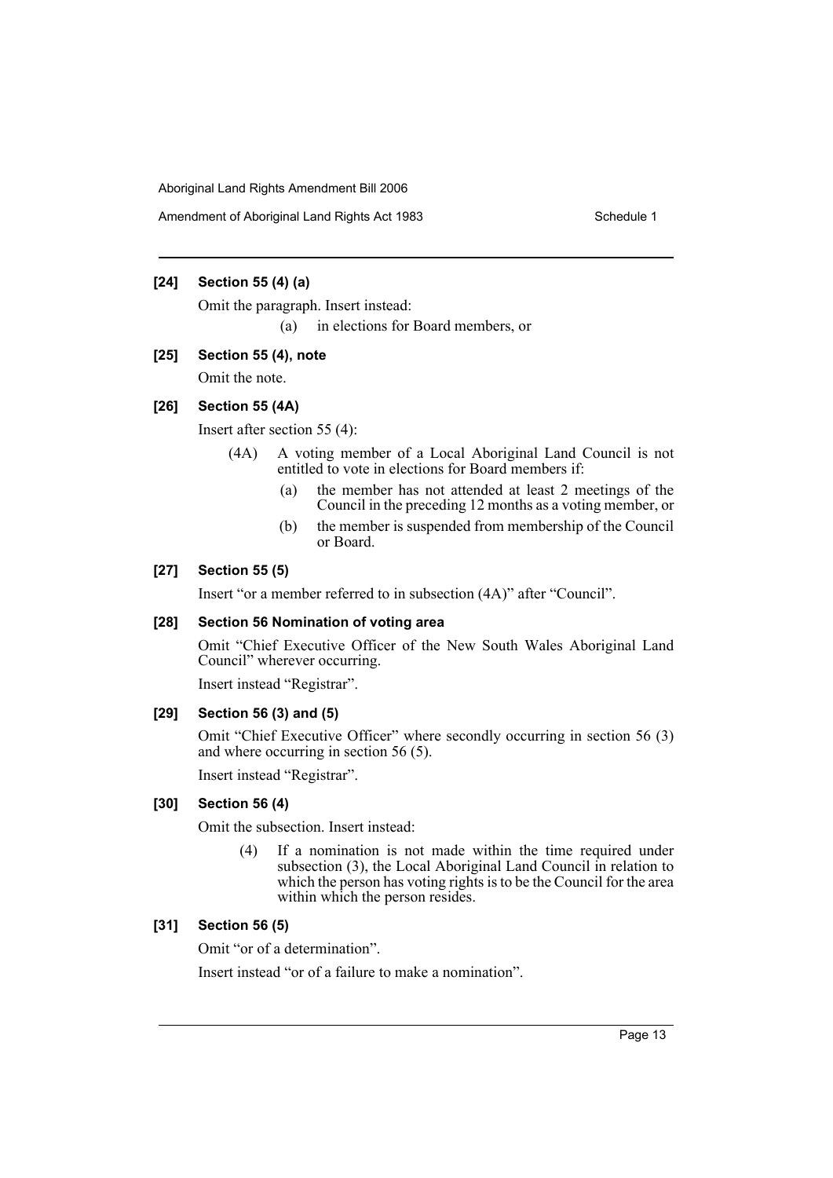Amendment of Aboriginal Land Rights Act 1983 Schedule 1

# **[24] Section 55 (4) (a)**

Omit the paragraph. Insert instead:

(a) in elections for Board members, or

### **[25] Section 55 (4), note**

Omit the note.

# **[26] Section 55 (4A)**

Insert after section 55 (4):

- (4A) A voting member of a Local Aboriginal Land Council is not entitled to vote in elections for Board members if:
	- (a) the member has not attended at least 2 meetings of the Council in the preceding 12 months as a voting member, or
	- (b) the member is suspended from membership of the Council or Board.

# **[27] Section 55 (5)**

Insert "or a member referred to in subsection (4A)" after "Council".

### **[28] Section 56 Nomination of voting area**

Omit "Chief Executive Officer of the New South Wales Aboriginal Land Council" wherever occurring.

Insert instead "Registrar".

# **[29] Section 56 (3) and (5)**

Omit "Chief Executive Officer" where secondly occurring in section 56 (3) and where occurring in section 56 (5).

Insert instead "Registrar".

### **[30] Section 56 (4)**

Omit the subsection. Insert instead:

(4) If a nomination is not made within the time required under subsection (3), the Local Aboriginal Land Council in relation to which the person has voting rights is to be the Council for the area within which the person resides.

### **[31] Section 56 (5)**

Omit "or of a determination".

Insert instead "or of a failure to make a nomination".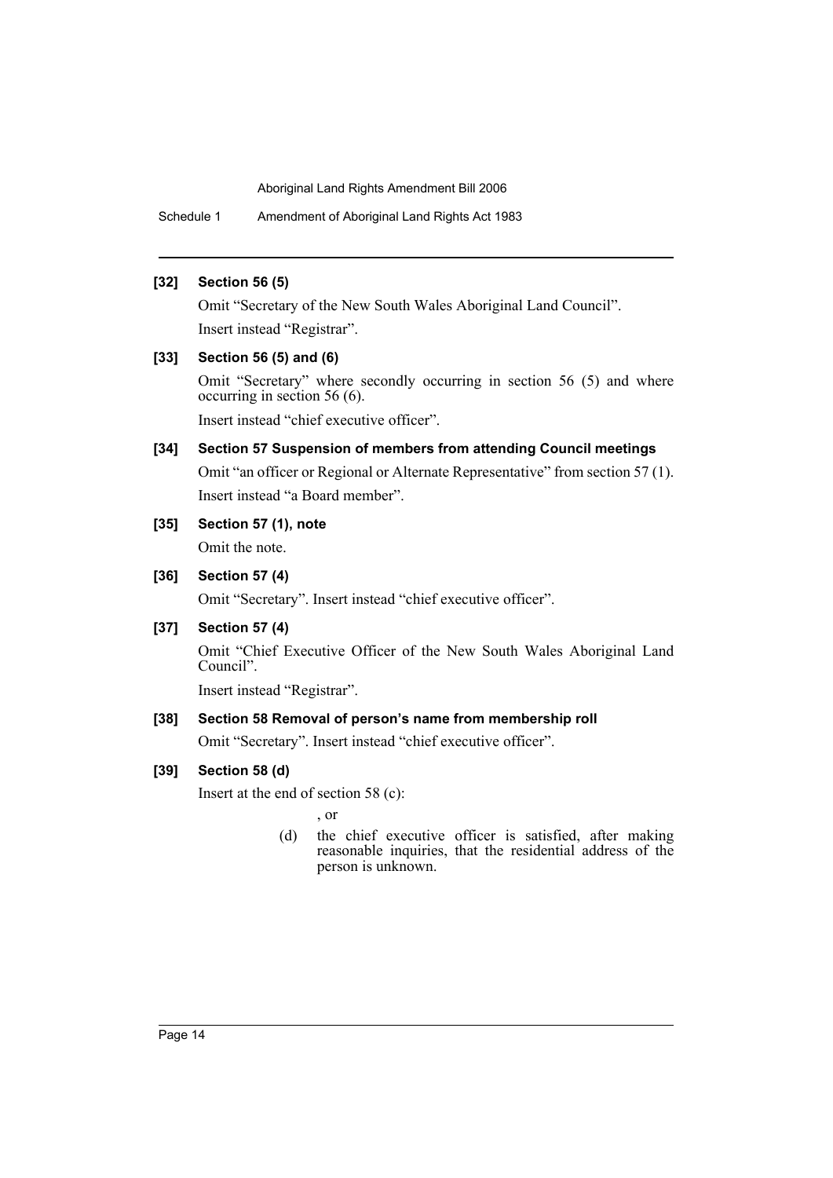Schedule 1 Amendment of Aboriginal Land Rights Act 1983

### **[32] Section 56 (5)**

Omit "Secretary of the New South Wales Aboriginal Land Council". Insert instead "Registrar".

# **[33] Section 56 (5) and (6)**

Omit "Secretary" where secondly occurring in section 56 (5) and where occurring in section 56 (6).

Insert instead "chief executive officer".

# **[34] Section 57 Suspension of members from attending Council meetings**

Omit "an officer or Regional or Alternate Representative" from section 57 (1). Insert instead "a Board member".

# **[35] Section 57 (1), note**

Omit the note.

### **[36] Section 57 (4)**

Omit "Secretary". Insert instead "chief executive officer".

# **[37] Section 57 (4)**

Omit "Chief Executive Officer of the New South Wales Aboriginal Land Council".

Insert instead "Registrar".

# **[38] Section 58 Removal of person's name from membership roll**

Omit "Secretary". Insert instead "chief executive officer".

# **[39] Section 58 (d)**

Insert at the end of section 58 (c):

, or

(d) the chief executive officer is satisfied, after making reasonable inquiries, that the residential address of the person is unknown.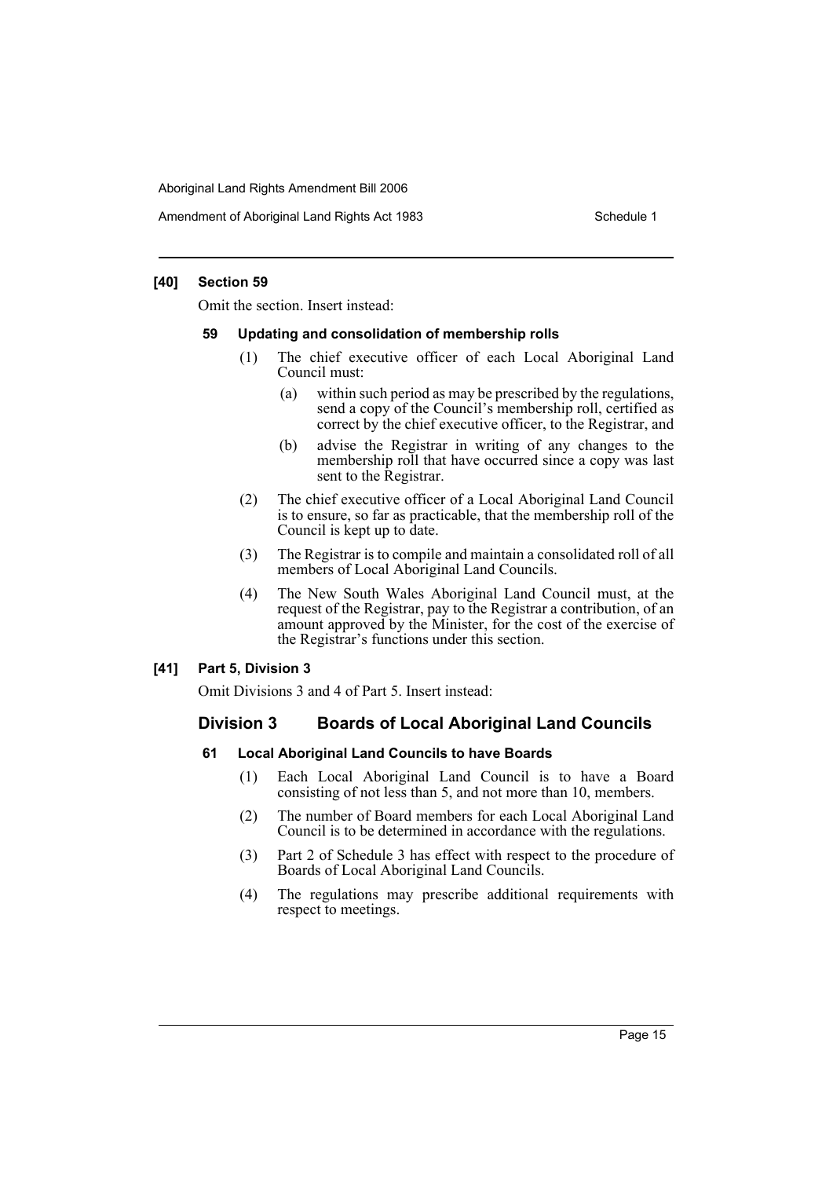Amendment of Aboriginal Land Rights Act 1983 Schedule 1

### **[40] Section 59**

Omit the section. Insert instead:

### **59 Updating and consolidation of membership rolls**

- (1) The chief executive officer of each Local Aboriginal Land Council must:
	- (a) within such period as may be prescribed by the regulations, send a copy of the Council's membership roll, certified as correct by the chief executive officer, to the Registrar, and
	- (b) advise the Registrar in writing of any changes to the membership roll that have occurred since a copy was last sent to the Registrar.
- (2) The chief executive officer of a Local Aboriginal Land Council is to ensure, so far as practicable, that the membership roll of the Council is kept up to date.
- (3) The Registrar is to compile and maintain a consolidated roll of all members of Local Aboriginal Land Councils.
- (4) The New South Wales Aboriginal Land Council must, at the request of the Registrar, pay to the Registrar a contribution, of an amount approved by the Minister, for the cost of the exercise of the Registrar's functions under this section.

### **[41] Part 5, Division 3**

Omit Divisions 3 and 4 of Part 5. Insert instead:

# **Division 3 Boards of Local Aboriginal Land Councils**

### **61 Local Aboriginal Land Councils to have Boards**

- (1) Each Local Aboriginal Land Council is to have a Board consisting of not less than 5, and not more than 10, members.
- (2) The number of Board members for each Local Aboriginal Land Council is to be determined in accordance with the regulations.
- (3) Part 2 of Schedule 3 has effect with respect to the procedure of Boards of Local Aboriginal Land Councils.
- (4) The regulations may prescribe additional requirements with respect to meetings.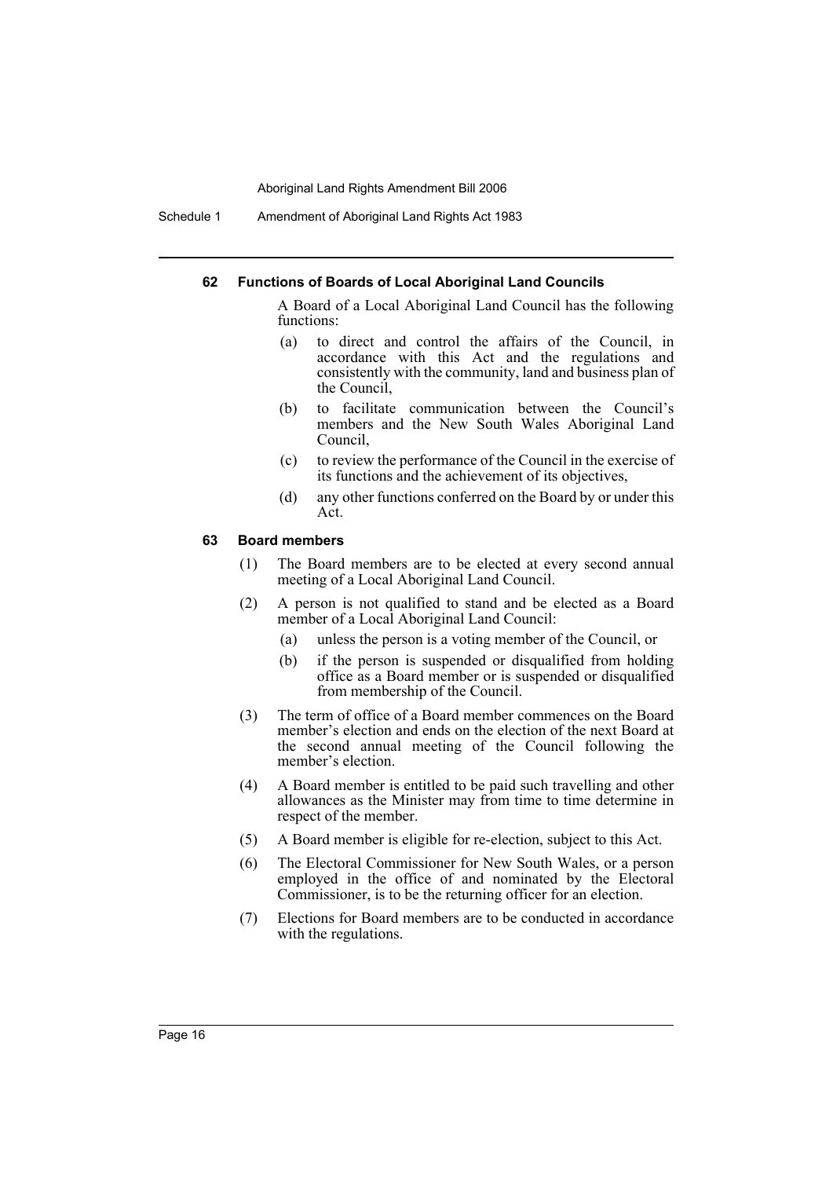Schedule 1 Amendment of Aboriginal Land Rights Act 1983

### **62 Functions of Boards of Local Aboriginal Land Councils**

A Board of a Local Aboriginal Land Council has the following functions:

- (a) to direct and control the affairs of the Council, in accordance with this Act and the regulations and consistently with the community, land and business plan of the Council,
- (b) to facilitate communication between the Council's members and the New South Wales Aboriginal Land Council,
- (c) to review the performance of the Council in the exercise of its functions and the achievement of its objectives,
- (d) any other functions conferred on the Board by or under this Act.

### **63 Board members**

- (1) The Board members are to be elected at every second annual meeting of a Local Aboriginal Land Council.
- (2) A person is not qualified to stand and be elected as a Board member of a Local Aboriginal Land Council:
	- (a) unless the person is a voting member of the Council, or
	- (b) if the person is suspended or disqualified from holding office as a Board member or is suspended or disqualified from membership of the Council.
- (3) The term of office of a Board member commences on the Board member's election and ends on the election of the next Board at the second annual meeting of the Council following the member's election.
- (4) A Board member is entitled to be paid such travelling and other allowances as the Minister may from time to time determine in respect of the member.
- (5) A Board member is eligible for re-election, subject to this Act.
- (6) The Electoral Commissioner for New South Wales, or a person employed in the office of and nominated by the Electoral Commissioner, is to be the returning officer for an election.
- (7) Elections for Board members are to be conducted in accordance with the regulations.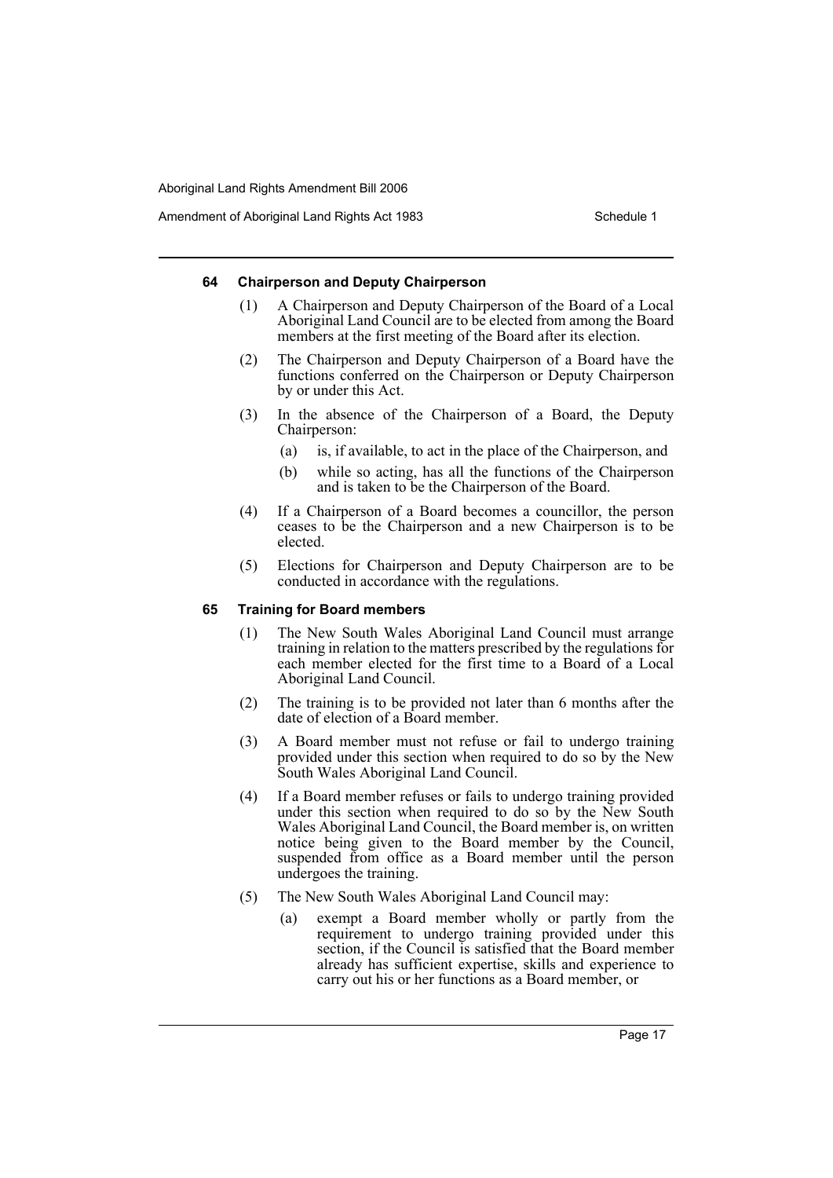Amendment of Aboriginal Land Rights Act 1983 Schedule 1

### **64 Chairperson and Deputy Chairperson**

- (1) A Chairperson and Deputy Chairperson of the Board of a Local Aboriginal Land Council are to be elected from among the Board members at the first meeting of the Board after its election.
- (2) The Chairperson and Deputy Chairperson of a Board have the functions conferred on the Chairperson or Deputy Chairperson by or under this Act.
- (3) In the absence of the Chairperson of a Board, the Deputy Chairperson:
	- (a) is, if available, to act in the place of the Chairperson, and
	- (b) while so acting, has all the functions of the Chairperson and is taken to be the Chairperson of the Board.
- (4) If a Chairperson of a Board becomes a councillor, the person ceases to be the Chairperson and a new Chairperson is to be elected.
- (5) Elections for Chairperson and Deputy Chairperson are to be conducted in accordance with the regulations.

### **65 Training for Board members**

- (1) The New South Wales Aboriginal Land Council must arrange training in relation to the matters prescribed by the regulations for each member elected for the first time to a Board of a Local Aboriginal Land Council.
- (2) The training is to be provided not later than 6 months after the date of election of a Board member.
- (3) A Board member must not refuse or fail to undergo training provided under this section when required to do so by the New South Wales Aboriginal Land Council.
- (4) If a Board member refuses or fails to undergo training provided under this section when required to do so by the New South Wales Aboriginal Land Council, the Board member is, on written notice being given to the Board member by the Council, suspended from office as a Board member until the person undergoes the training.
- (5) The New South Wales Aboriginal Land Council may:
	- (a) exempt a Board member wholly or partly from the requirement to undergo training provided under this section, if the Council is satisfied that the Board member already has sufficient expertise, skills and experience to carry out his or her functions as a Board member, or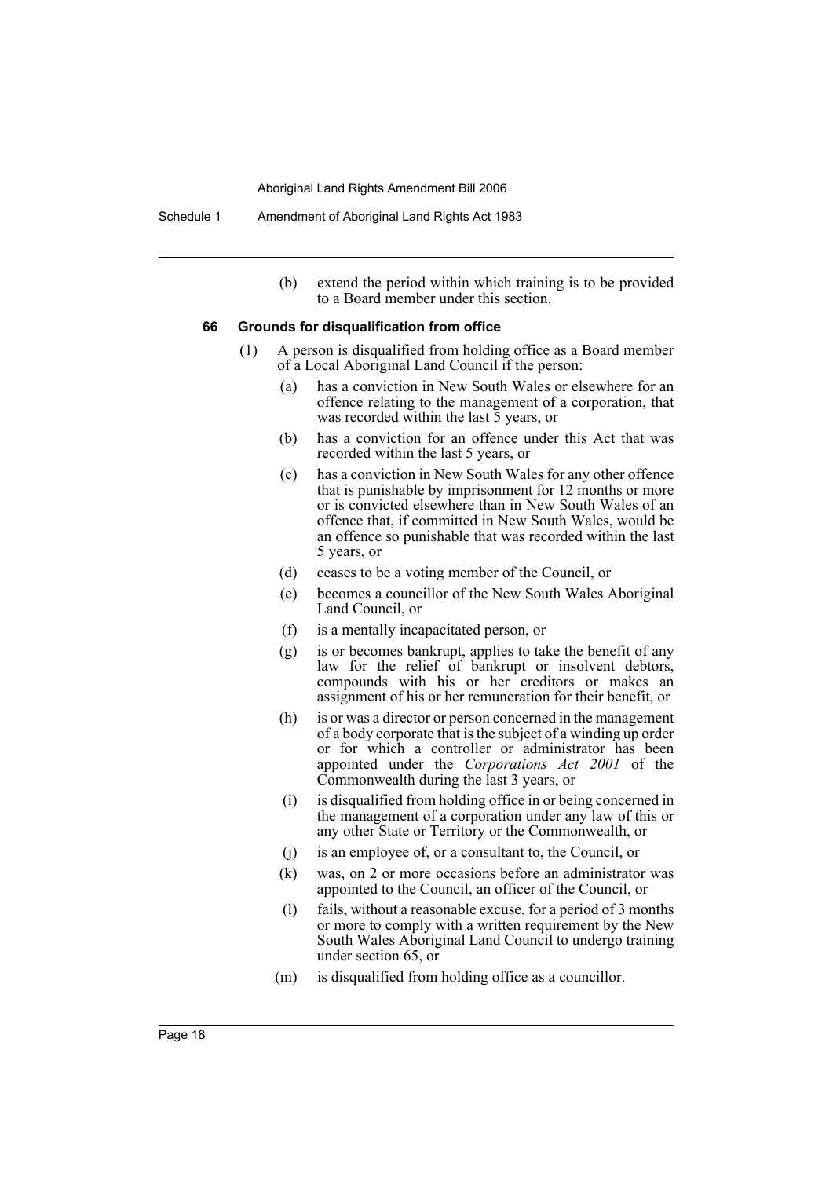(b) extend the period within which training is to be provided to a Board member under this section.

#### **66 Grounds for disqualification from office**

- (1) A person is disqualified from holding office as a Board member of a Local Aboriginal Land Council if the person:
	- (a) has a conviction in New South Wales or elsewhere for an offence relating to the management of a corporation, that was recorded within the last  $\bar{5}$  years, or
	- (b) has a conviction for an offence under this Act that was recorded within the last 5 years, or
	- (c) has a conviction in New South Wales for any other offence that is punishable by imprisonment for 12 months or more or is convicted elsewhere than in New South Wales of an offence that, if committed in New South Wales, would be an offence so punishable that was recorded within the last 5 years, or
	- (d) ceases to be a voting member of the Council, or
	- (e) becomes a councillor of the New South Wales Aboriginal Land Council, or
	- (f) is a mentally incapacitated person, or
	- (g) is or becomes bankrupt, applies to take the benefit of any law for the relief of bankrupt or insolvent debtors, compounds with his or her creditors or makes an assignment of his or her remuneration for their benefit, or
	- (h) is or was a director or person concerned in the management of a body corporate that is the subject of a winding up order or for which a controller or administrator has been appointed under the *Corporations Act 2001* of the Commonwealth during the last 3 years, or
	- (i) is disqualified from holding office in or being concerned in the management of a corporation under any law of this or any other State or Territory or the Commonwealth, or
	- (j) is an employee of, or a consultant to, the Council, or
	- (k) was, on 2 or more occasions before an administrator was appointed to the Council, an officer of the Council, or
	- (l) fails, without a reasonable excuse, for a period of 3 months or more to comply with a written requirement by the New South Wales Aboriginal Land Council to undergo training under section 65, or
	- (m) is disqualified from holding office as a councillor.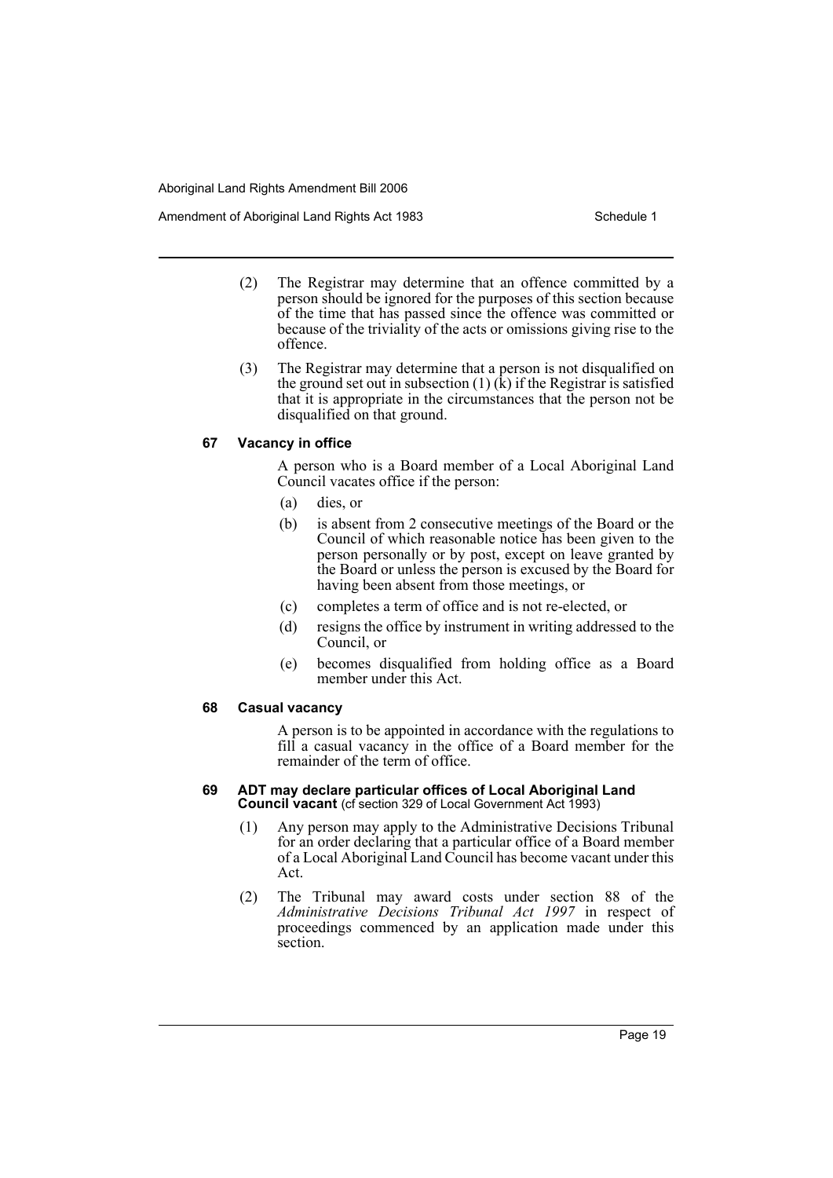Amendment of Aboriginal Land Rights Act 1983 Schedule 1

- (2) The Registrar may determine that an offence committed by a person should be ignored for the purposes of this section because of the time that has passed since the offence was committed or because of the triviality of the acts or omissions giving rise to the offence.
- (3) The Registrar may determine that a person is not disqualified on the ground set out in subsection  $(1)$   $(k)$  if the Registrar is satisfied that it is appropriate in the circumstances that the person not be disqualified on that ground.

### **67 Vacancy in office**

A person who is a Board member of a Local Aboriginal Land Council vacates office if the person:

- (a) dies, or
- (b) is absent from 2 consecutive meetings of the Board or the Council of which reasonable notice has been given to the person personally or by post, except on leave granted by the Board or unless the person is excused by the Board for having been absent from those meetings, or
- (c) completes a term of office and is not re-elected, or
- (d) resigns the office by instrument in writing addressed to the Council, or
- (e) becomes disqualified from holding office as a Board member under this Act.

### **68 Casual vacancy**

A person is to be appointed in accordance with the regulations to fill a casual vacancy in the office of a Board member for the remainder of the term of office.

### **69 ADT may declare particular offices of Local Aboriginal Land Council vacant** (cf section 329 of Local Government Act 1993)

- (1) Any person may apply to the Administrative Decisions Tribunal for an order declaring that a particular office of a Board member of a Local Aboriginal Land Council has become vacant under this Act.
- (2) The Tribunal may award costs under section 88 of the *Administrative Decisions Tribunal Act 1997* in respect of proceedings commenced by an application made under this section.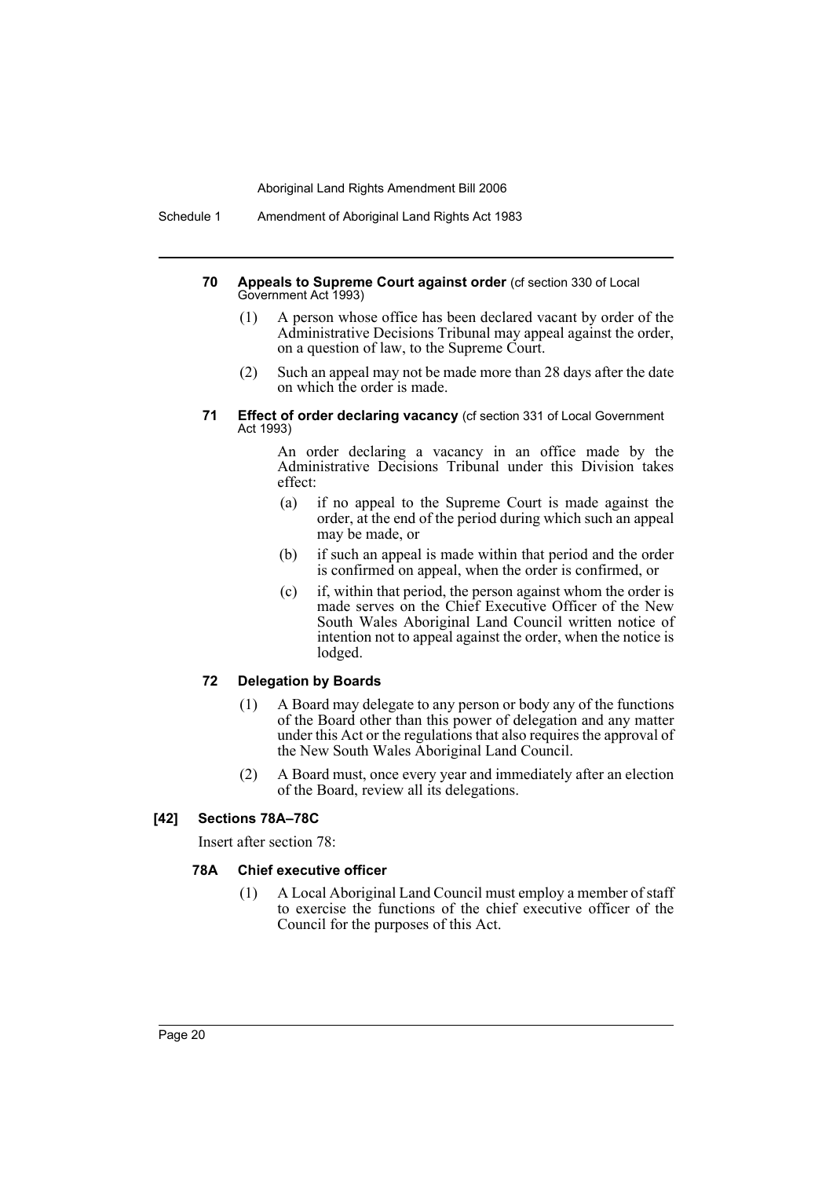Schedule 1 Amendment of Aboriginal Land Rights Act 1983

### **70 Appeals to Supreme Court against order** (cf section 330 of Local Government Act 1993)

- (1) A person whose office has been declared vacant by order of the Administrative Decisions Tribunal may appeal against the order, on a question of law, to the Supreme Court.
- (2) Such an appeal may not be made more than 28 days after the date on which the order is made.

### **71 Effect of order declaring vacancy** (cf section 331 of Local Government Act 1993)

An order declaring a vacancy in an office made by the Administrative Decisions Tribunal under this Division takes effect:

- (a) if no appeal to the Supreme Court is made against the order, at the end of the period during which such an appeal may be made, or
- (b) if such an appeal is made within that period and the order is confirmed on appeal, when the order is confirmed, or
- (c) if, within that period, the person against whom the order is made serves on the Chief Executive Officer of the New South Wales Aboriginal Land Council written notice of intention not to appeal against the order, when the notice is lodged.

### **72 Delegation by Boards**

- (1) A Board may delegate to any person or body any of the functions of the Board other than this power of delegation and any matter under this Act or the regulations that also requires the approval of the New South Wales Aboriginal Land Council.
- (2) A Board must, once every year and immediately after an election of the Board, review all its delegations.

### **[42] Sections 78A–78C**

Insert after section 78:

### **78A Chief executive officer**

(1) A Local Aboriginal Land Council must employ a member of staff to exercise the functions of the chief executive officer of the Council for the purposes of this Act.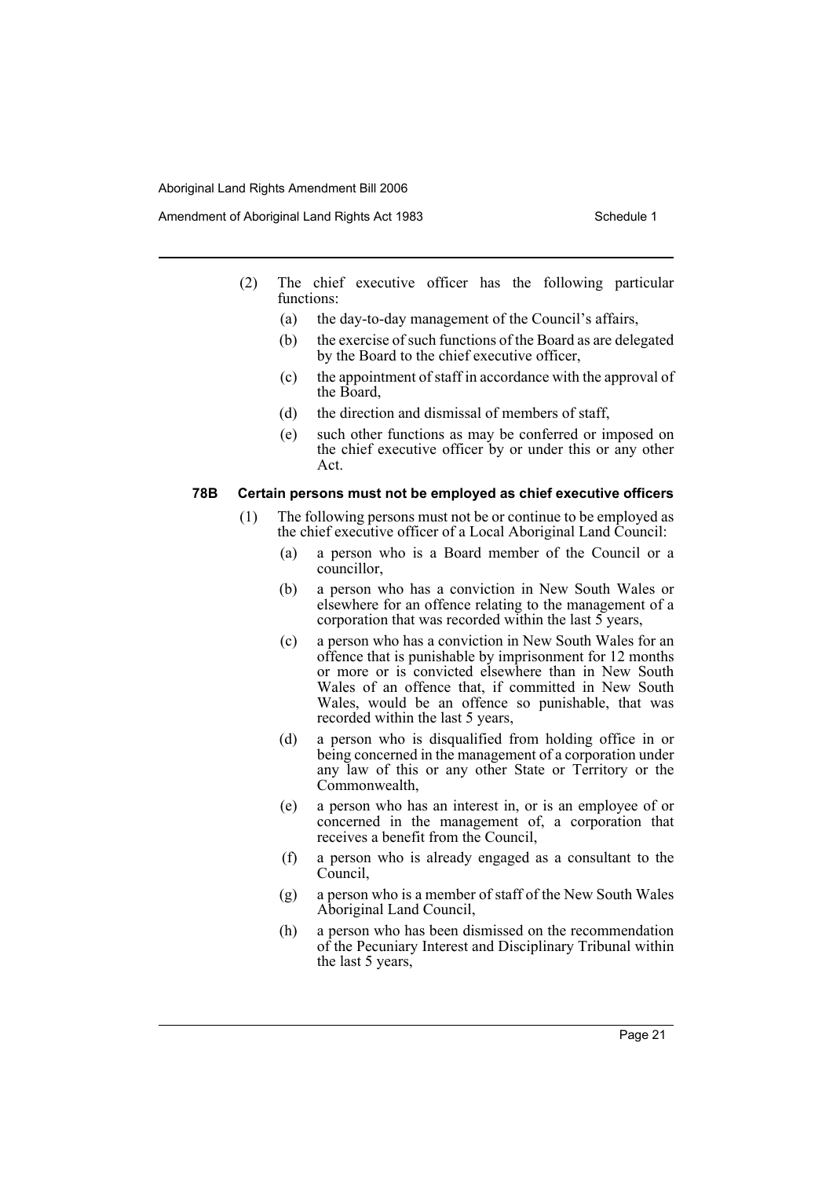Amendment of Aboriginal Land Rights Act 1983 Schedule 1

- (2) The chief executive officer has the following particular functions:
	- (a) the day-to-day management of the Council's affairs,
	- (b) the exercise of such functions of the Board as are delegated by the Board to the chief executive officer,
	- (c) the appointment of staff in accordance with the approval of the Board,
	- (d) the direction and dismissal of members of staff,
	- (e) such other functions as may be conferred or imposed on the chief executive officer by or under this or any other Act.

### **78B Certain persons must not be employed as chief executive officers**

- (1) The following persons must not be or continue to be employed as the chief executive officer of a Local Aboriginal Land Council:
	- (a) a person who is a Board member of the Council or a councillor,
	- (b) a person who has a conviction in New South Wales or elsewhere for an offence relating to the management of a corporation that was recorded within the last 5 years,
	- (c) a person who has a conviction in New South Wales for an offence that is punishable by imprisonment for 12 months or more or is convicted elsewhere than in New South Wales of an offence that, if committed in New South Wales, would be an offence so punishable, that was recorded within the last 5 years,
	- (d) a person who is disqualified from holding office in or being concerned in the management of a corporation under any law of this or any other State or Territory or the Commonwealth,
	- (e) a person who has an interest in, or is an employee of or concerned in the management of, a corporation that receives a benefit from the Council,
	- (f) a person who is already engaged as a consultant to the Council.
	- (g) a person who is a member of staff of the New South Wales Aboriginal Land Council,
	- (h) a person who has been dismissed on the recommendation of the Pecuniary Interest and Disciplinary Tribunal within the last 5 years,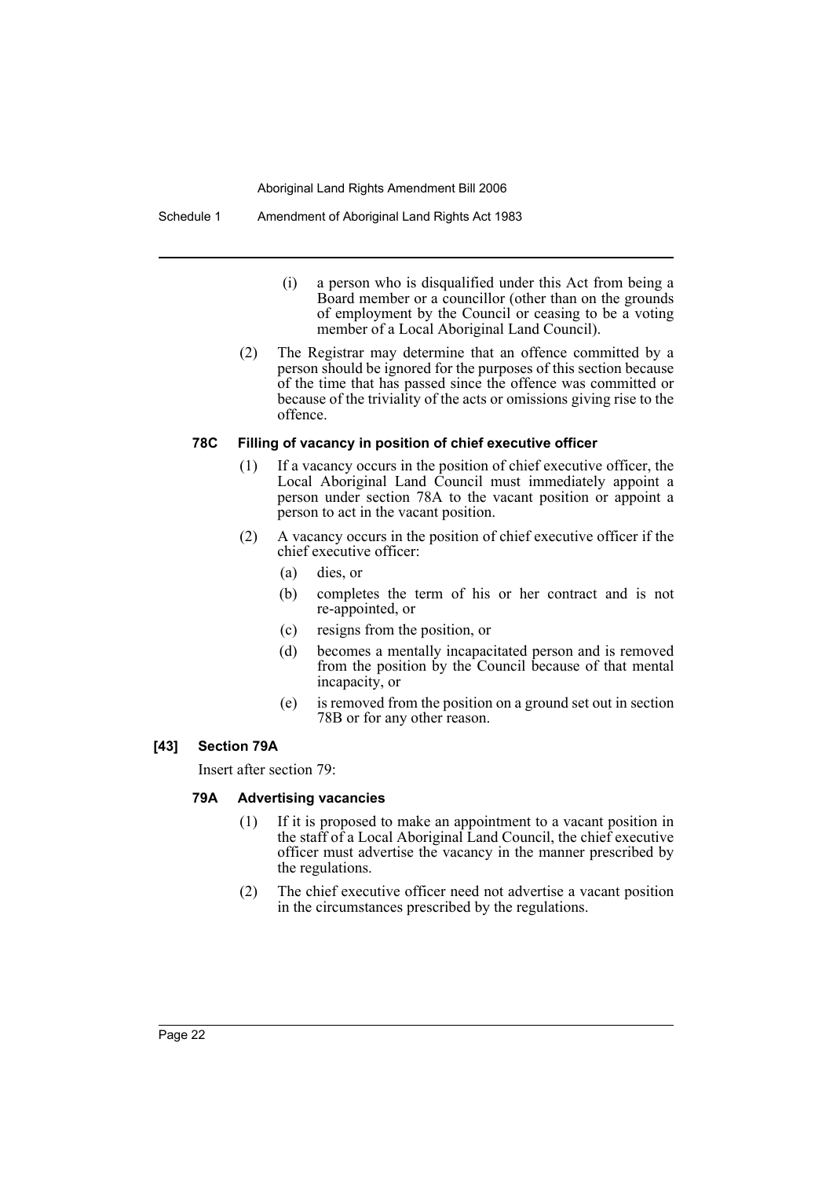### Schedule 1 Amendment of Aboriginal Land Rights Act 1983

- (i) a person who is disqualified under this Act from being a Board member or a councillor (other than on the grounds of employment by the Council or ceasing to be a voting member of a Local Aboriginal Land Council).
- (2) The Registrar may determine that an offence committed by a person should be ignored for the purposes of this section because of the time that has passed since the offence was committed or because of the triviality of the acts or omissions giving rise to the offence.

# **78C Filling of vacancy in position of chief executive officer**

- (1) If a vacancy occurs in the position of chief executive officer, the Local Aboriginal Land Council must immediately appoint a person under section 78A to the vacant position or appoint a person to act in the vacant position.
- (2) A vacancy occurs in the position of chief executive officer if the chief executive officer:
	- (a) dies, or
	- (b) completes the term of his or her contract and is not re-appointed, or
	- (c) resigns from the position, or
	- (d) becomes a mentally incapacitated person and is removed from the position by the Council because of that mental incapacity, or
	- (e) is removed from the position on a ground set out in section 78B or for any other reason.

### **[43] Section 79A**

Insert after section 79:

### **79A Advertising vacancies**

- (1) If it is proposed to make an appointment to a vacant position in the staff of a Local Aboriginal Land Council, the chief executive officer must advertise the vacancy in the manner prescribed by the regulations.
- (2) The chief executive officer need not advertise a vacant position in the circumstances prescribed by the regulations.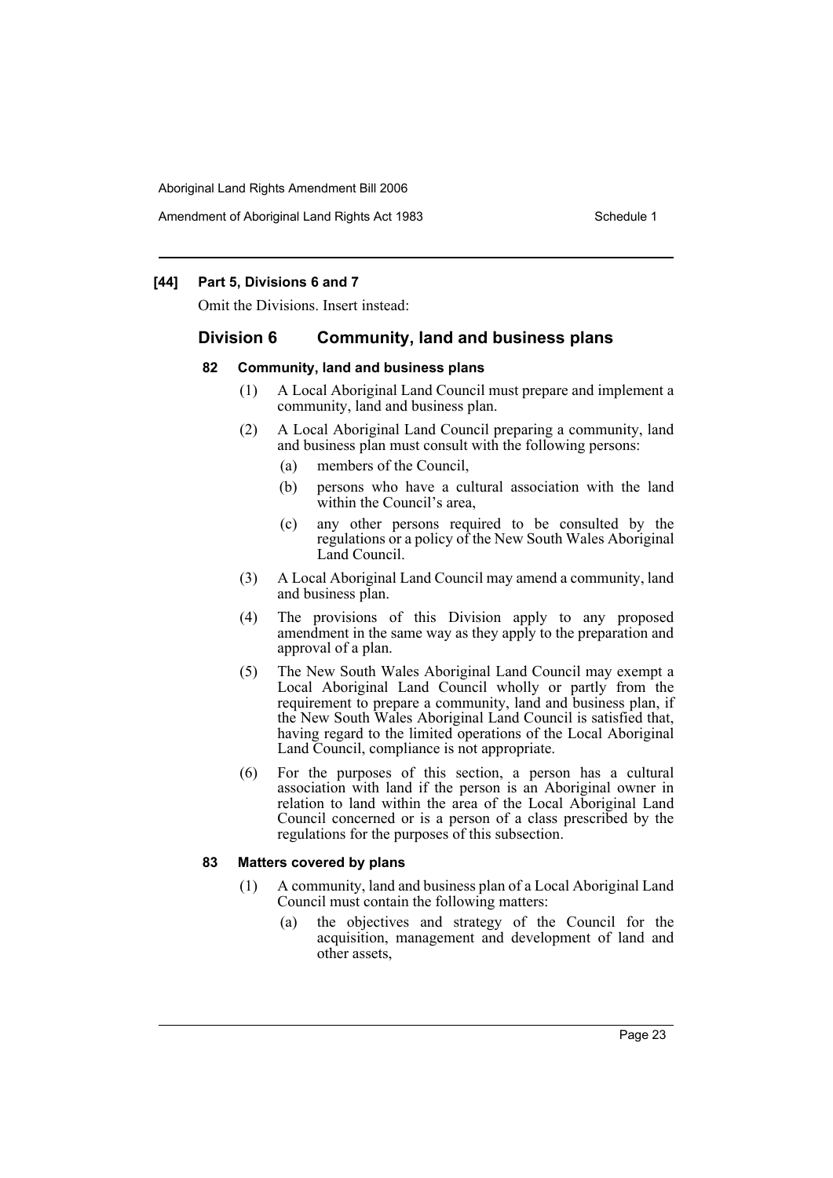Amendment of Aboriginal Land Rights Act 1983 Schedule 1

### **[44] Part 5, Divisions 6 and 7**

Omit the Divisions. Insert instead:

# **Division 6 Community, land and business plans**

### **82 Community, land and business plans**

- (1) A Local Aboriginal Land Council must prepare and implement a community, land and business plan.
- (2) A Local Aboriginal Land Council preparing a community, land and business plan must consult with the following persons:
	- (a) members of the Council,
	- (b) persons who have a cultural association with the land within the Council's area,
	- (c) any other persons required to be consulted by the regulations or a policy of the New South Wales Aboriginal Land Council.
- (3) A Local Aboriginal Land Council may amend a community, land and business plan.
- (4) The provisions of this Division apply to any proposed amendment in the same way as they apply to the preparation and approval of a plan.
- (5) The New South Wales Aboriginal Land Council may exempt a Local Aboriginal Land Council wholly or partly from the requirement to prepare a community, land and business plan, if the New South Wales Aboriginal Land Council is satisfied that, having regard to the limited operations of the Local Aboriginal Land Council, compliance is not appropriate.
- (6) For the purposes of this section, a person has a cultural association with land if the person is an Aboriginal owner in relation to land within the area of the Local Aboriginal Land Council concerned or is a person of a class prescribed by the regulations for the purposes of this subsection.

### **83 Matters covered by plans**

- (1) A community, land and business plan of a Local Aboriginal Land Council must contain the following matters:
	- (a) the objectives and strategy of the Council for the acquisition, management and development of land and other assets,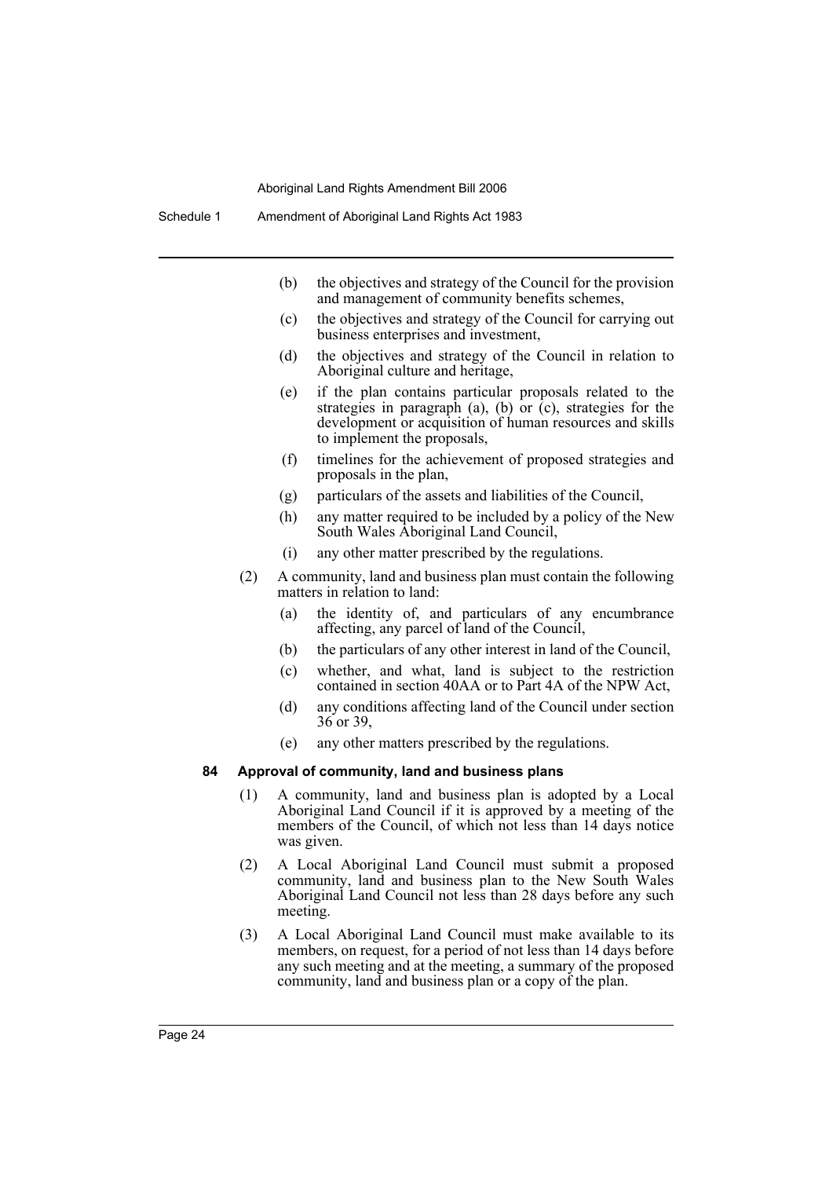- (b) the objectives and strategy of the Council for the provision and management of community benefits schemes,
- (c) the objectives and strategy of the Council for carrying out business enterprises and investment,
- (d) the objectives and strategy of the Council in relation to Aboriginal culture and heritage,
- (e) if the plan contains particular proposals related to the strategies in paragraph (a), (b) or  $(c)$ , strategies for the development or acquisition of human resources and skills to implement the proposals,
- (f) timelines for the achievement of proposed strategies and proposals in the plan,
- (g) particulars of the assets and liabilities of the Council,
- (h) any matter required to be included by a policy of the New South Wales Aboriginal Land Council,
- (i) any other matter prescribed by the regulations.
- (2) A community, land and business plan must contain the following matters in relation to land:
	- (a) the identity of, and particulars of any encumbrance affecting, any parcel of land of the Council,
	- (b) the particulars of any other interest in land of the Council,
	- (c) whether, and what, land is subject to the restriction contained in section 40AA or to Part 4A of the NPW Act,
	- (d) any conditions affecting land of the Council under section 36 or 39,
	- (e) any other matters prescribed by the regulations.

### **84 Approval of community, land and business plans**

- (1) A community, land and business plan is adopted by a Local Aboriginal Land Council if it is approved by a meeting of the members of the Council, of which not less than 14 days notice was given.
- (2) A Local Aboriginal Land Council must submit a proposed community, land and business plan to the New South Wales Aboriginal Land Council not less than 28 days before any such meeting.
- (3) A Local Aboriginal Land Council must make available to its members, on request, for a period of not less than 14 days before any such meeting and at the meeting, a summary of the proposed community, land and business plan or a copy of the plan.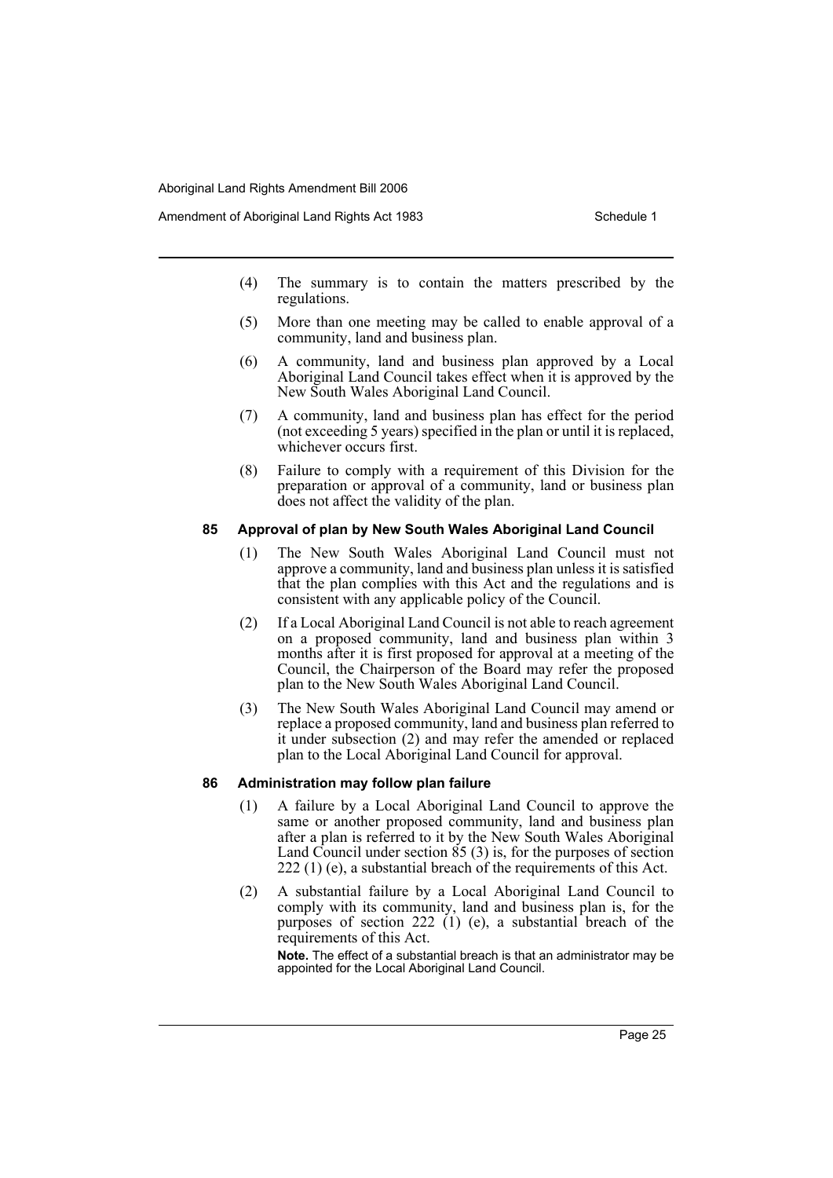- (4) The summary is to contain the matters prescribed by the regulations.
- (5) More than one meeting may be called to enable approval of a community, land and business plan.
- (6) A community, land and business plan approved by a Local Aboriginal Land Council takes effect when it is approved by the New South Wales Aboriginal Land Council.
- (7) A community, land and business plan has effect for the period (not exceeding 5 years) specified in the plan or until it is replaced, whichever occurs first.
- (8) Failure to comply with a requirement of this Division for the preparation or approval of a community, land or business plan does not affect the validity of the plan.

### **85 Approval of plan by New South Wales Aboriginal Land Council**

- (1) The New South Wales Aboriginal Land Council must not approve a community, land and business plan unless it is satisfied that the plan complies with this Act and the regulations and is consistent with any applicable policy of the Council.
- (2) If a Local Aboriginal Land Council is not able to reach agreement on a proposed community, land and business plan within 3 months after it is first proposed for approval at a meeting of the Council, the Chairperson of the Board may refer the proposed plan to the New South Wales Aboriginal Land Council.
- (3) The New South Wales Aboriginal Land Council may amend or replace a proposed community, land and business plan referred to it under subsection (2) and may refer the amended or replaced plan to the Local Aboriginal Land Council for approval.

### **86 Administration may follow plan failure**

- (1) A failure by a Local Aboriginal Land Council to approve the same or another proposed community, land and business plan after a plan is referred to it by the New South Wales Aboriginal Land Council under section 85 (3) is, for the purposes of section 222 (1) (e), a substantial breach of the requirements of this Act.
- (2) A substantial failure by a Local Aboriginal Land Council to comply with its community, land and business plan is, for the purposes of section 222  $(1)$  (e), a substantial breach of the requirements of this Act.

**Note.** The effect of a substantial breach is that an administrator may be appointed for the Local Aboriginal Land Council.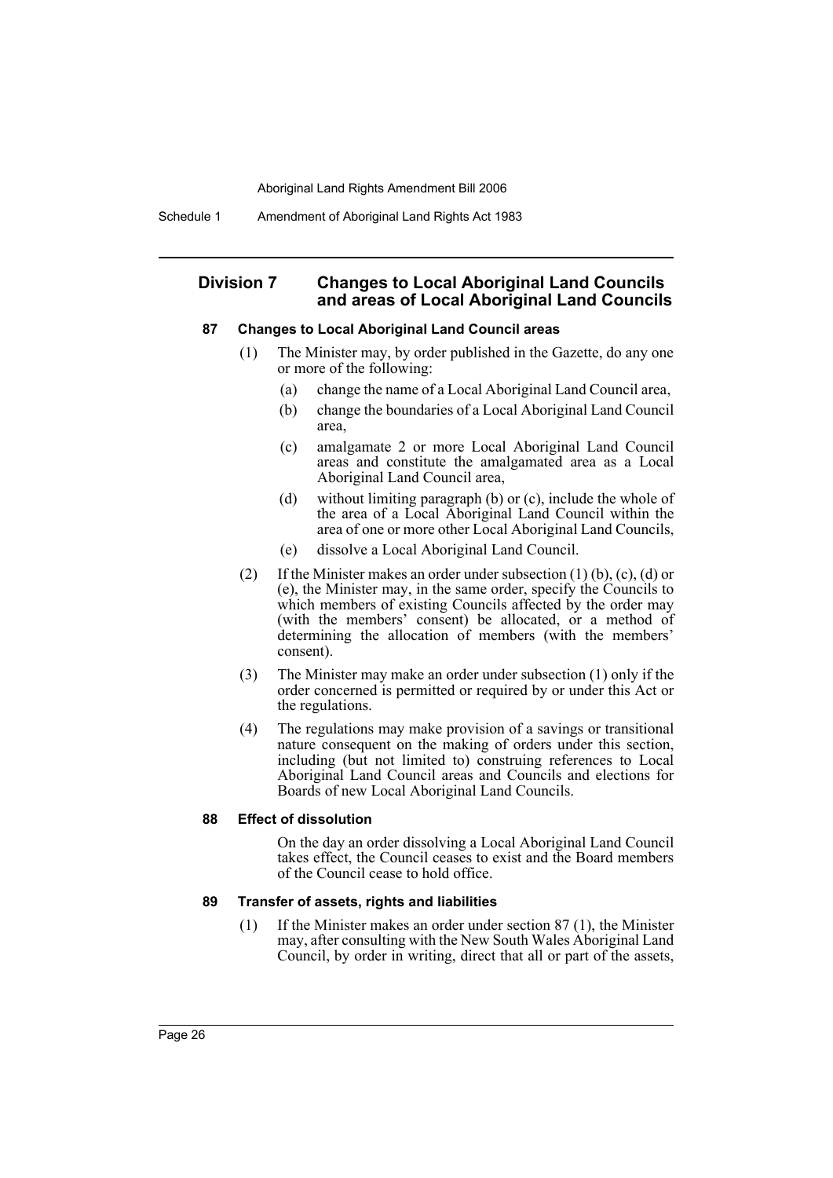# **Division 7 Changes to Local Aboriginal Land Councils and areas of Local Aboriginal Land Councils**

### **87 Changes to Local Aboriginal Land Council areas**

- (1) The Minister may, by order published in the Gazette, do any one or more of the following:
	- (a) change the name of a Local Aboriginal Land Council area,
	- (b) change the boundaries of a Local Aboriginal Land Council area,
	- (c) amalgamate 2 or more Local Aboriginal Land Council areas and constitute the amalgamated area as a Local Aboriginal Land Council area,
	- (d) without limiting paragraph (b) or (c), include the whole of the area of a Local Aboriginal Land Council within the area of one or more other Local Aboriginal Land Councils,
	- (e) dissolve a Local Aboriginal Land Council.
- (2) If the Minister makes an order under subsection (1) (b), (c), (d) or (e), the Minister may, in the same order, specify the Councils to which members of existing Councils affected by the order may (with the members' consent) be allocated, or a method of determining the allocation of members (with the members' consent).
- (3) The Minister may make an order under subsection (1) only if the order concerned is permitted or required by or under this Act or the regulations.
- (4) The regulations may make provision of a savings or transitional nature consequent on the making of orders under this section, including (but not limited to) construing references to Local Aboriginal Land Council areas and Councils and elections for Boards of new Local Aboriginal Land Councils.

### **88 Effect of dissolution**

On the day an order dissolving a Local Aboriginal Land Council takes effect, the Council ceases to exist and the Board members of the Council cease to hold office.

### **89 Transfer of assets, rights and liabilities**

(1) If the Minister makes an order under section 87 (1), the Minister may, after consulting with the New South Wales Aboriginal Land Council, by order in writing, direct that all or part of the assets,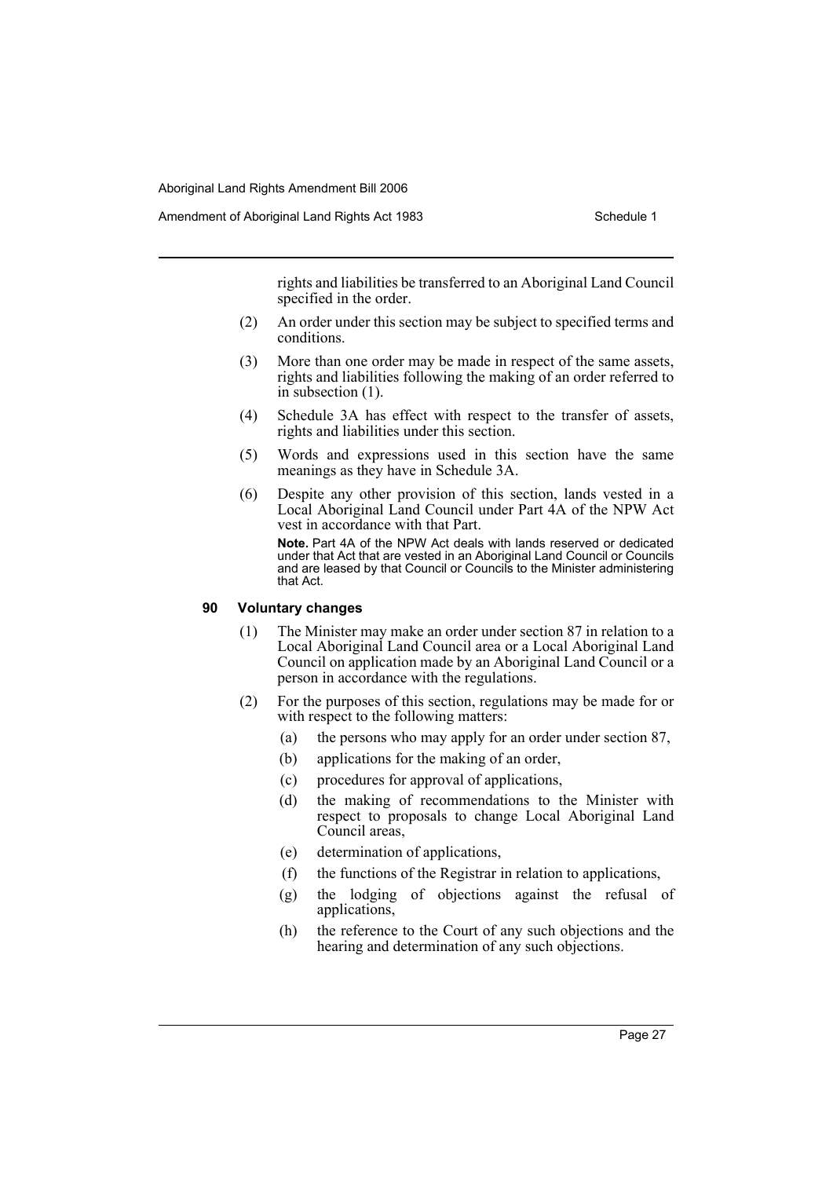rights and liabilities be transferred to an Aboriginal Land Council specified in the order.

- (2) An order under this section may be subject to specified terms and conditions.
- (3) More than one order may be made in respect of the same assets, rights and liabilities following the making of an order referred to in subsection (1).
- (4) Schedule 3A has effect with respect to the transfer of assets, rights and liabilities under this section.
- (5) Words and expressions used in this section have the same meanings as they have in Schedule 3A.
- (6) Despite any other provision of this section, lands vested in a Local Aboriginal Land Council under Part 4A of the NPW Act vest in accordance with that Part. **Note.** Part 4A of the NPW Act deals with lands reserved or dedicated

under that Act that are vested in an Aboriginal Land Council or Councils and are leased by that Council or Councils to the Minister administering that Act.

# **90 Voluntary changes**

- (1) The Minister may make an order under section 87 in relation to a Local Aboriginal Land Council area or a Local Aboriginal Land Council on application made by an Aboriginal Land Council or a person in accordance with the regulations.
- (2) For the purposes of this section, regulations may be made for or with respect to the following matters:
	- (a) the persons who may apply for an order under section 87,
	- (b) applications for the making of an order,
	- (c) procedures for approval of applications,
	- (d) the making of recommendations to the Minister with respect to proposals to change Local Aboriginal Land Council areas,
	- (e) determination of applications,
	- (f) the functions of the Registrar in relation to applications,
	- (g) the lodging of objections against the refusal of applications,
	- (h) the reference to the Court of any such objections and the hearing and determination of any such objections.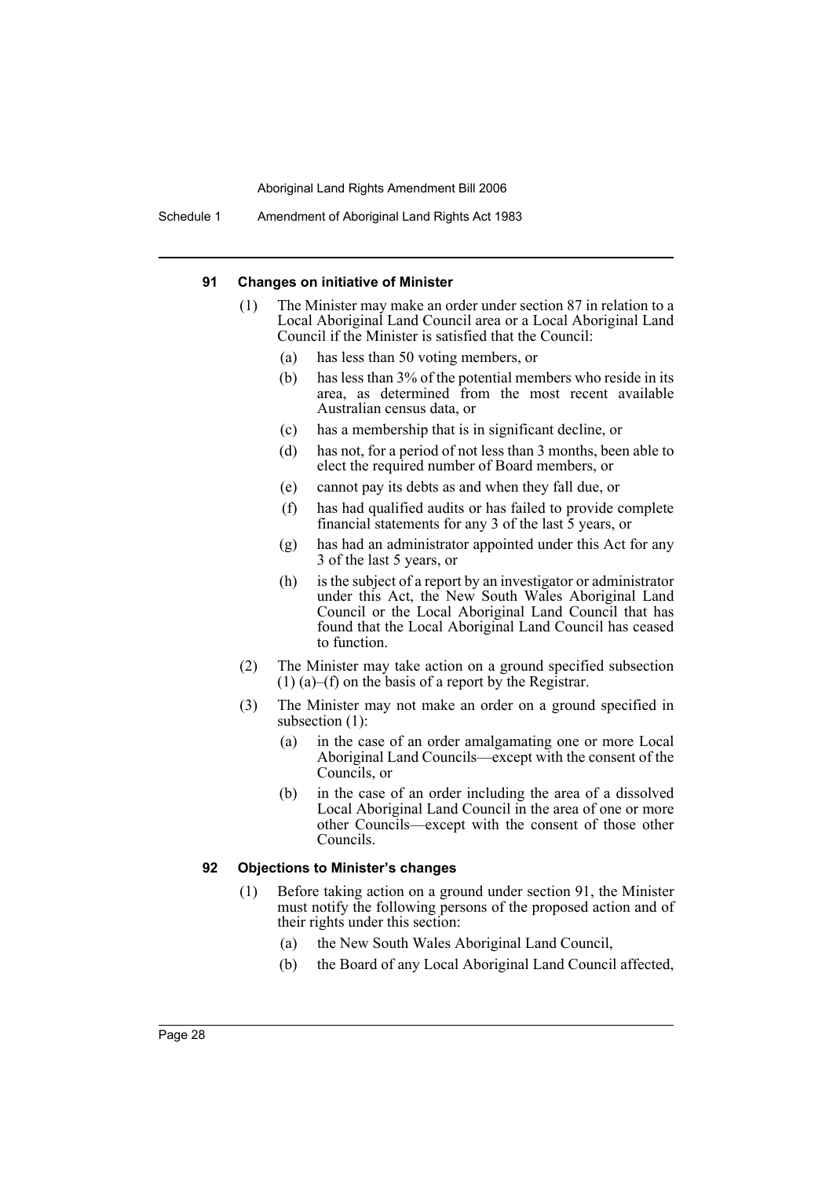Schedule 1 Amendment of Aboriginal Land Rights Act 1983

### **91 Changes on initiative of Minister**

- (1) The Minister may make an order under section 87 in relation to a Local Aboriginal Land Council area or a Local Aboriginal Land Council if the Minister is satisfied that the Council:
	- (a) has less than 50 voting members, or
	- (b) has less than 3% of the potential members who reside in its area, as determined from the most recent available Australian census data, or
	- (c) has a membership that is in significant decline, or
	- (d) has not, for a period of not less than 3 months, been able to elect the required number of Board members, or
	- (e) cannot pay its debts as and when they fall due, or
	- (f) has had qualified audits or has failed to provide complete financial statements for any 3 of the last 5 years, or
	- (g) has had an administrator appointed under this Act for any 3 of the last 5 years, or
	- (h) is the subject of a report by an investigator or administrator under this Act, the New South Wales Aboriginal Land Council or the Local Aboriginal Land Council that has found that the Local Aboriginal Land Council has ceased to function.
- (2) The Minister may take action on a ground specified subsection (1) (a)–(f) on the basis of a report by the Registrar.
- (3) The Minister may not make an order on a ground specified in subsection  $(1)$ :
	- (a) in the case of an order amalgamating one or more Local Aboriginal Land Councils—except with the consent of the Councils, or
	- (b) in the case of an order including the area of a dissolved Local Aboriginal Land Council in the area of one or more other Councils—except with the consent of those other Councils.

### **92 Objections to Minister's changes**

- (1) Before taking action on a ground under section 91, the Minister must notify the following persons of the proposed action and of their rights under this section:
	- (a) the New South Wales Aboriginal Land Council,
	- (b) the Board of any Local Aboriginal Land Council affected,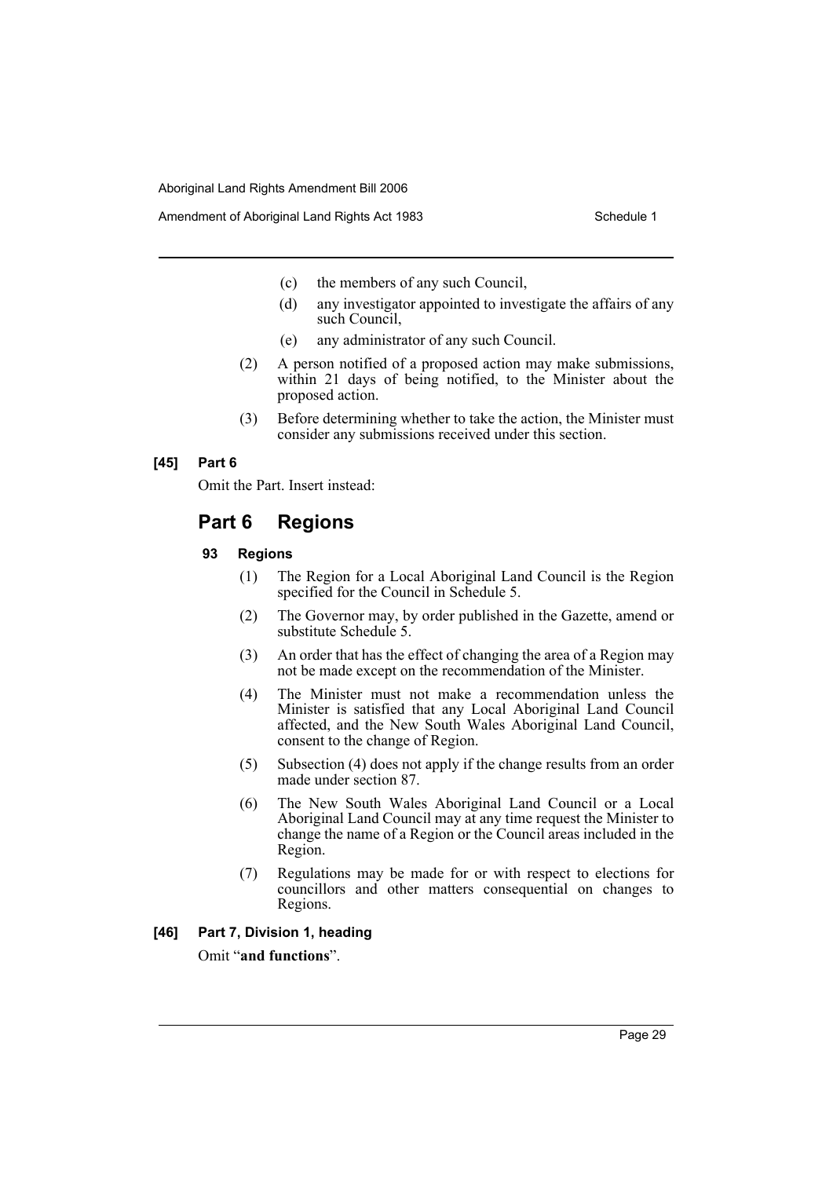- (c) the members of any such Council,
- (d) any investigator appointed to investigate the affairs of any such Council,
- (e) any administrator of any such Council.
- (2) A person notified of a proposed action may make submissions, within 21 days of being notified, to the Minister about the proposed action.
- (3) Before determining whether to take the action, the Minister must consider any submissions received under this section.

### **[45] Part 6**

Omit the Part. Insert instead:

# **Part 6 Regions**

### **93 Regions**

- (1) The Region for a Local Aboriginal Land Council is the Region specified for the Council in Schedule 5.
- (2) The Governor may, by order published in the Gazette, amend or substitute Schedule 5.
- (3) An order that has the effect of changing the area of a Region may not be made except on the recommendation of the Minister.
- (4) The Minister must not make a recommendation unless the Minister is satisfied that any Local Aboriginal Land Council affected, and the New South Wales Aboriginal Land Council, consent to the change of Region.
- (5) Subsection (4) does not apply if the change results from an order made under section 87.
- (6) The New South Wales Aboriginal Land Council or a Local Aboriginal Land Council may at any time request the Minister to change the name of a Region or the Council areas included in the Region.
- (7) Regulations may be made for or with respect to elections for councillors and other matters consequential on changes to Regions.
- **[46] Part 7, Division 1, heading**

Omit "**and functions**".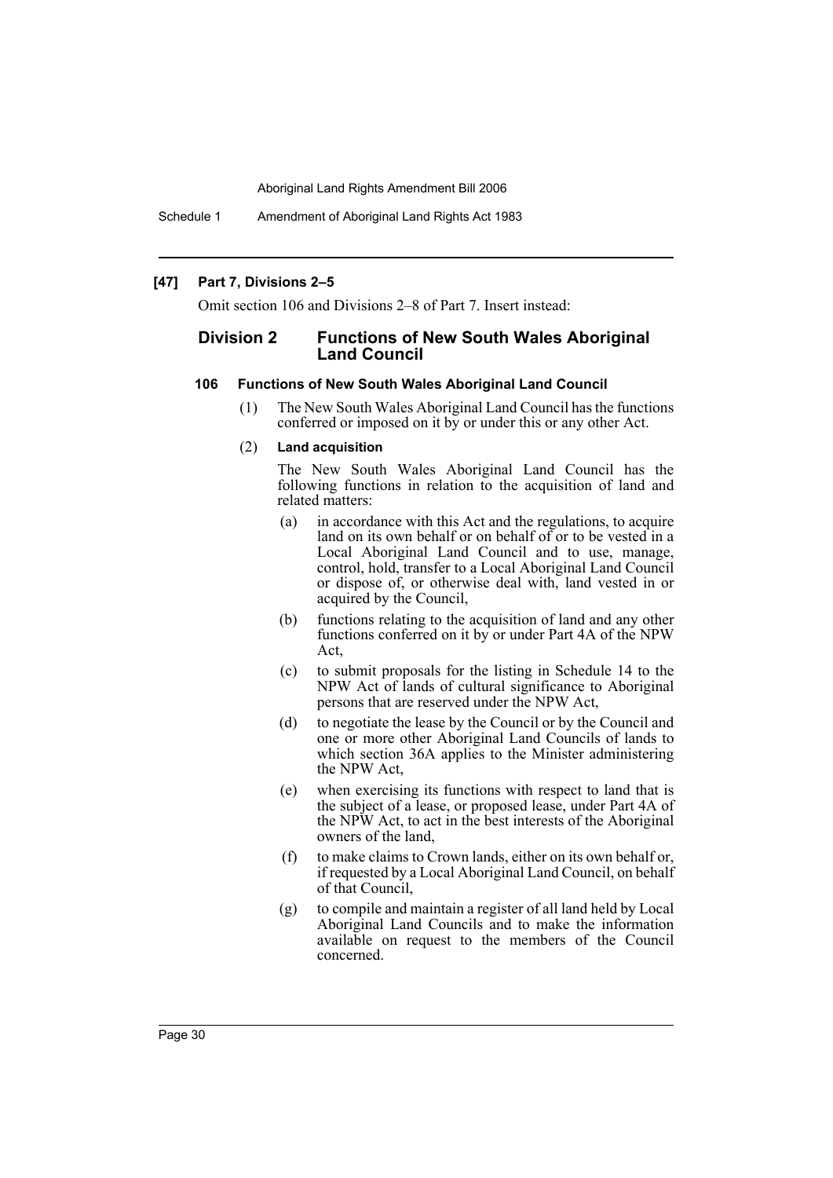Schedule 1 Amendment of Aboriginal Land Rights Act 1983

### **[47] Part 7, Divisions 2–5**

Omit section 106 and Divisions 2–8 of Part 7. Insert instead:

# **Division 2 Functions of New South Wales Aboriginal Land Council**

### **106 Functions of New South Wales Aboriginal Land Council**

(1) The New South Wales Aboriginal Land Council has the functions conferred or imposed on it by or under this or any other Act.

### (2) **Land acquisition**

The New South Wales Aboriginal Land Council has the following functions in relation to the acquisition of land and related matters:

- (a) in accordance with this Act and the regulations, to acquire land on its own behalf or on behalf of or to be vested in a Local Aboriginal Land Council and to use, manage, control, hold, transfer to a Local Aboriginal Land Council or dispose of, or otherwise deal with, land vested in or acquired by the Council,
- (b) functions relating to the acquisition of land and any other functions conferred on it by or under Part 4A of the NPW Act,
- (c) to submit proposals for the listing in Schedule 14 to the NPW Act of lands of cultural significance to Aboriginal persons that are reserved under the NPW Act,
- (d) to negotiate the lease by the Council or by the Council and one or more other Aboriginal Land Councils of lands to which section 36A applies to the Minister administering the NPW Act,
- (e) when exercising its functions with respect to land that is the subject of a lease, or proposed lease, under Part 4A of the NPW Act, to act in the best interests of the Aboriginal owners of the land,
- (f) to make claims to Crown lands, either on its own behalf or, if requested by a Local Aboriginal Land Council, on behalf of that Council,
- (g) to compile and maintain a register of all land held by Local Aboriginal Land Councils and to make the information available on request to the members of the Council concerned.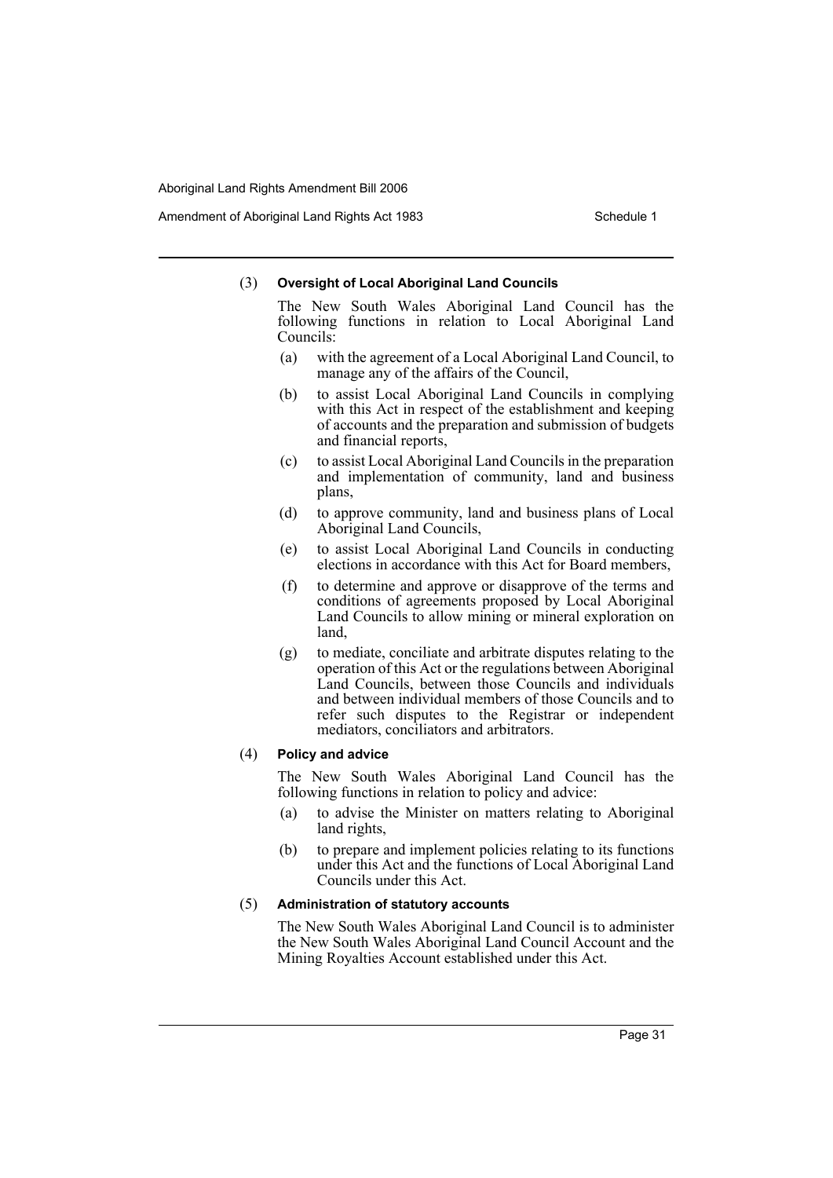Amendment of Aboriginal Land Rights Act 1983 Schedule 1

### (3) **Oversight of Local Aboriginal Land Councils**

The New South Wales Aboriginal Land Council has the following functions in relation to Local Aboriginal Land Councils:

- (a) with the agreement of a Local Aboriginal Land Council, to manage any of the affairs of the Council,
- (b) to assist Local Aboriginal Land Councils in complying with this Act in respect of the establishment and keeping of accounts and the preparation and submission of budgets and financial reports,
- (c) to assist Local Aboriginal Land Councils in the preparation and implementation of community, land and business plans,
- (d) to approve community, land and business plans of Local Aboriginal Land Councils,
- (e) to assist Local Aboriginal Land Councils in conducting elections in accordance with this Act for Board members,
- (f) to determine and approve or disapprove of the terms and conditions of agreements proposed by Local Aboriginal Land Councils to allow mining or mineral exploration on land,
- (g) to mediate, conciliate and arbitrate disputes relating to the operation of this Act or the regulations between Aboriginal Land Councils, between those Councils and individuals and between individual members of those Councils and to refer such disputes to the Registrar or independent mediators, conciliators and arbitrators.

### (4) **Policy and advice**

The New South Wales Aboriginal Land Council has the following functions in relation to policy and advice:

- (a) to advise the Minister on matters relating to Aboriginal land rights,
- (b) to prepare and implement policies relating to its functions under this Act and the functions of Local Aboriginal Land Councils under this Act.

# (5) **Administration of statutory accounts**

The New South Wales Aboriginal Land Council is to administer the New South Wales Aboriginal Land Council Account and the Mining Royalties Account established under this Act.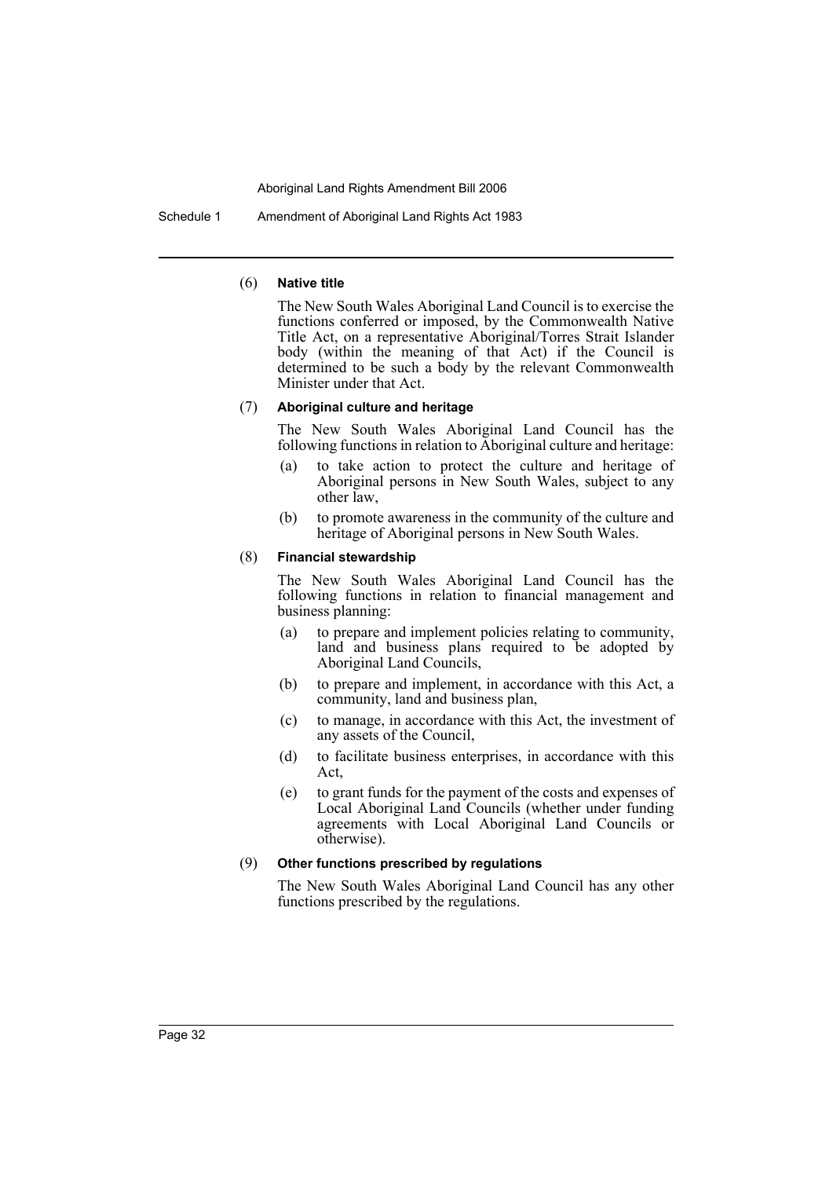Schedule 1 Amendment of Aboriginal Land Rights Act 1983

### (6) **Native title**

The New South Wales Aboriginal Land Council is to exercise the functions conferred or imposed, by the Commonwealth Native Title Act, on a representative Aboriginal/Torres Strait Islander body (within the meaning of that Act) if the Council is determined to be such a body by the relevant Commonwealth Minister under that Act.

### (7) **Aboriginal culture and heritage**

The New South Wales Aboriginal Land Council has the following functions in relation to Aboriginal culture and heritage:

- (a) to take action to protect the culture and heritage of Aboriginal persons in New South Wales, subject to any other law,
- (b) to promote awareness in the community of the culture and heritage of Aboriginal persons in New South Wales.

### (8) **Financial stewardship**

The New South Wales Aboriginal Land Council has the following functions in relation to financial management and business planning:

- (a) to prepare and implement policies relating to community, land and business plans required to be adopted by Aboriginal Land Councils,
- (b) to prepare and implement, in accordance with this Act, a community, land and business plan,
- (c) to manage, in accordance with this Act, the investment of any assets of the Council,
- (d) to facilitate business enterprises, in accordance with this Act,
- (e) to grant funds for the payment of the costs and expenses of Local Aboriginal Land Councils (whether under funding agreements with Local Aboriginal Land Councils or otherwise).

### (9) **Other functions prescribed by regulations**

The New South Wales Aboriginal Land Council has any other functions prescribed by the regulations.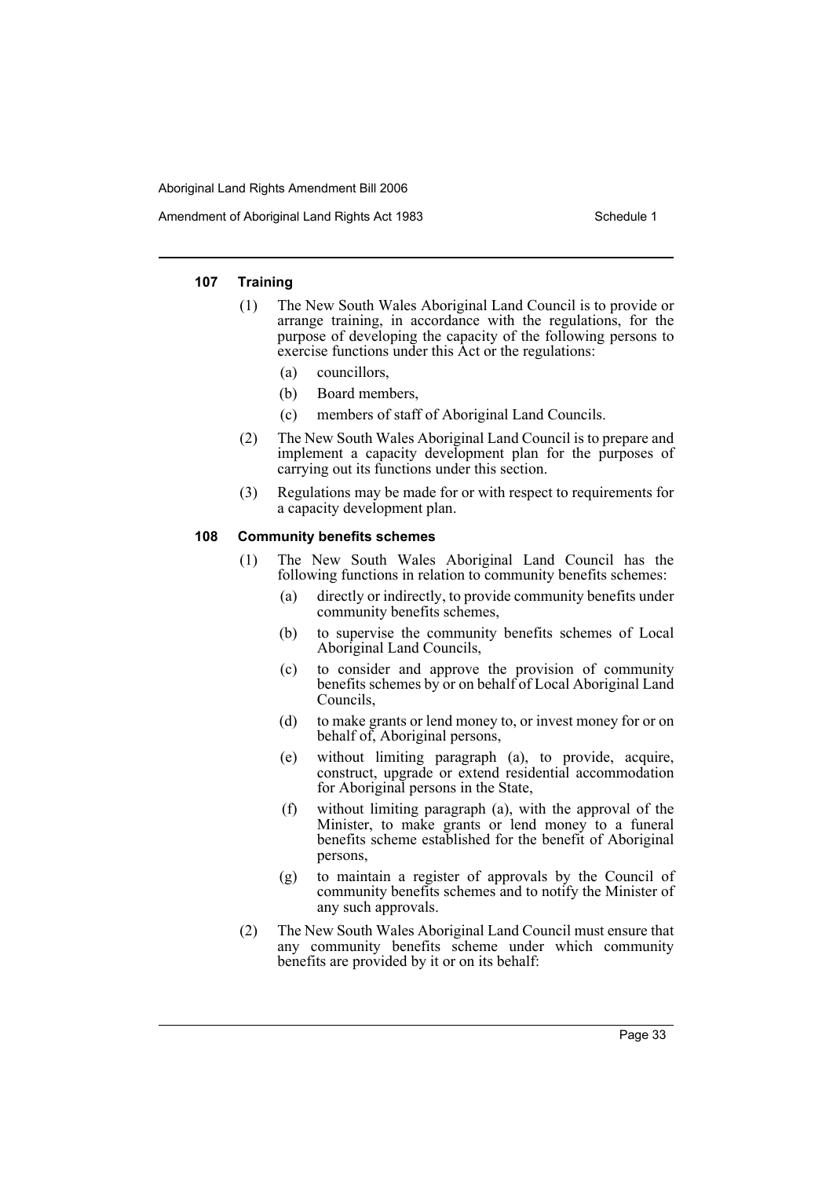Amendment of Aboriginal Land Rights Act 1983 Schedule 1

### **107 Training**

- (1) The New South Wales Aboriginal Land Council is to provide or arrange training, in accordance with the regulations, for the purpose of developing the capacity of the following persons to exercise functions under this Act or the regulations:
	- (a) councillors,
	- (b) Board members,
	- (c) members of staff of Aboriginal Land Councils.
- (2) The New South Wales Aboriginal Land Council is to prepare and implement a capacity development plan for the purposes of carrying out its functions under this section.
- (3) Regulations may be made for or with respect to requirements for a capacity development plan.

# **108 Community benefits schemes**

- (1) The New South Wales Aboriginal Land Council has the following functions in relation to community benefits schemes:
	- (a) directly or indirectly, to provide community benefits under community benefits schemes,
	- (b) to supervise the community benefits schemes of Local Aboriginal Land Councils,
	- (c) to consider and approve the provision of community benefits schemes by or on behalf of Local Aboriginal Land Councils,
	- (d) to make grants or lend money to, or invest money for or on behalf of, Aboriginal persons,
	- (e) without limiting paragraph (a), to provide, acquire, construct, upgrade or extend residential accommodation for Aboriginal persons in the State,
	- (f) without limiting paragraph (a), with the approval of the Minister, to make grants or lend money to a funeral benefits scheme established for the benefit of Aboriginal persons,
	- (g) to maintain a register of approvals by the Council of community benefits schemes and to notify the Minister of any such approvals.
- (2) The New South Wales Aboriginal Land Council must ensure that any community benefits scheme under which community benefits are provided by it or on its behalf: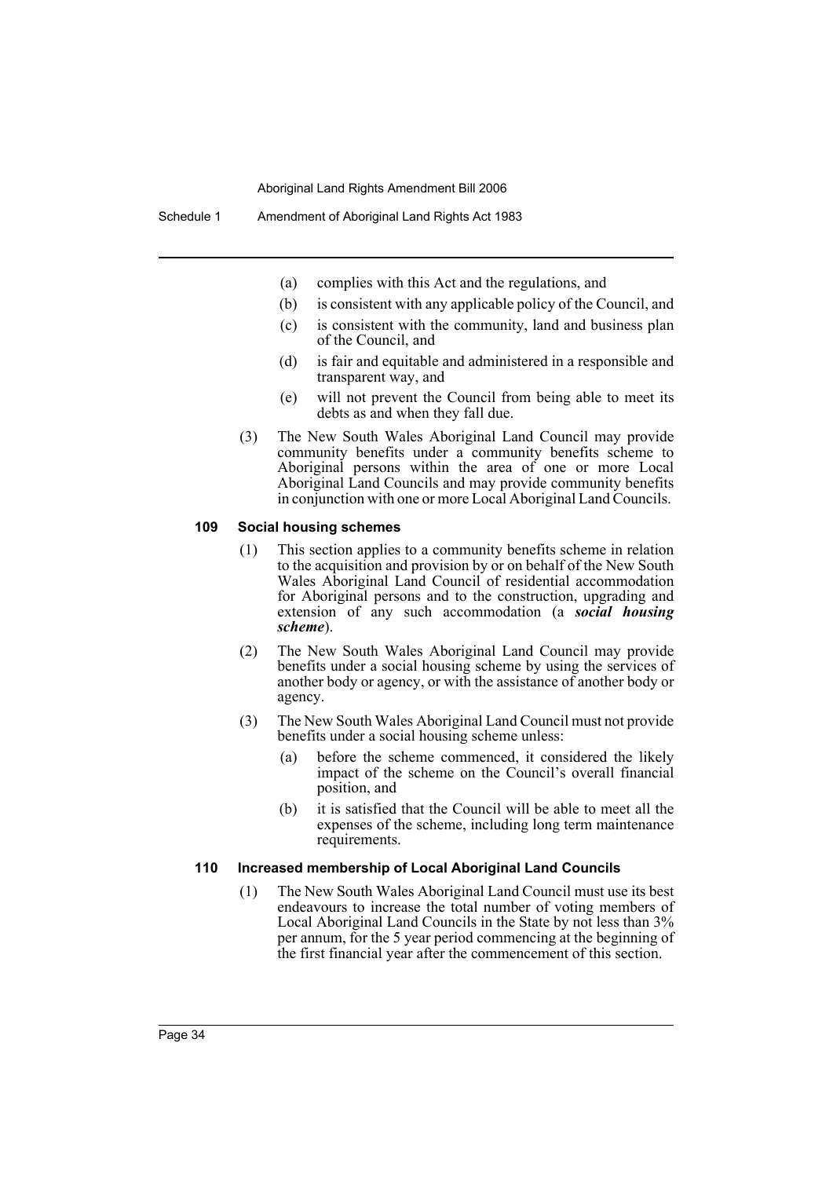- (a) complies with this Act and the regulations, and
- (b) is consistent with any applicable policy of the Council, and
- (c) is consistent with the community, land and business plan of the Council, and
- (d) is fair and equitable and administered in a responsible and transparent way, and
- (e) will not prevent the Council from being able to meet its debts as and when they fall due.
- (3) The New South Wales Aboriginal Land Council may provide community benefits under a community benefits scheme to Aboriginal persons within the area of one or more Local Aboriginal Land Councils and may provide community benefits in conjunction with one or more Local Aboriginal Land Councils.

# **109 Social housing schemes**

- (1) This section applies to a community benefits scheme in relation to the acquisition and provision by or on behalf of the New South Wales Aboriginal Land Council of residential accommodation for Aboriginal persons and to the construction, upgrading and extension of any such accommodation (a *social housing scheme*).
- (2) The New South Wales Aboriginal Land Council may provide benefits under a social housing scheme by using the services of another body or agency, or with the assistance of another body or agency.
- (3) The New South Wales Aboriginal Land Council must not provide benefits under a social housing scheme unless:
	- (a) before the scheme commenced, it considered the likely impact of the scheme on the Council's overall financial position, and
	- (b) it is satisfied that the Council will be able to meet all the expenses of the scheme, including long term maintenance requirements.

### **110 Increased membership of Local Aboriginal Land Councils**

(1) The New South Wales Aboriginal Land Council must use its best endeavours to increase the total number of voting members of Local Aboriginal Land Councils in the State by not less than 3% per annum, for the 5 year period commencing at the beginning of the first financial year after the commencement of this section.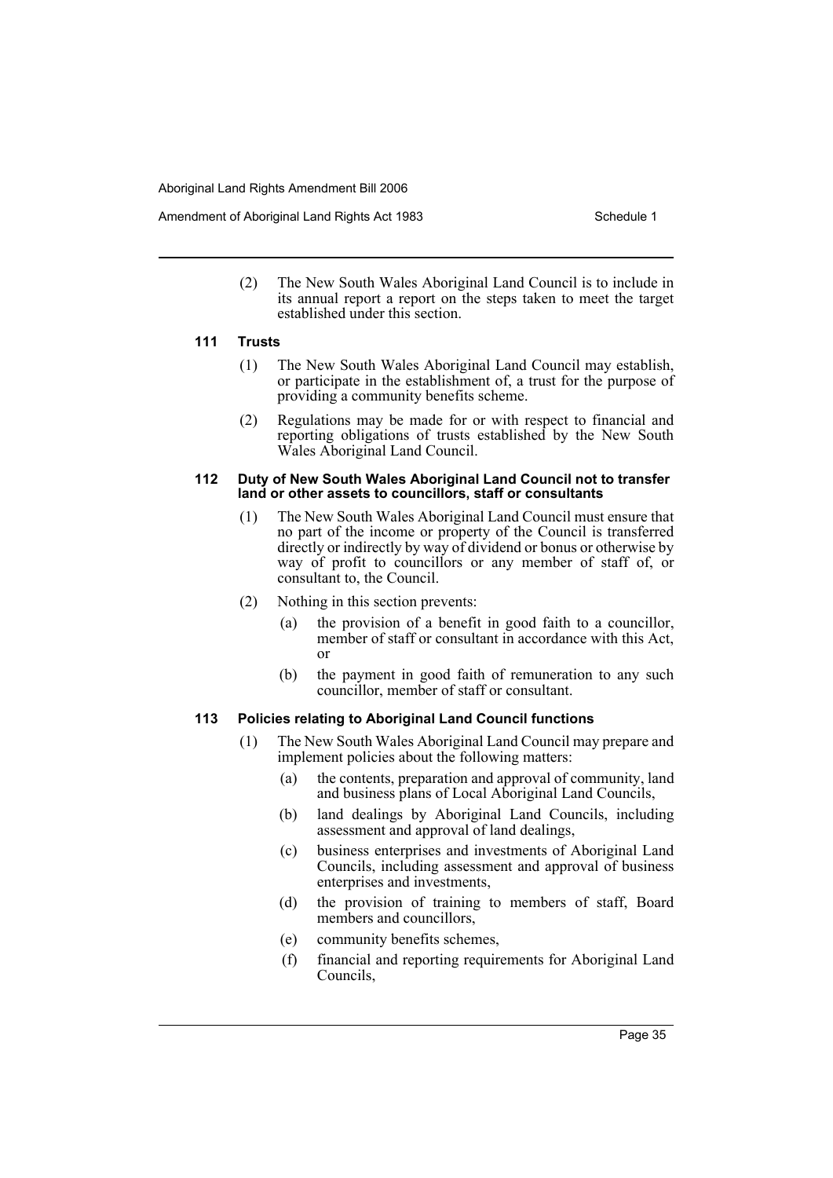Amendment of Aboriginal Land Rights Act 1983 Schedule 1

(2) The New South Wales Aboriginal Land Council is to include in its annual report a report on the steps taken to meet the target established under this section.

### **111 Trusts**

- (1) The New South Wales Aboriginal Land Council may establish, or participate in the establishment of, a trust for the purpose of providing a community benefits scheme.
- (2) Regulations may be made for or with respect to financial and reporting obligations of trusts established by the New South Wales Aboriginal Land Council.

### **112 Duty of New South Wales Aboriginal Land Council not to transfer land or other assets to councillors, staff or consultants**

- (1) The New South Wales Aboriginal Land Council must ensure that no part of the income or property of the Council is transferred directly or indirectly by way of dividend or bonus or otherwise by way of profit to councillors or any member of staff of, or consultant to, the Council.
- (2) Nothing in this section prevents:
	- (a) the provision of a benefit in good faith to a councillor, member of staff or consultant in accordance with this Act, or
	- (b) the payment in good faith of remuneration to any such councillor, member of staff or consultant.

# **113 Policies relating to Aboriginal Land Council functions**

- (1) The New South Wales Aboriginal Land Council may prepare and implement policies about the following matters:
	- (a) the contents, preparation and approval of community, land and business plans of Local Aboriginal Land Councils,
	- (b) land dealings by Aboriginal Land Councils, including assessment and approval of land dealings,
	- (c) business enterprises and investments of Aboriginal Land Councils, including assessment and approval of business enterprises and investments,
	- (d) the provision of training to members of staff, Board members and councillors,
	- (e) community benefits schemes,
	- (f) financial and reporting requirements for Aboriginal Land Councils,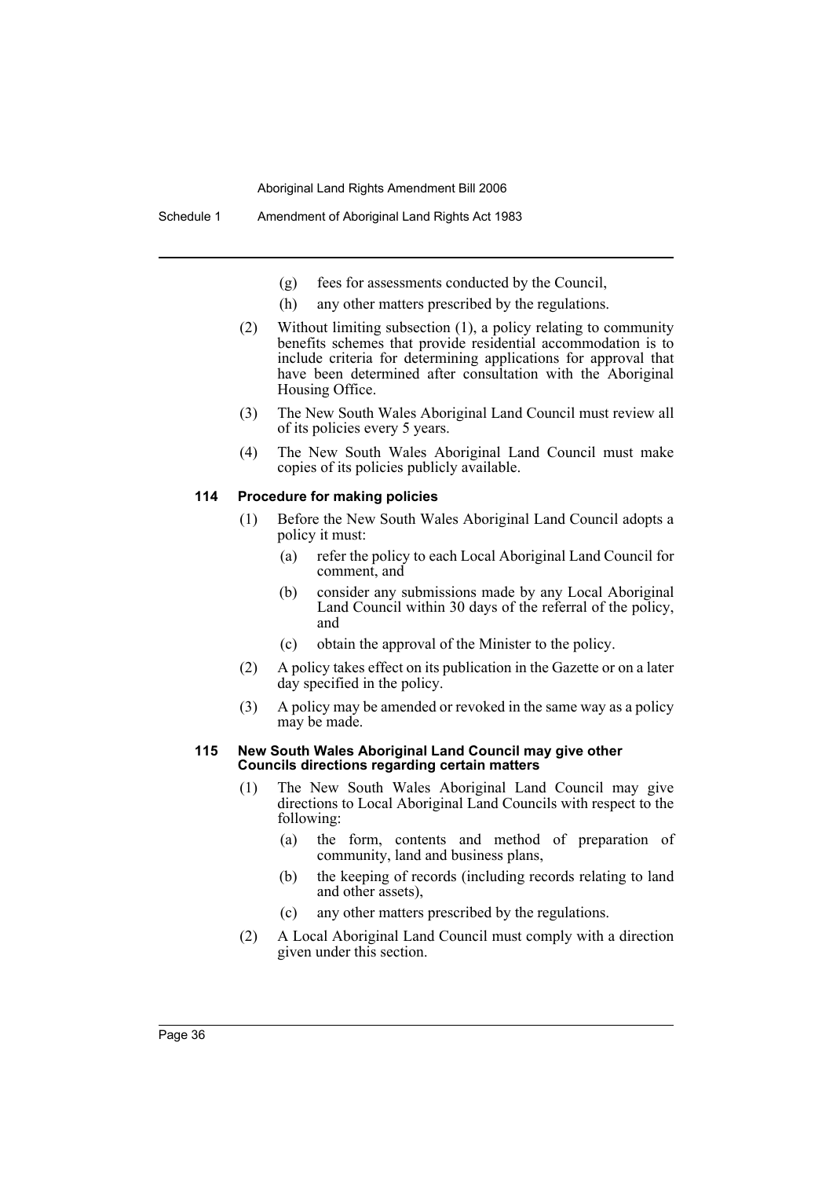- (g) fees for assessments conducted by the Council,
- (h) any other matters prescribed by the regulations.
- (2) Without limiting subsection (1), a policy relating to community benefits schemes that provide residential accommodation is to include criteria for determining applications for approval that have been determined after consultation with the Aboriginal Housing Office.
- (3) The New South Wales Aboriginal Land Council must review all of its policies every 5 years.
- (4) The New South Wales Aboriginal Land Council must make copies of its policies publicly available.

# **114 Procedure for making policies**

- (1) Before the New South Wales Aboriginal Land Council adopts a policy it must:
	- (a) refer the policy to each Local Aboriginal Land Council for comment, and
	- (b) consider any submissions made by any Local Aboriginal Land Council within 30 days of the referral of the policy, and
	- (c) obtain the approval of the Minister to the policy.
- (2) A policy takes effect on its publication in the Gazette or on a later day specified in the policy.
- (3) A policy may be amended or revoked in the same way as a policy may be made.

#### **115 New South Wales Aboriginal Land Council may give other Councils directions regarding certain matters**

- (1) The New South Wales Aboriginal Land Council may give directions to Local Aboriginal Land Councils with respect to the following:
	- (a) the form, contents and method of preparation of community, land and business plans,
	- (b) the keeping of records (including records relating to land and other assets),
	- (c) any other matters prescribed by the regulations.
- (2) A Local Aboriginal Land Council must comply with a direction given under this section.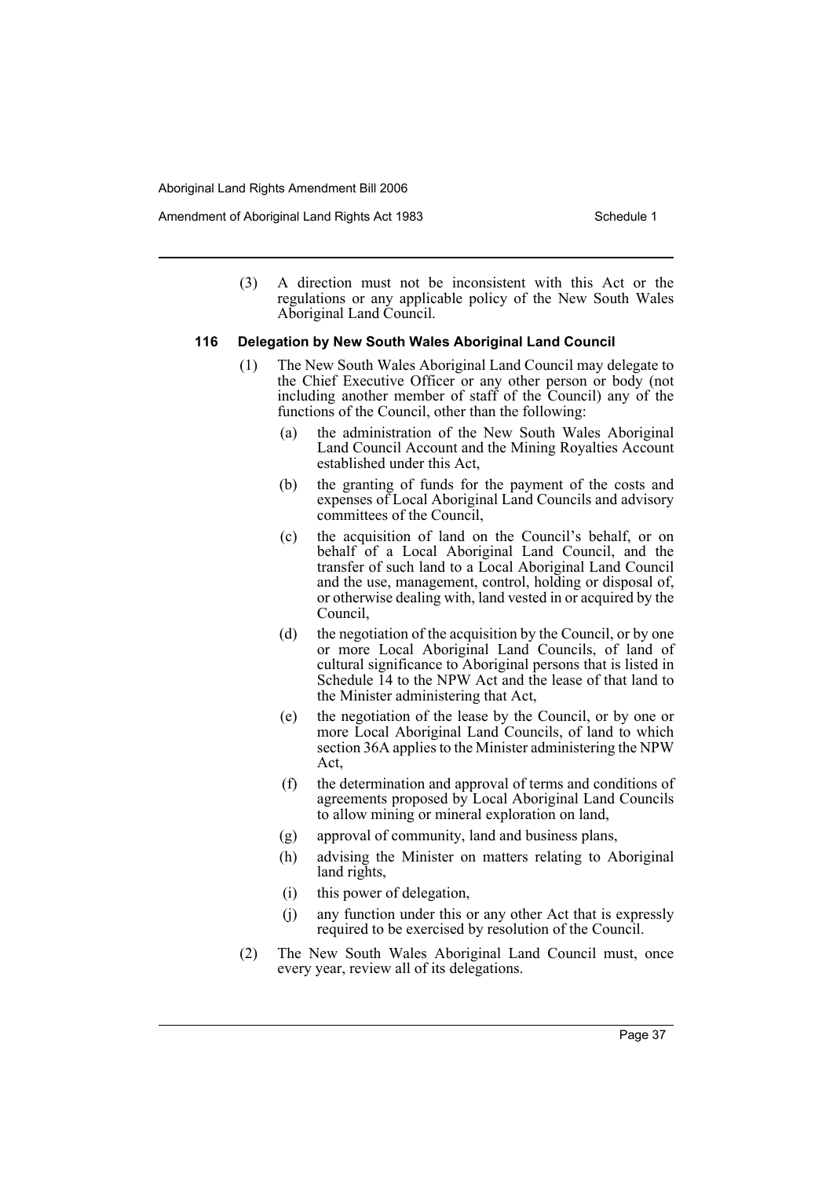(3) A direction must not be inconsistent with this Act or the regulations or any applicable policy of the New South Wales Aboriginal Land Council.

### **116 Delegation by New South Wales Aboriginal Land Council**

- (1) The New South Wales Aboriginal Land Council may delegate to the Chief Executive Officer or any other person or body (not including another member of staff of the Council) any of the functions of the Council, other than the following:
	- (a) the administration of the New South Wales Aboriginal Land Council Account and the Mining Royalties Account established under this Act,
	- (b) the granting of funds for the payment of the costs and expenses of Local Aboriginal Land Councils and advisory committees of the Council,
	- (c) the acquisition of land on the Council's behalf, or on behalf of a Local Aboriginal Land Council, and the transfer of such land to a Local Aboriginal Land Council and the use, management, control, holding or disposal of, or otherwise dealing with, land vested in or acquired by the Council,
	- (d) the negotiation of the acquisition by the Council, or by one or more Local Aboriginal Land Councils, of land of cultural significance to Aboriginal persons that is listed in Schedule 14 to the NPW Act and the lease of that land to the Minister administering that Act,
	- (e) the negotiation of the lease by the Council, or by one or more Local Aboriginal Land Councils, of land to which section 36A applies to the Minister administering the NPW Act,
	- (f) the determination and approval of terms and conditions of agreements proposed by Local Aboriginal Land Councils to allow mining or mineral exploration on land,
	- (g) approval of community, land and business plans,
	- (h) advising the Minister on matters relating to Aboriginal land rights,
	- (i) this power of delegation,
	- (j) any function under this or any other Act that is expressly required to be exercised by resolution of the Council.
- (2) The New South Wales Aboriginal Land Council must, once every year, review all of its delegations.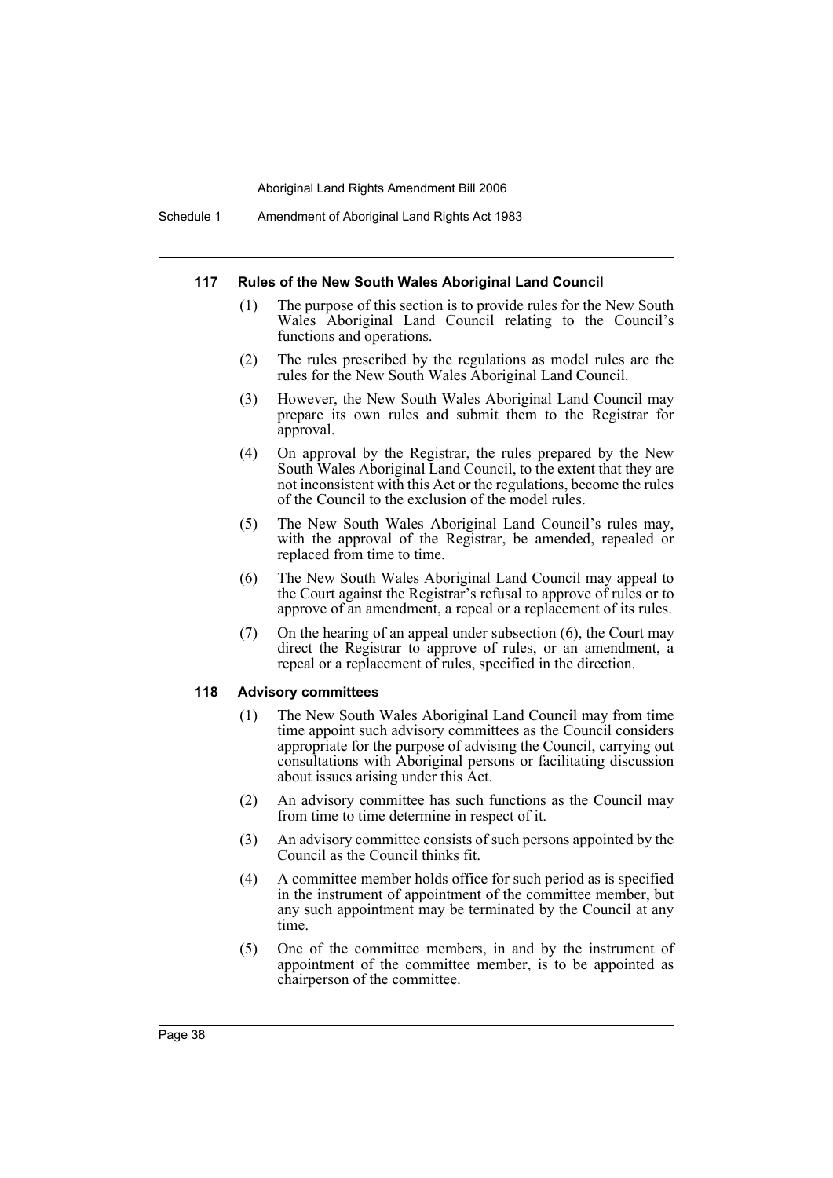Schedule 1 Amendment of Aboriginal Land Rights Act 1983

#### **117 Rules of the New South Wales Aboriginal Land Council**

- (1) The purpose of this section is to provide rules for the New South Wales Aboriginal Land Council relating to the Council's functions and operations.
- (2) The rules prescribed by the regulations as model rules are the rules for the New South Wales Aboriginal Land Council.
- (3) However, the New South Wales Aboriginal Land Council may prepare its own rules and submit them to the Registrar for approval.
- (4) On approval by the Registrar, the rules prepared by the New South Wales Aboriginal Land Council, to the extent that they are not inconsistent with this Act or the regulations, become the rules of the Council to the exclusion of the model rules.
- (5) The New South Wales Aboriginal Land Council's rules may, with the approval of the Registrar, be amended, repealed or replaced from time to time.
- (6) The New South Wales Aboriginal Land Council may appeal to the Court against the Registrar's refusal to approve of rules or to approve of an amendment, a repeal or a replacement of its rules.
- (7) On the hearing of an appeal under subsection (6), the Court may direct the Registrar to approve of rules, or an amendment, a repeal or a replacement of rules, specified in the direction.

#### **118 Advisory committees**

- (1) The New South Wales Aboriginal Land Council may from time time appoint such advisory committees as the Council considers appropriate for the purpose of advising the Council, carrying out consultations with Aboriginal persons or facilitating discussion about issues arising under this Act.
- (2) An advisory committee has such functions as the Council may from time to time determine in respect of it.
- (3) An advisory committee consists of such persons appointed by the Council as the Council thinks fit.
- (4) A committee member holds office for such period as is specified in the instrument of appointment of the committee member, but any such appointment may be terminated by the Council at any time.
- (5) One of the committee members, in and by the instrument of appointment of the committee member, is to be appointed as chairperson of the committee.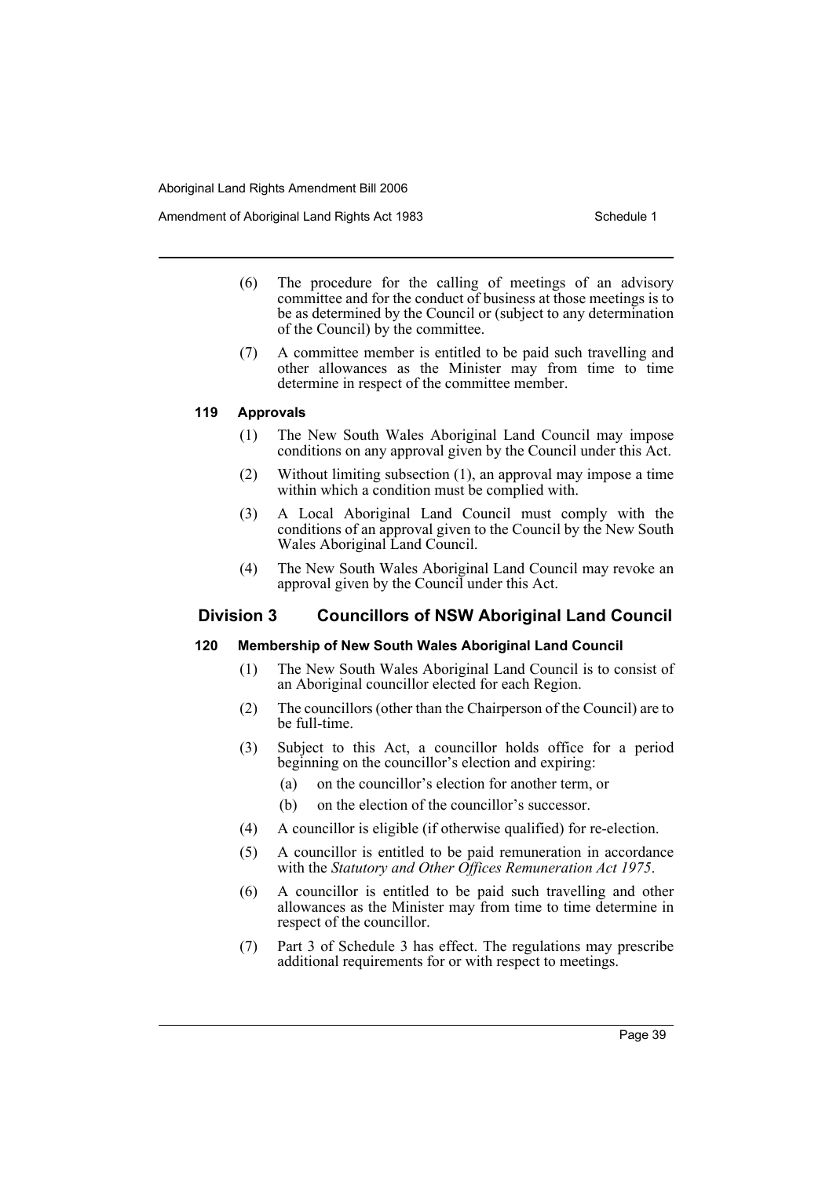- (6) The procedure for the calling of meetings of an advisory committee and for the conduct of business at those meetings is to be as determined by the Council or (subject to any determination of the Council) by the committee.
- (7) A committee member is entitled to be paid such travelling and other allowances as the Minister may from time to time determine in respect of the committee member.

### **119 Approvals**

- (1) The New South Wales Aboriginal Land Council may impose conditions on any approval given by the Council under this Act.
- (2) Without limiting subsection (1), an approval may impose a time within which a condition must be complied with.
- (3) A Local Aboriginal Land Council must comply with the conditions of an approval given to the Council by the New South Wales Aboriginal Land Council.
- (4) The New South Wales Aboriginal Land Council may revoke an approval given by the Council under this Act.

# **Division 3 Councillors of NSW Aboriginal Land Council**

### **120 Membership of New South Wales Aboriginal Land Council**

- (1) The New South Wales Aboriginal Land Council is to consist of an Aboriginal councillor elected for each Region.
- (2) The councillors (other than the Chairperson of the Council) are to be full-time.
- (3) Subject to this Act, a councillor holds office for a period beginning on the councillor's election and expiring:
	- (a) on the councillor's election for another term, or
	- (b) on the election of the councillor's successor.
- (4) A councillor is eligible (if otherwise qualified) for re-election.
- (5) A councillor is entitled to be paid remuneration in accordance with the *Statutory and Other Offices Remuneration Act 1975*.
- (6) A councillor is entitled to be paid such travelling and other allowances as the Minister may from time to time determine in respect of the councillor.
- (7) Part 3 of Schedule 3 has effect. The regulations may prescribe additional requirements for or with respect to meetings.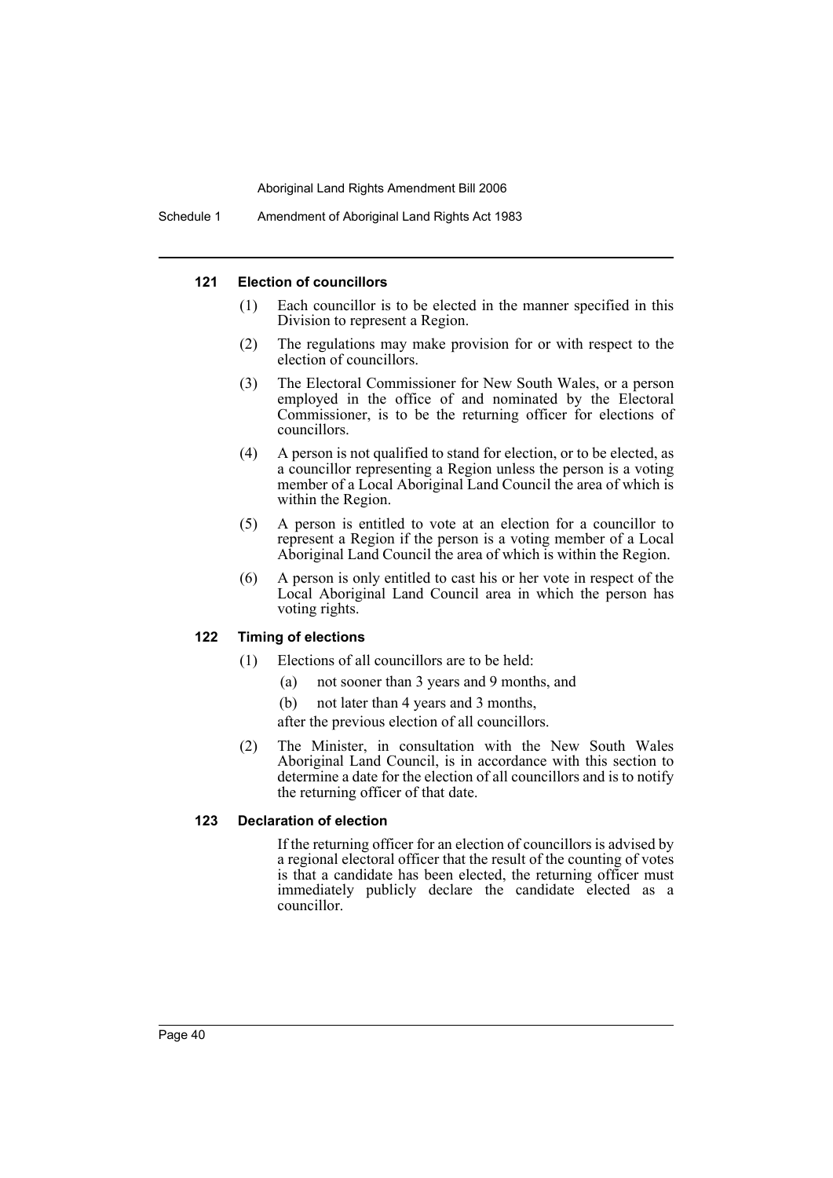### **121 Election of councillors**

- (1) Each councillor is to be elected in the manner specified in this Division to represent a Region.
- (2) The regulations may make provision for or with respect to the election of councillors.
- (3) The Electoral Commissioner for New South Wales, or a person employed in the office of and nominated by the Electoral Commissioner, is to be the returning officer for elections of councillors.
- (4) A person is not qualified to stand for election, or to be elected, as a councillor representing a Region unless the person is a voting member of a Local Aboriginal Land Council the area of which is within the Region.
- (5) A person is entitled to vote at an election for a councillor to represent a Region if the person is a voting member of a Local Aboriginal Land Council the area of which is within the Region.
- (6) A person is only entitled to cast his or her vote in respect of the Local Aboriginal Land Council area in which the person has voting rights.

# **122 Timing of elections**

- (1) Elections of all councillors are to be held:
	- (a) not sooner than 3 years and 9 months, and
	- (b) not later than 4 years and 3 months,

after the previous election of all councillors.

(2) The Minister, in consultation with the New South Wales Aboriginal Land Council, is in accordance with this section to determine a date for the election of all councillors and is to notify the returning officer of that date.

### **123 Declaration of election**

If the returning officer for an election of councillors is advised by a regional electoral officer that the result of the counting of votes is that a candidate has been elected, the returning officer must immediately publicly declare the candidate elected as a councillor.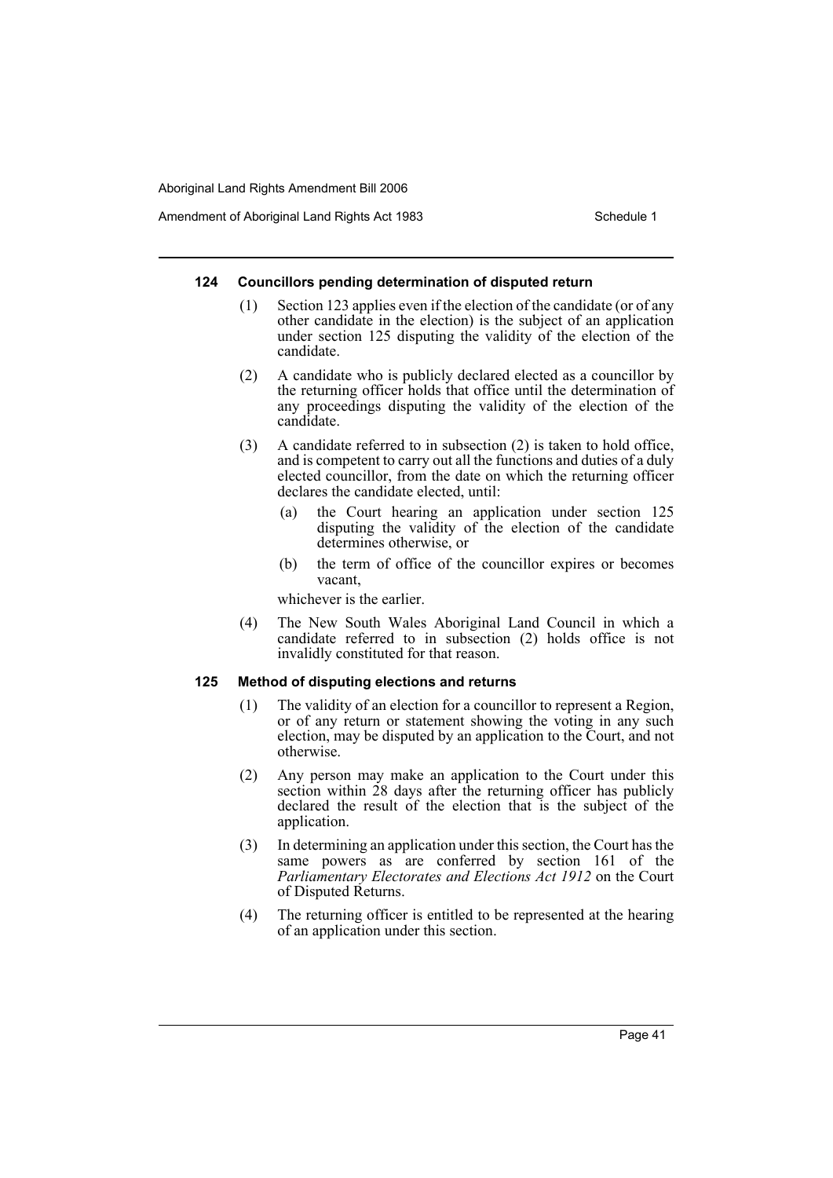#### **124 Councillors pending determination of disputed return**

- (1) Section 123 applies even if the election of the candidate (or of any other candidate in the election) is the subject of an application under section 125 disputing the validity of the election of the candidate.
- (2) A candidate who is publicly declared elected as a councillor by the returning officer holds that office until the determination of any proceedings disputing the validity of the election of the candidate.
- (3) A candidate referred to in subsection (2) is taken to hold office, and is competent to carry out all the functions and duties of a duly elected councillor, from the date on which the returning officer declares the candidate elected, until:
	- (a) the Court hearing an application under section 125 disputing the validity of the election of the candidate determines otherwise, or
	- (b) the term of office of the councillor expires or becomes vacant,

whichever is the earlier.

(4) The New South Wales Aboriginal Land Council in which a candidate referred to in subsection (2) holds office is not invalidly constituted for that reason.

## **125 Method of disputing elections and returns**

- (1) The validity of an election for a councillor to represent a Region, or of any return or statement showing the voting in any such election, may be disputed by an application to the Court, and not otherwise.
- (2) Any person may make an application to the Court under this section within 28 days after the returning officer has publicly declared the result of the election that is the subject of the application.
- (3) In determining an application under this section, the Court has the same powers as are conferred by section 161 of the *Parliamentary Electorates and Elections Act 1912* on the Court of Disputed Returns.
- (4) The returning officer is entitled to be represented at the hearing of an application under this section.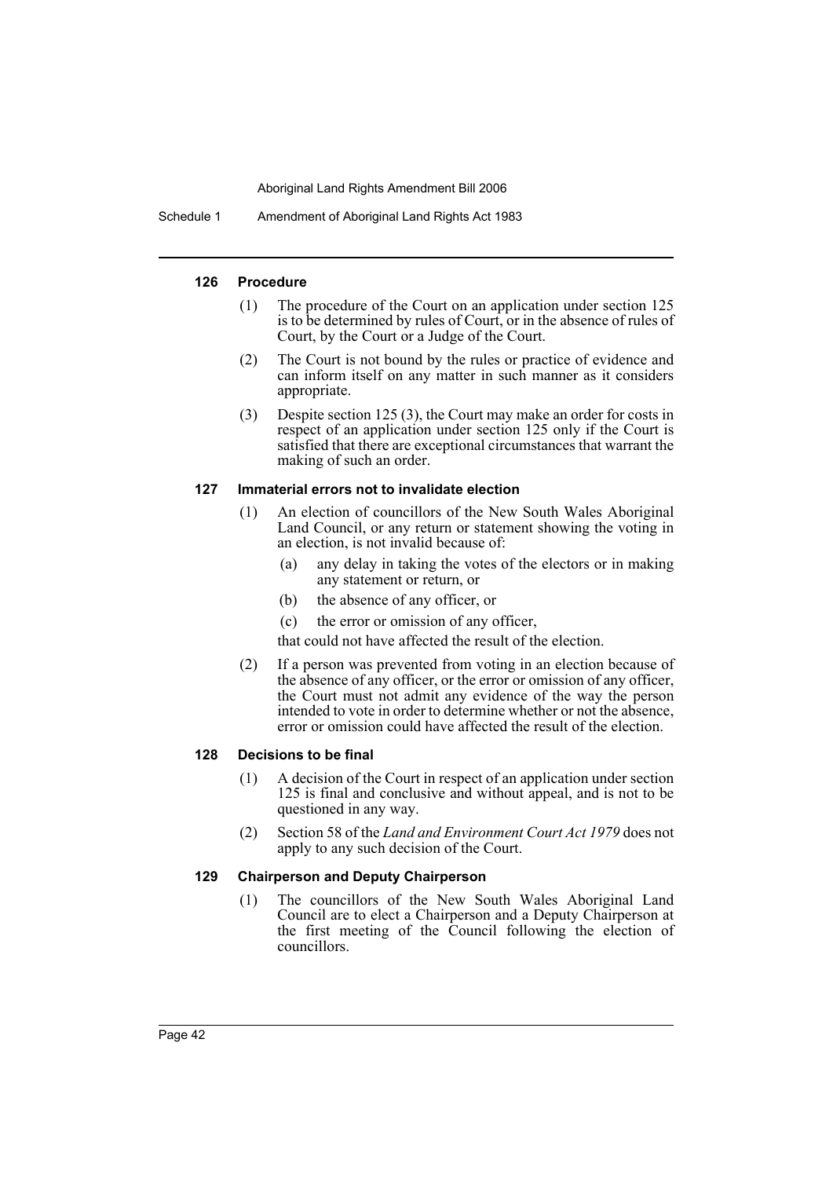Schedule 1 Amendment of Aboriginal Land Rights Act 1983

### **126 Procedure**

- (1) The procedure of the Court on an application under section 125 is to be determined by rules of Court, or in the absence of rules of Court, by the Court or a Judge of the Court.
- (2) The Court is not bound by the rules or practice of evidence and can inform itself on any matter in such manner as it considers appropriate.
- (3) Despite section 125 (3), the Court may make an order for costs in respect of an application under section 125 only if the Court is satisfied that there are exceptional circumstances that warrant the making of such an order.

### **127 Immaterial errors not to invalidate election**

- (1) An election of councillors of the New South Wales Aboriginal Land Council, or any return or statement showing the voting in an election, is not invalid because of:
	- (a) any delay in taking the votes of the electors or in making any statement or return, or
	- (b) the absence of any officer, or
	- (c) the error or omission of any officer,

that could not have affected the result of the election.

(2) If a person was prevented from voting in an election because of the absence of any officer, or the error or omission of any officer, the Court must not admit any evidence of the way the person intended to vote in order to determine whether or not the absence, error or omission could have affected the result of the election.

# **128 Decisions to be final**

- (1) A decision of the Court in respect of an application under section 125 is final and conclusive and without appeal, and is not to be questioned in any way.
- (2) Section 58 of the *Land and Environment Court Act 1979* does not apply to any such decision of the Court.

### **129 Chairperson and Deputy Chairperson**

(1) The councillors of the New South Wales Aboriginal Land Council are to elect a Chairperson and a Deputy Chairperson at the first meeting of the Council following the election of councillors.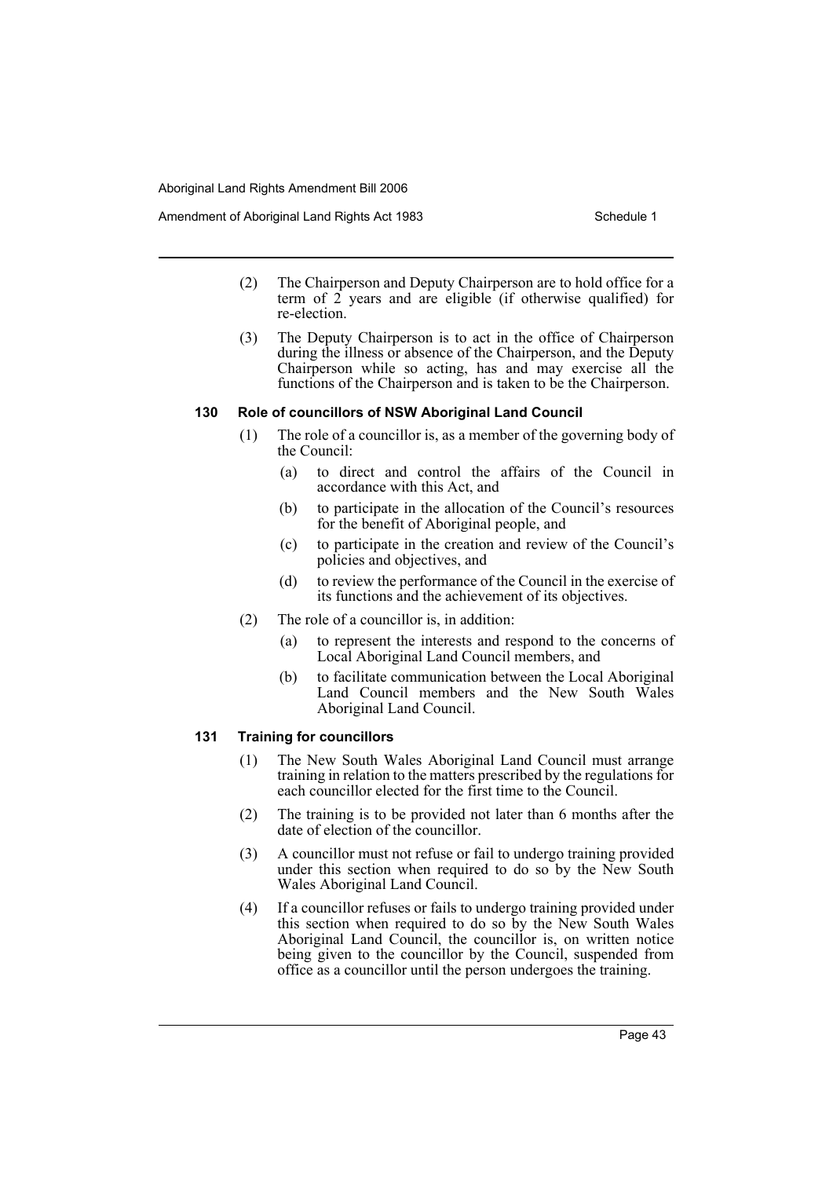- (2) The Chairperson and Deputy Chairperson are to hold office for a term of  $\hat{2}$  years and are eligible (if otherwise qualified) for re-election.
- (3) The Deputy Chairperson is to act in the office of Chairperson during the illness or absence of the Chairperson, and the Deputy Chairperson while so acting, has and may exercise all the functions of the Chairperson and is taken to be the Chairperson.

### **130 Role of councillors of NSW Aboriginal Land Council**

- (1) The role of a councillor is, as a member of the governing body of the Council:
	- (a) to direct and control the affairs of the Council in accordance with this Act, and
	- (b) to participate in the allocation of the Council's resources for the benefit of Aboriginal people, and
	- (c) to participate in the creation and review of the Council's policies and objectives, and
	- (d) to review the performance of the Council in the exercise of its functions and the achievement of its objectives.
- (2) The role of a councillor is, in addition:
	- (a) to represent the interests and respond to the concerns of Local Aboriginal Land Council members, and
	- (b) to facilitate communication between the Local Aboriginal Land Council members and the New South Wales Aboriginal Land Council.

# **131 Training for councillors**

- (1) The New South Wales Aboriginal Land Council must arrange training in relation to the matters prescribed by the regulations for each councillor elected for the first time to the Council.
- (2) The training is to be provided not later than 6 months after the date of election of the councillor.
- (3) A councillor must not refuse or fail to undergo training provided under this section when required to do so by the New South Wales Aboriginal Land Council.
- (4) If a councillor refuses or fails to undergo training provided under this section when required to do so by the New South Wales Aboriginal Land Council, the councillor is, on written notice being given to the councillor by the Council, suspended from office as a councillor until the person undergoes the training.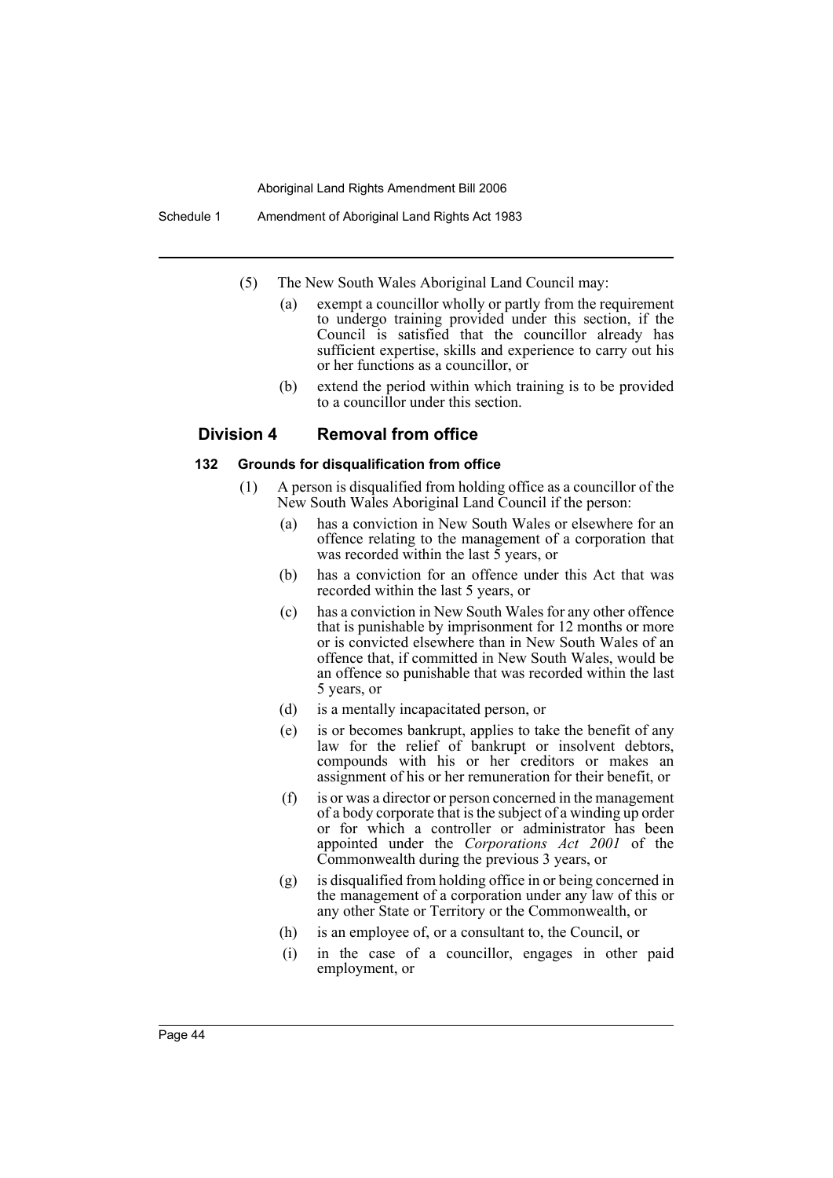Schedule 1 Amendment of Aboriginal Land Rights Act 1983

- (5) The New South Wales Aboriginal Land Council may:
	- (a) exempt a councillor wholly or partly from the requirement to undergo training provided under this section, if the Council is satisfied that the councillor already has sufficient expertise, skills and experience to carry out his or her functions as a councillor, or
	- (b) extend the period within which training is to be provided to a councillor under this section.

## **Division 4 Removal from office**

#### **132 Grounds for disqualification from office**

- (1) A person is disqualified from holding office as a councillor of the New South Wales Aboriginal Land Council if the person:
	- (a) has a conviction in New South Wales or elsewhere for an offence relating to the management of a corporation that was recorded within the last  $\bar{5}$  years, or
	- (b) has a conviction for an offence under this Act that was recorded within the last 5 years, or
	- (c) has a conviction in New South Wales for any other offence that is punishable by imprisonment for 12 months or more or is convicted elsewhere than in New South Wales of an offence that, if committed in New South Wales, would be an offence so punishable that was recorded within the last 5 years, or
	- (d) is a mentally incapacitated person, or
	- (e) is or becomes bankrupt, applies to take the benefit of any law for the relief of bankrupt or insolvent debtors, compounds with his or her creditors or makes an assignment of his or her remuneration for their benefit, or
	- (f) is or was a director or person concerned in the management of a body corporate that is the subject of a winding up order or for which a controller or administrator has been appointed under the *Corporations Act 2001* of the Commonwealth during the previous 3 years, or
	- (g) is disqualified from holding office in or being concerned in the management of a corporation under any law of this or any other State or Territory or the Commonwealth, or
	- (h) is an employee of, or a consultant to, the Council, or
	- (i) in the case of a councillor, engages in other paid employment, or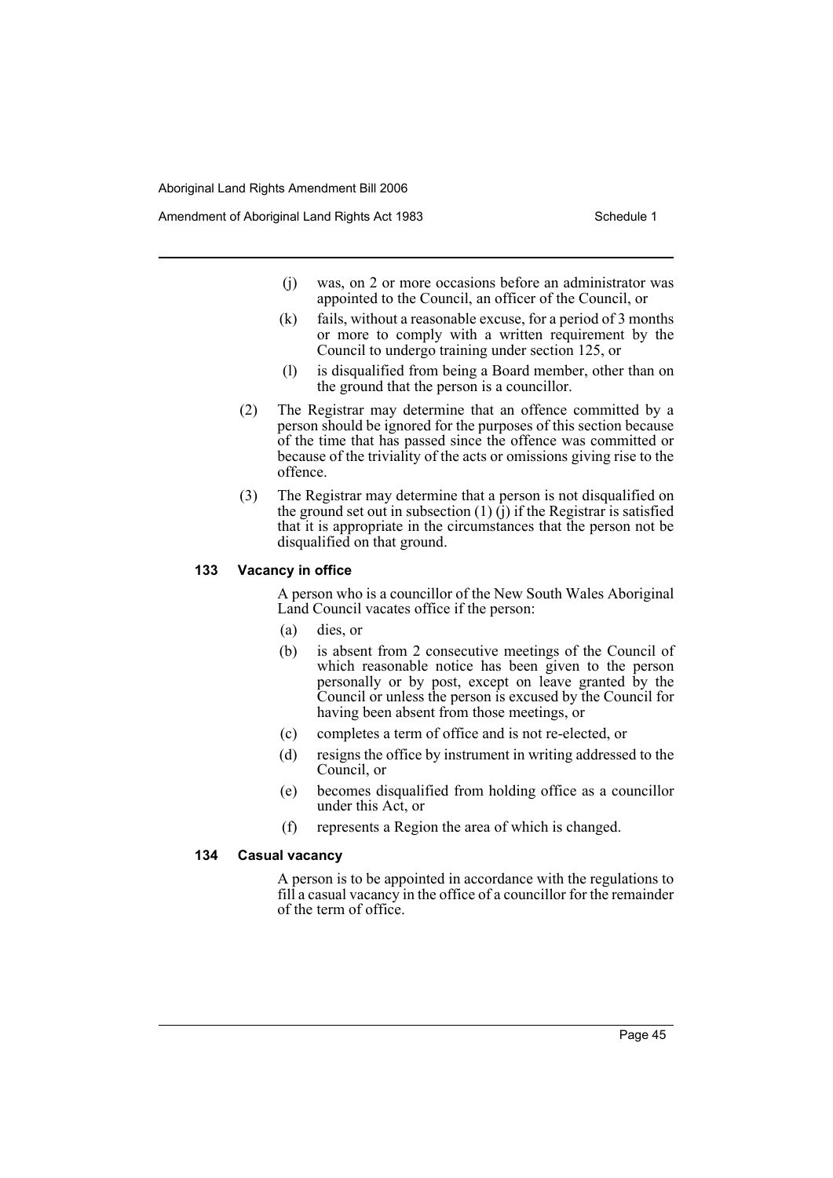- (j) was, on 2 or more occasions before an administrator was appointed to the Council, an officer of the Council, or
- (k) fails, without a reasonable excuse, for a period of 3 months or more to comply with a written requirement by the Council to undergo training under section 125, or
- (l) is disqualified from being a Board member, other than on the ground that the person is a councillor.
- (2) The Registrar may determine that an offence committed by a person should be ignored for the purposes of this section because of the time that has passed since the offence was committed or because of the triviality of the acts or omissions giving rise to the offence.
- (3) The Registrar may determine that a person is not disqualified on the ground set out in subsection  $(1)$   $(i)$  if the Registrar is satisfied that it is appropriate in the circumstances that the person not be disqualified on that ground.

### **133 Vacancy in office**

A person who is a councillor of the New South Wales Aboriginal Land Council vacates office if the person:

- (a) dies, or
- (b) is absent from 2 consecutive meetings of the Council of which reasonable notice has been given to the person personally or by post, except on leave granted by the Council or unless the person is excused by the Council for having been absent from those meetings, or
- (c) completes a term of office and is not re-elected, or
- (d) resigns the office by instrument in writing addressed to the Council, or
- (e) becomes disqualified from holding office as a councillor under this Act, or
- (f) represents a Region the area of which is changed.

#### **134 Casual vacancy**

A person is to be appointed in accordance with the regulations to fill a casual vacancy in the office of a councillor for the remainder of the term of office.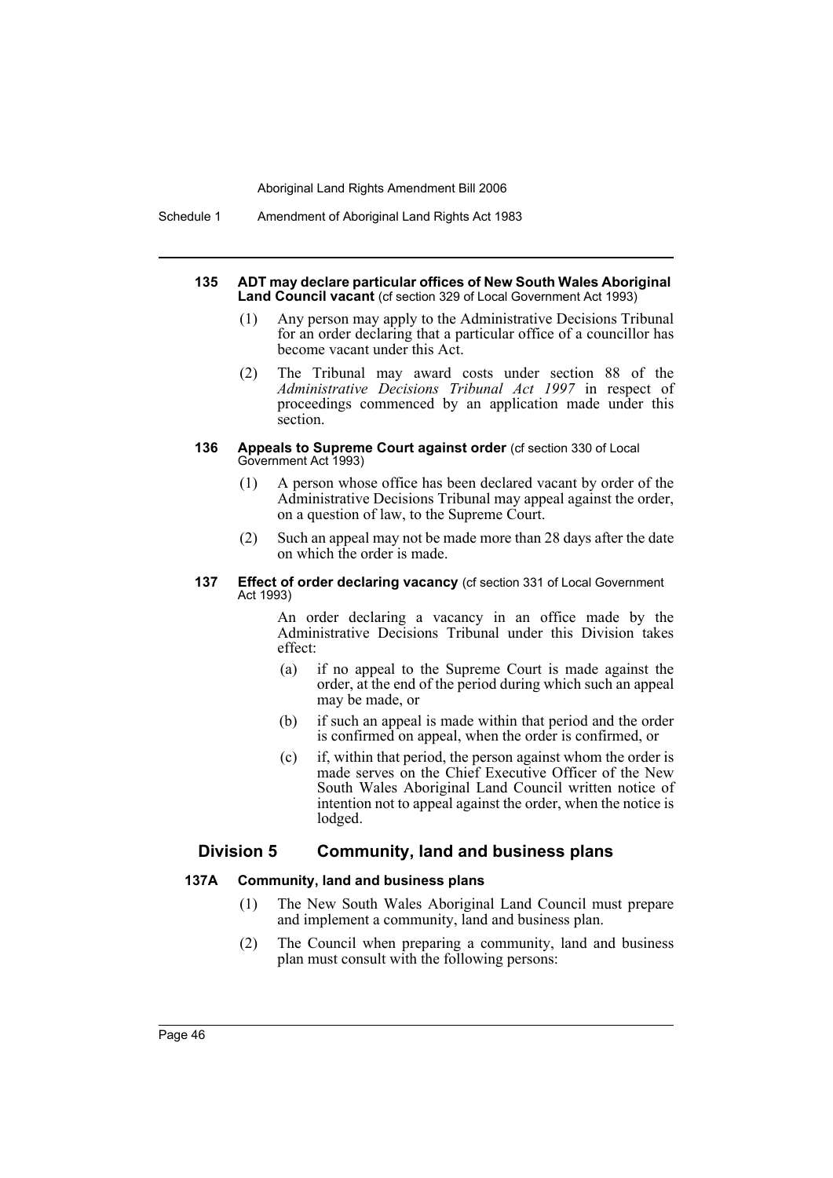Schedule 1 Amendment of Aboriginal Land Rights Act 1983

#### **135 ADT may declare particular offices of New South Wales Aboriginal Land Council vacant** (cf section 329 of Local Government Act 1993)

- (1) Any person may apply to the Administrative Decisions Tribunal for an order declaring that a particular office of a councillor has become vacant under this Act.
- (2) The Tribunal may award costs under section 88 of the *Administrative Decisions Tribunal Act 1997* in respect of proceedings commenced by an application made under this section.

#### **136 Appeals to Supreme Court against order** (cf section 330 of Local Government Act 1993)

- (1) A person whose office has been declared vacant by order of the Administrative Decisions Tribunal may appeal against the order, on a question of law, to the Supreme Court.
- (2) Such an appeal may not be made more than 28 days after the date on which the order is made.

#### **137 Effect of order declaring vacancy** (cf section 331 of Local Government Act 1993)

An order declaring a vacancy in an office made by the Administrative Decisions Tribunal under this Division takes effect:

- (a) if no appeal to the Supreme Court is made against the order, at the end of the period during which such an appeal may be made, or
- (b) if such an appeal is made within that period and the order is confirmed on appeal, when the order is confirmed, or
- (c) if, within that period, the person against whom the order is made serves on the Chief Executive Officer of the New South Wales Aboriginal Land Council written notice of intention not to appeal against the order, when the notice is lodged.

# **Division 5 Community, land and business plans**

# **137A Community, land and business plans**

- (1) The New South Wales Aboriginal Land Council must prepare and implement a community, land and business plan.
- (2) The Council when preparing a community, land and business plan must consult with the following persons: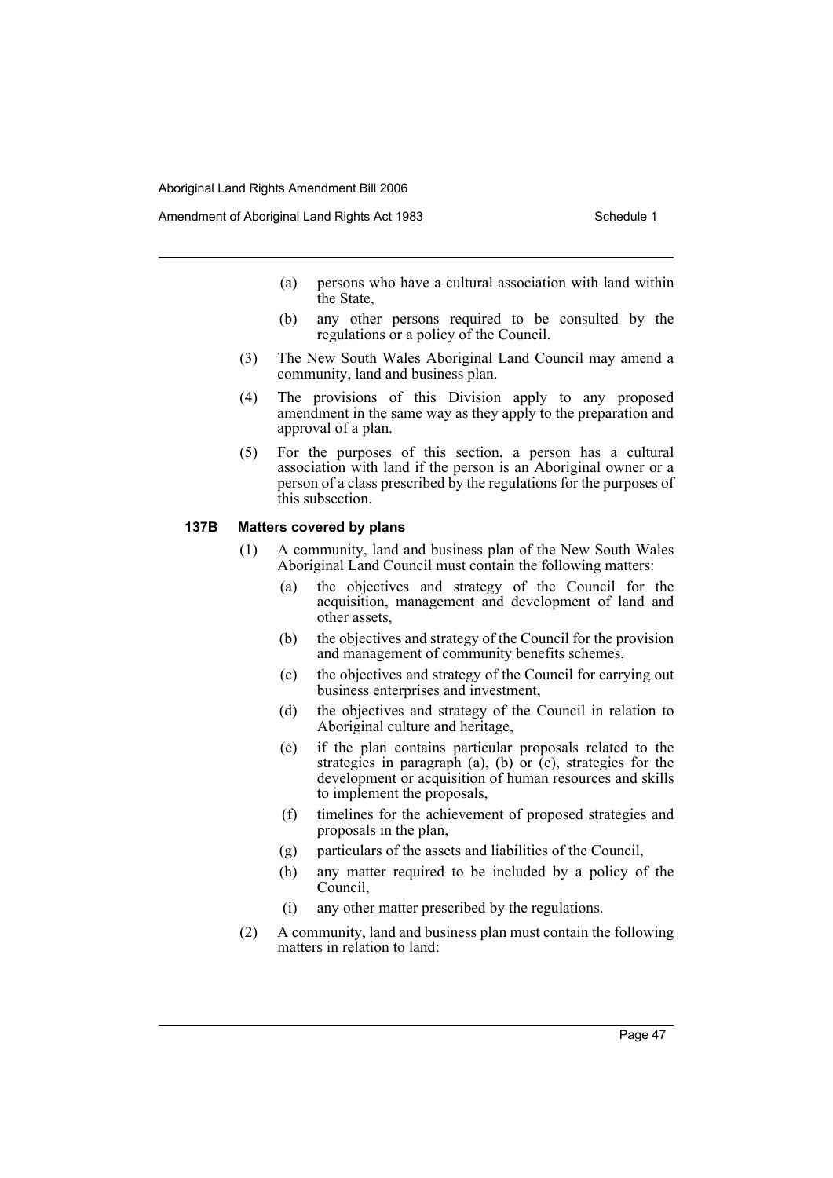- (a) persons who have a cultural association with land within the State,
- (b) any other persons required to be consulted by the regulations or a policy of the Council.
- (3) The New South Wales Aboriginal Land Council may amend a community, land and business plan.
- (4) The provisions of this Division apply to any proposed amendment in the same way as they apply to the preparation and approval of a plan.
- (5) For the purposes of this section, a person has a cultural association with land if the person is an Aboriginal owner or a person of a class prescribed by the regulations for the purposes of this subsection.

# **137B Matters covered by plans**

- (1) A community, land and business plan of the New South Wales Aboriginal Land Council must contain the following matters:
	- (a) the objectives and strategy of the Council for the acquisition, management and development of land and other assets,
	- (b) the objectives and strategy of the Council for the provision and management of community benefits schemes,
	- (c) the objectives and strategy of the Council for carrying out business enterprises and investment,
	- (d) the objectives and strategy of the Council in relation to Aboriginal culture and heritage,
	- (e) if the plan contains particular proposals related to the strategies in paragraph (a), (b) or  $(c)$ , strategies for the development or acquisition of human resources and skills to implement the proposals,
	- (f) timelines for the achievement of proposed strategies and proposals in the plan,
	- (g) particulars of the assets and liabilities of the Council,
	- (h) any matter required to be included by a policy of the Council,
	- (i) any other matter prescribed by the regulations.
- (2) A community, land and business plan must contain the following matters in relation to land: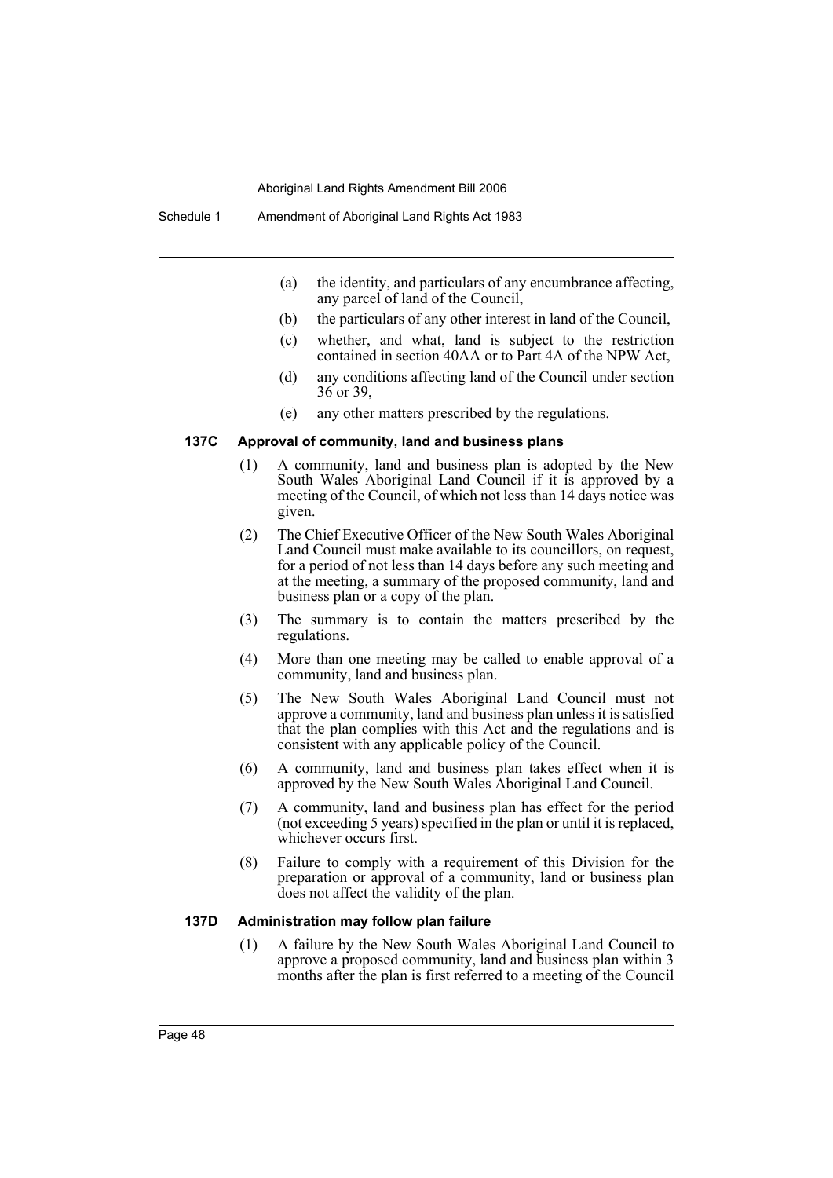- (a) the identity, and particulars of any encumbrance affecting, any parcel of land of the Council,
- (b) the particulars of any other interest in land of the Council,
- (c) whether, and what, land is subject to the restriction contained in section 40AA or to Part 4A of the NPW Act,
- (d) any conditions affecting land of the Council under section 36 or 39,
- (e) any other matters prescribed by the regulations.

## **137C Approval of community, land and business plans**

- (1) A community, land and business plan is adopted by the New South Wales Aboriginal Land Council if it is approved by a meeting of the Council, of which not less than 14 days notice was given.
- (2) The Chief Executive Officer of the New South Wales Aboriginal Land Council must make available to its councillors, on request, for a period of not less than 14 days before any such meeting and at the meeting, a summary of the proposed community, land and business plan or a copy of the plan.
- (3) The summary is to contain the matters prescribed by the regulations.
- (4) More than one meeting may be called to enable approval of a community, land and business plan.
- (5) The New South Wales Aboriginal Land Council must not approve a community, land and business plan unless it is satisfied that the plan complies with this Act and the regulations and is consistent with any applicable policy of the Council.
- (6) A community, land and business plan takes effect when it is approved by the New South Wales Aboriginal Land Council.
- (7) A community, land and business plan has effect for the period (not exceeding 5 years) specified in the plan or until it is replaced, whichever occurs first.
- (8) Failure to comply with a requirement of this Division for the preparation or approval of a community, land or business plan does not affect the validity of the plan.

#### **137D Administration may follow plan failure**

(1) A failure by the New South Wales Aboriginal Land Council to approve a proposed community, land and business plan within 3 months after the plan is first referred to a meeting of the Council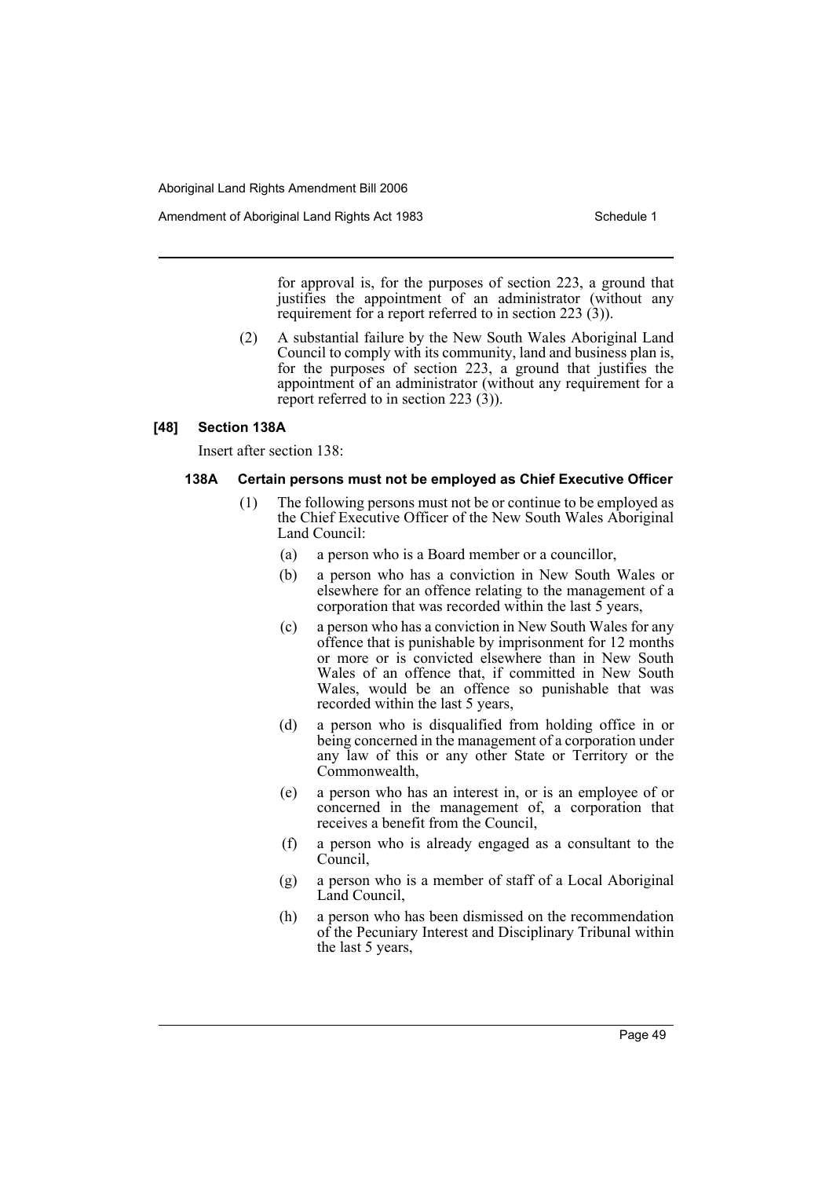for approval is, for the purposes of section 223, a ground that justifies the appointment of an administrator (without any requirement for a report referred to in section 223 (3)).

(2) A substantial failure by the New South Wales Aboriginal Land Council to comply with its community, land and business plan is, for the purposes of section 223, a ground that justifies the appointment of an administrator (without any requirement for a report referred to in section 223 (3)).

#### **[48] Section 138A**

Insert after section 138:

### **138A Certain persons must not be employed as Chief Executive Officer**

- (1) The following persons must not be or continue to be employed as the Chief Executive Officer of the New South Wales Aboriginal Land Council:
	- (a) a person who is a Board member or a councillor,
	- (b) a person who has a conviction in New South Wales or elsewhere for an offence relating to the management of a corporation that was recorded within the last 5 years,
	- (c) a person who has a conviction in New South Wales for any offence that is punishable by imprisonment for 12 months or more or is convicted elsewhere than in New South Wales of an offence that, if committed in New South Wales, would be an offence so punishable that was recorded within the last 5 years,
	- (d) a person who is disqualified from holding office in or being concerned in the management of a corporation under any law of this or any other State or Territory or the Commonwealth,
	- (e) a person who has an interest in, or is an employee of or concerned in the management of, a corporation that receives a benefit from the Council,
	- (f) a person who is already engaged as a consultant to the Council,
	- (g) a person who is a member of staff of a Local Aboriginal Land Council,
	- (h) a person who has been dismissed on the recommendation of the Pecuniary Interest and Disciplinary Tribunal within the last 5 years,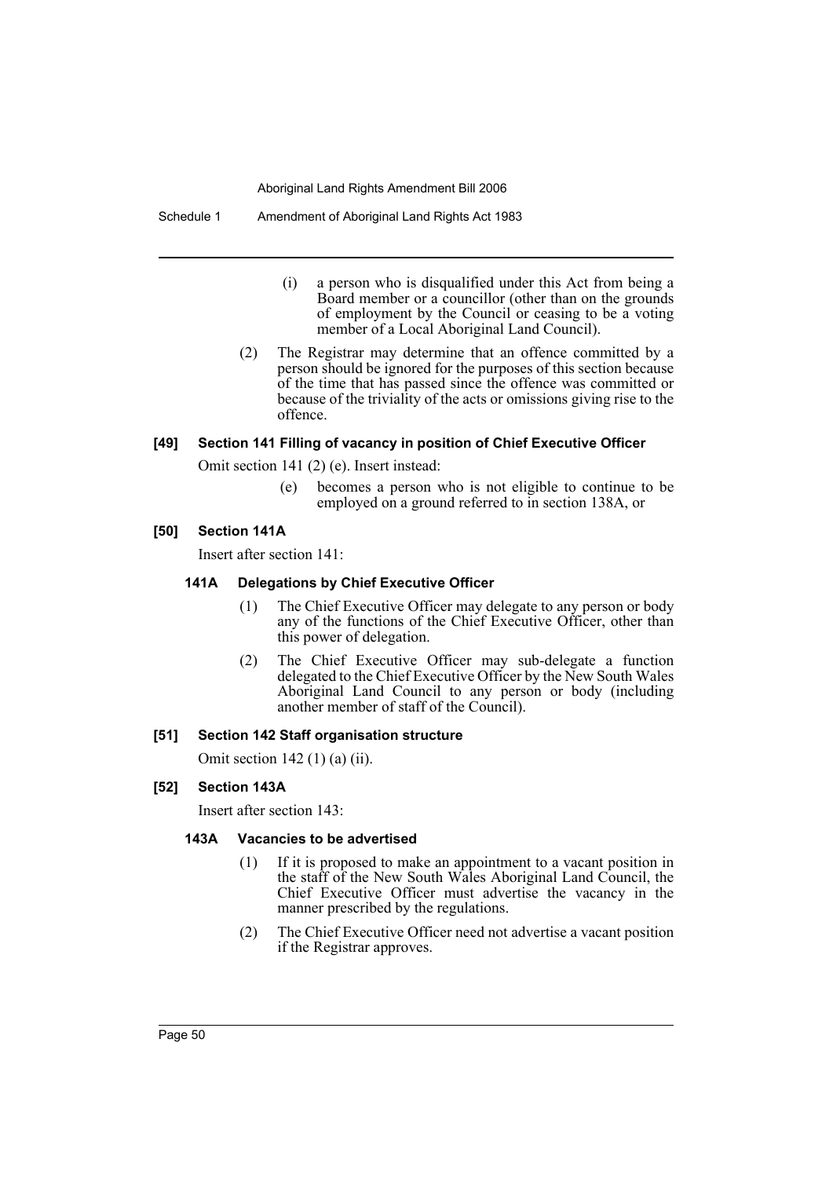#### Schedule 1 Amendment of Aboriginal Land Rights Act 1983

- (i) a person who is disqualified under this Act from being a Board member or a councillor (other than on the grounds of employment by the Council or ceasing to be a voting member of a Local Aboriginal Land Council).
- (2) The Registrar may determine that an offence committed by a person should be ignored for the purposes of this section because of the time that has passed since the offence was committed or because of the triviality of the acts or omissions giving rise to the offence.

## **[49] Section 141 Filling of vacancy in position of Chief Executive Officer**

Omit section 141 (2) (e). Insert instead:

(e) becomes a person who is not eligible to continue to be employed on a ground referred to in section 138A, or

### **[50] Section 141A**

Insert after section 141:

### **141A Delegations by Chief Executive Officer**

- (1) The Chief Executive Officer may delegate to any person or body any of the functions of the Chief Executive Officer, other than this power of delegation.
- (2) The Chief Executive Officer may sub-delegate a function delegated to the Chief Executive Officer by the New South Wales Aboriginal Land Council to any person or body (including another member of staff of the Council).

### **[51] Section 142 Staff organisation structure**

Omit section 142 (1) (a) (ii).

# **[52] Section 143A**

Insert after section 143:

# **143A Vacancies to be advertised**

- (1) If it is proposed to make an appointment to a vacant position in the staff of the New South Wales Aboriginal Land Council, the Chief Executive Officer must advertise the vacancy in the manner prescribed by the regulations.
- (2) The Chief Executive Officer need not advertise a vacant position if the Registrar approves.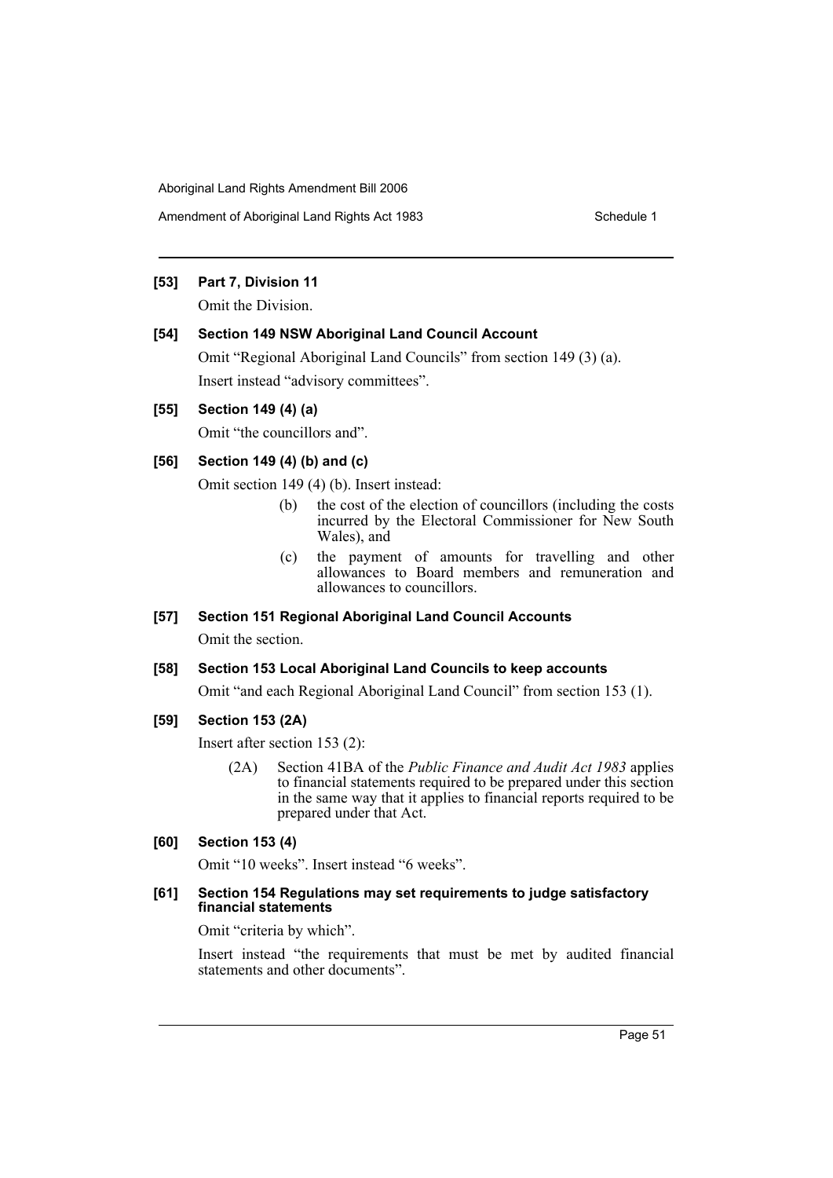Amendment of Aboriginal Land Rights Act 1983 Schedule 1

# **[53] Part 7, Division 11**

Omit the Division.

### **[54] Section 149 NSW Aboriginal Land Council Account**

Omit "Regional Aboriginal Land Councils" from section 149 (3) (a). Insert instead "advisory committees".

# **[55] Section 149 (4) (a)**

Omit "the councillors and".

## **[56] Section 149 (4) (b) and (c)**

Omit section 149 (4) (b). Insert instead:

- (b) the cost of the election of councillors (including the costs incurred by the Electoral Commissioner for New South Wales), and
- (c) the payment of amounts for travelling and other allowances to Board members and remuneration and allowances to councillors.

# **[57] Section 151 Regional Aboriginal Land Council Accounts**

Omit the section.

# **[58] Section 153 Local Aboriginal Land Councils to keep accounts**

Omit "and each Regional Aboriginal Land Council" from section 153 (1).

### **[59] Section 153 (2A)**

Insert after section 153 (2):

(2A) Section 41BA of the *Public Finance and Audit Act 1983* applies to financial statements required to be prepared under this section in the same way that it applies to financial reports required to be prepared under that Act.

### **[60] Section 153 (4)**

Omit "10 weeks". Insert instead "6 weeks".

### **[61] Section 154 Regulations may set requirements to judge satisfactory financial statements**

Omit "criteria by which".

Insert instead "the requirements that must be met by audited financial statements and other documents".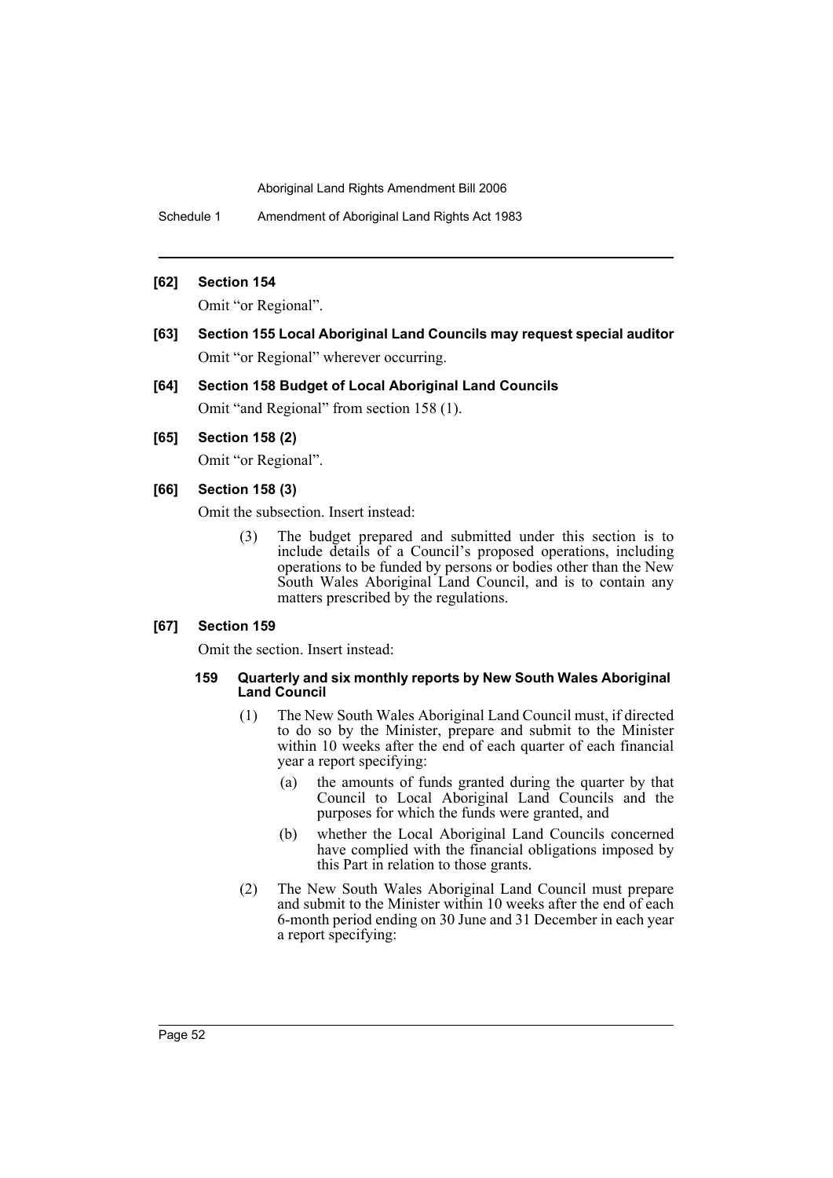Schedule 1 Amendment of Aboriginal Land Rights Act 1983

## **[62] Section 154**

Omit "or Regional".

**[63] Section 155 Local Aboriginal Land Councils may request special auditor** Omit "or Regional" wherever occurring.

### **[64] Section 158 Budget of Local Aboriginal Land Councils**

Omit "and Regional" from section 158 (1).

# **[65] Section 158 (2)**

Omit "or Regional".

# **[66] Section 158 (3)**

Omit the subsection. Insert instead:

(3) The budget prepared and submitted under this section is to include details of a Council's proposed operations, including operations to be funded by persons or bodies other than the New South Wales Aboriginal Land Council, and is to contain any matters prescribed by the regulations.

### **[67] Section 159**

Omit the section. Insert instead:

### **159 Quarterly and six monthly reports by New South Wales Aboriginal Land Council**

- (1) The New South Wales Aboriginal Land Council must, if directed to do so by the Minister, prepare and submit to the Minister within 10 weeks after the end of each quarter of each financial year a report specifying:
	- (a) the amounts of funds granted during the quarter by that Council to Local Aboriginal Land Councils and the purposes for which the funds were granted, and
	- (b) whether the Local Aboriginal Land Councils concerned have complied with the financial obligations imposed by this Part in relation to those grants.
- (2) The New South Wales Aboriginal Land Council must prepare and submit to the Minister within 10 weeks after the end of each 6-month period ending on 30 June and 31 December in each year a report specifying: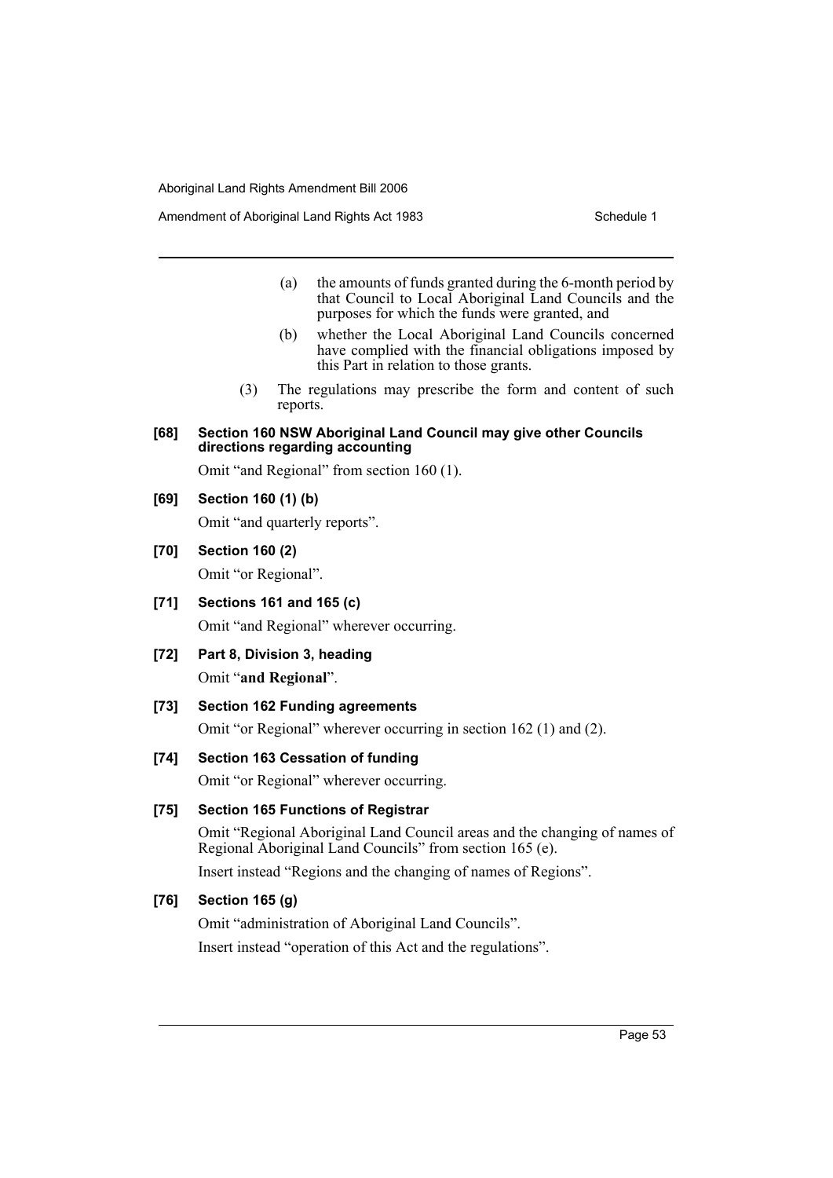- (a) the amounts of funds granted during the 6-month period by that Council to Local Aboriginal Land Councils and the purposes for which the funds were granted, and
- (b) whether the Local Aboriginal Land Councils concerned have complied with the financial obligations imposed by this Part in relation to those grants.
- (3) The regulations may prescribe the form and content of such reports.

### **[68] Section 160 NSW Aboriginal Land Council may give other Councils directions regarding accounting**

Omit "and Regional" from section 160 (1).

### **[69] Section 160 (1) (b)**

Omit "and quarterly reports".

### **[70] Section 160 (2)**

Omit "or Regional".

**[71] Sections 161 and 165 (c)**

Omit "and Regional" wherever occurring.

**[72] Part 8, Division 3, heading**

Omit "**and Regional**".

# **[73] Section 162 Funding agreements**

Omit "or Regional" wherever occurring in section 162 (1) and (2).

### **[74] Section 163 Cessation of funding**

Omit "or Regional" wherever occurring.

### **[75] Section 165 Functions of Registrar**

Omit "Regional Aboriginal Land Council areas and the changing of names of Regional Aboriginal Land Councils" from section 165 (e).

Insert instead "Regions and the changing of names of Regions".

# **[76] Section 165 (g)**

Omit "administration of Aboriginal Land Councils".

Insert instead "operation of this Act and the regulations".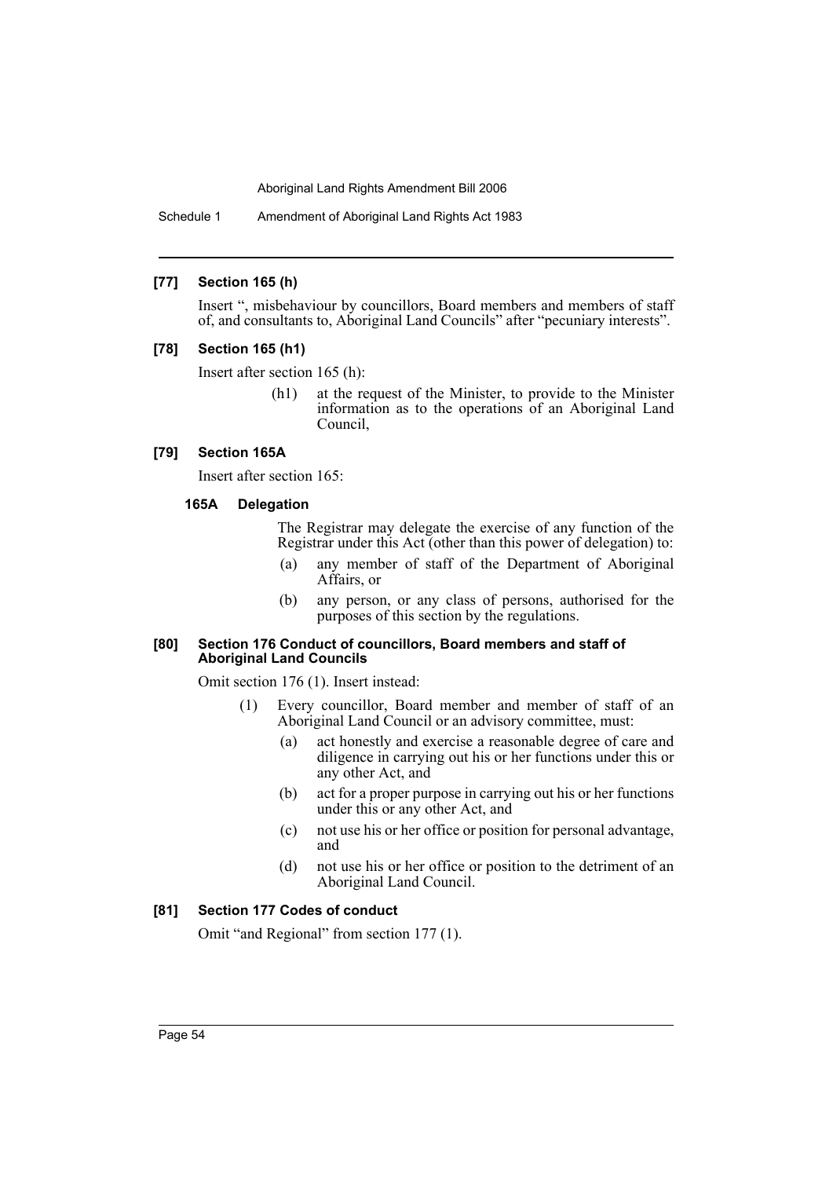Schedule 1 Amendment of Aboriginal Land Rights Act 1983

### **[77] Section 165 (h)**

Insert ", misbehaviour by councillors, Board members and members of staff of, and consultants to, Aboriginal Land Councils" after "pecuniary interests".

### **[78] Section 165 (h1)**

Insert after section 165 (h):

(h1) at the request of the Minister, to provide to the Minister information as to the operations of an Aboriginal Land Council,

### **[79] Section 165A**

Insert after section 165:

### **165A Delegation**

The Registrar may delegate the exercise of any function of the Registrar under this Act (other than this power of delegation) to:

- (a) any member of staff of the Department of Aboriginal Affairs, or
- (b) any person, or any class of persons, authorised for the purposes of this section by the regulations.

#### **[80] Section 176 Conduct of councillors, Board members and staff of Aboriginal Land Councils**

Omit section 176 (1). Insert instead:

- (1) Every councillor, Board member and member of staff of an Aboriginal Land Council or an advisory committee, must:
	- (a) act honestly and exercise a reasonable degree of care and diligence in carrying out his or her functions under this or any other Act, and
	- (b) act for a proper purpose in carrying out his or her functions under this or any other Act, and
	- (c) not use his or her office or position for personal advantage, and
	- (d) not use his or her office or position to the detriment of an Aboriginal Land Council.

### **[81] Section 177 Codes of conduct**

Omit "and Regional" from section 177 (1).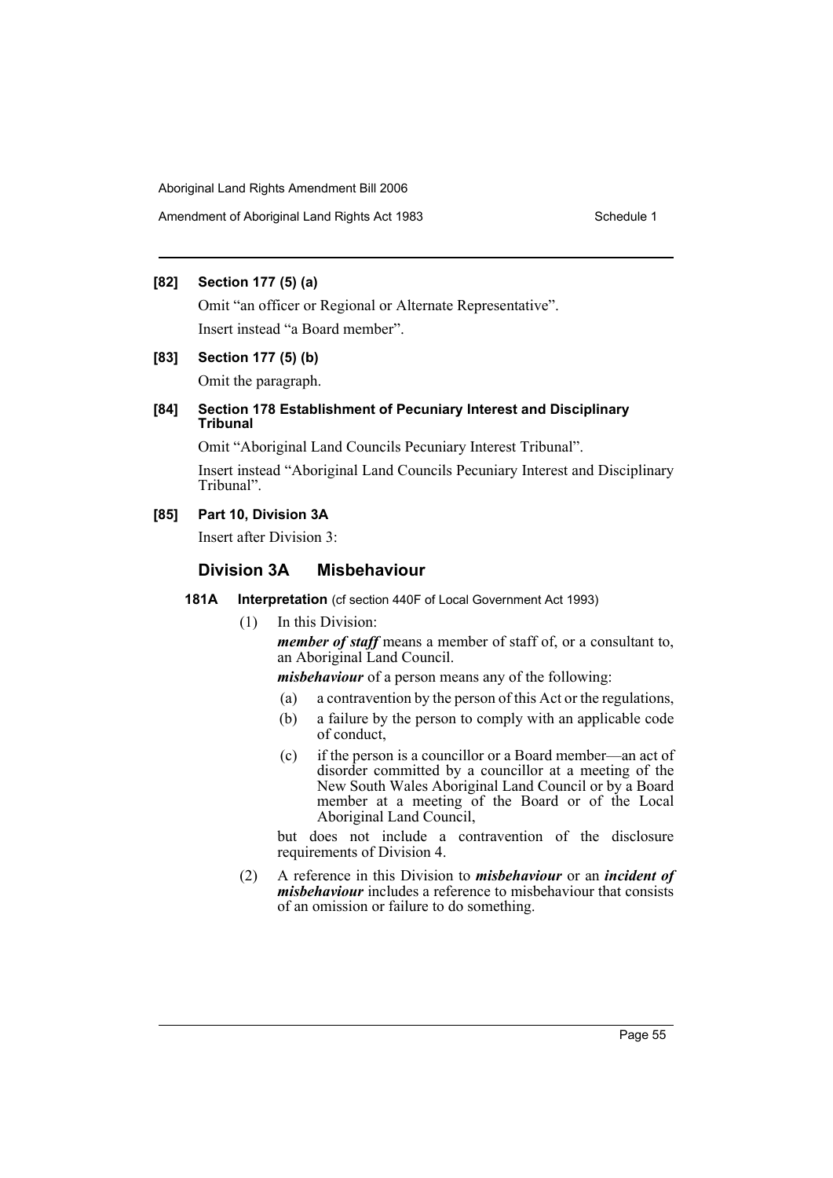Amendment of Aboriginal Land Rights Act 1983 Schedule 1

# **[82] Section 177 (5) (a)**

Omit "an officer or Regional or Alternate Representative". Insert instead "a Board member".

### **[83] Section 177 (5) (b)**

Omit the paragraph.

# **[84] Section 178 Establishment of Pecuniary Interest and Disciplinary Tribunal**

Omit "Aboriginal Land Councils Pecuniary Interest Tribunal".

Insert instead "Aboriginal Land Councils Pecuniary Interest and Disciplinary Tribunal".

# **[85] Part 10, Division 3A**

Insert after Division 3:

# **Division 3A Misbehaviour**

### **181A Interpretation** (cf section 440F of Local Government Act 1993)

(1) In this Division:

*member of staff* means a member of staff of, or a consultant to, an Aboriginal Land Council.

*misbehaviour* of a person means any of the following:

- (a) a contravention by the person of this Act or the regulations,
- (b) a failure by the person to comply with an applicable code of conduct,
- (c) if the person is a councillor or a Board member—an act of disorder committed by a councillor at a meeting of the New South Wales Aboriginal Land Council or by a Board member at a meeting of the Board or of the Local Aboriginal Land Council,

but does not include a contravention of the disclosure requirements of Division 4.

(2) A reference in this Division to *misbehaviour* or an *incident of misbehaviour* includes a reference to misbehaviour that consists of an omission or failure to do something.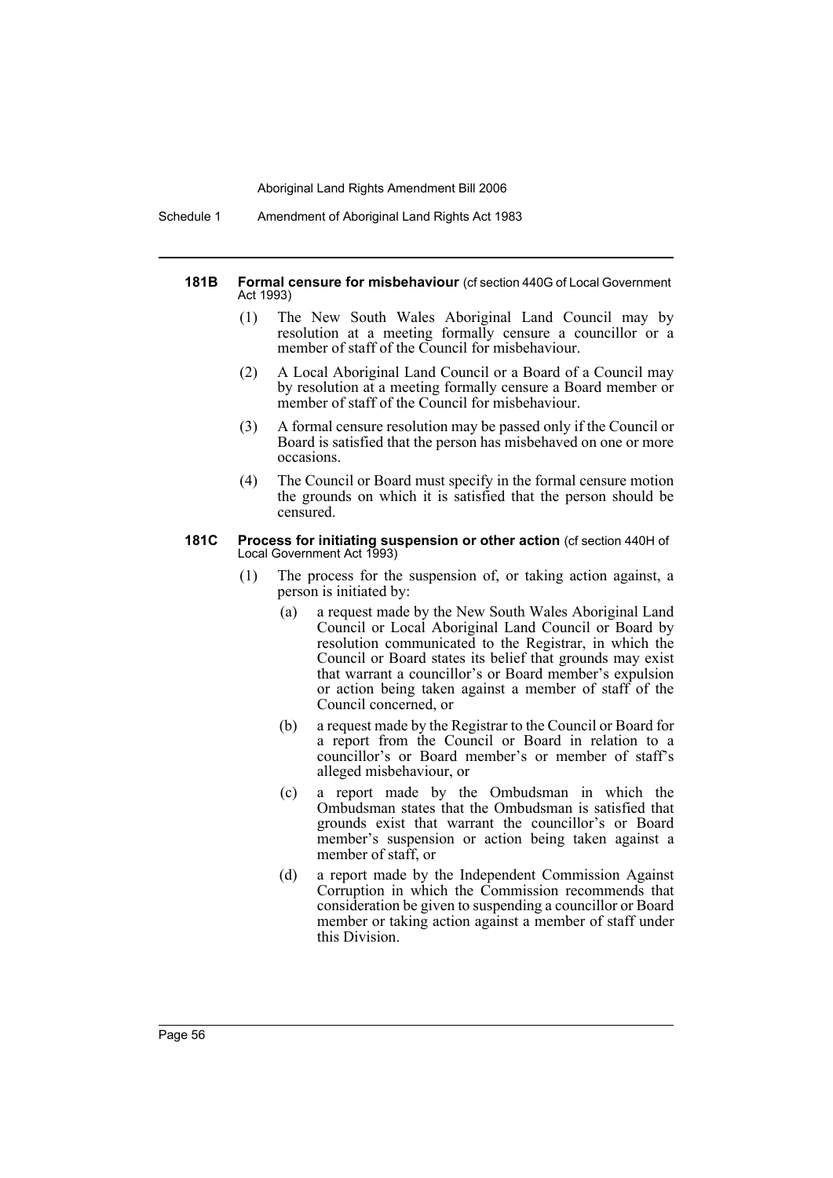Schedule 1 Amendment of Aboriginal Land Rights Act 1983

#### **181B Formal censure for misbehaviour** (cf section 440G of Local Government Act 1993)

- (1) The New South Wales Aboriginal Land Council may by resolution at a meeting formally censure a councillor or a member of staff of the Council for misbehaviour.
- (2) A Local Aboriginal Land Council or a Board of a Council may by resolution at a meeting formally censure a Board member or member of staff of the Council for misbehaviour.
- (3) A formal censure resolution may be passed only if the Council or Board is satisfied that the person has misbehaved on one or more occasions.
- (4) The Council or Board must specify in the formal censure motion the grounds on which it is satisfied that the person should be censured.

#### **181C Process for initiating suspension or other action** (cf section 440H of Local Government Act 1993)

- (1) The process for the suspension of, or taking action against, a person is initiated by:
	- (a) a request made by the New South Wales Aboriginal Land Council or Local Aboriginal Land Council or Board by resolution communicated to the Registrar, in which the Council or Board states its belief that grounds may exist that warrant a councillor's or Board member's expulsion or action being taken against a member of staff of the Council concerned, or
	- (b) a request made by the Registrar to the Council or Board for a report from the Council or Board in relation to a councillor's or Board member's or member of staff's alleged misbehaviour, or
	- (c) a report made by the Ombudsman in which the Ombudsman states that the Ombudsman is satisfied that grounds exist that warrant the councillor's or Board member's suspension or action being taken against a member of staff, or
	- (d) a report made by the Independent Commission Against Corruption in which the Commission recommends that consideration be given to suspending a councillor or Board member or taking action against a member of staff under this Division.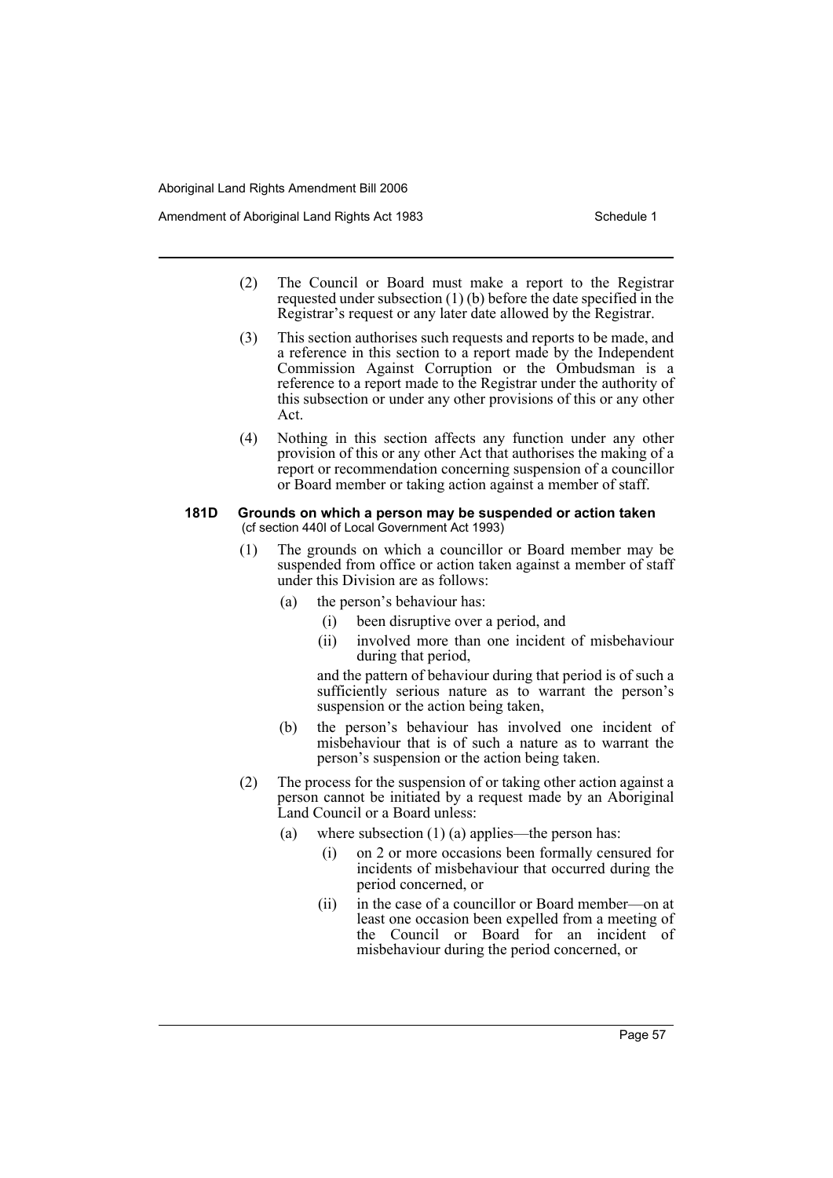- (2) The Council or Board must make a report to the Registrar requested under subsection (1) (b) before the date specified in the Registrar's request or any later date allowed by the Registrar.
- (3) This section authorises such requests and reports to be made, and a reference in this section to a report made by the Independent Commission Against Corruption or the Ombudsman is a reference to a report made to the Registrar under the authority of this subsection or under any other provisions of this or any other Act.
- (4) Nothing in this section affects any function under any other provision of this or any other Act that authorises the making of a report or recommendation concerning suspension of a councillor or Board member or taking action against a member of staff.

#### **181D Grounds on which a person may be suspended or action taken** (cf section 440I of Local Government Act 1993)

- (1) The grounds on which a councillor or Board member may be suspended from office or action taken against a member of staff under this Division are as follows:
	- (a) the person's behaviour has:
		- (i) been disruptive over a period, and
		- (ii) involved more than one incident of misbehaviour during that period,

and the pattern of behaviour during that period is of such a sufficiently serious nature as to warrant the person's suspension or the action being taken,

- (b) the person's behaviour has involved one incident of misbehaviour that is of such a nature as to warrant the person's suspension or the action being taken.
- (2) The process for the suspension of or taking other action against a person cannot be initiated by a request made by an Aboriginal Land Council or a Board unless:
	- (a) where subsection  $(1)$  (a) applies—the person has:
		- (i) on 2 or more occasions been formally censured for incidents of misbehaviour that occurred during the period concerned, or
		- (ii) in the case of a councillor or Board member—on at least one occasion been expelled from a meeting of the Council or Board for an incident of misbehaviour during the period concerned, or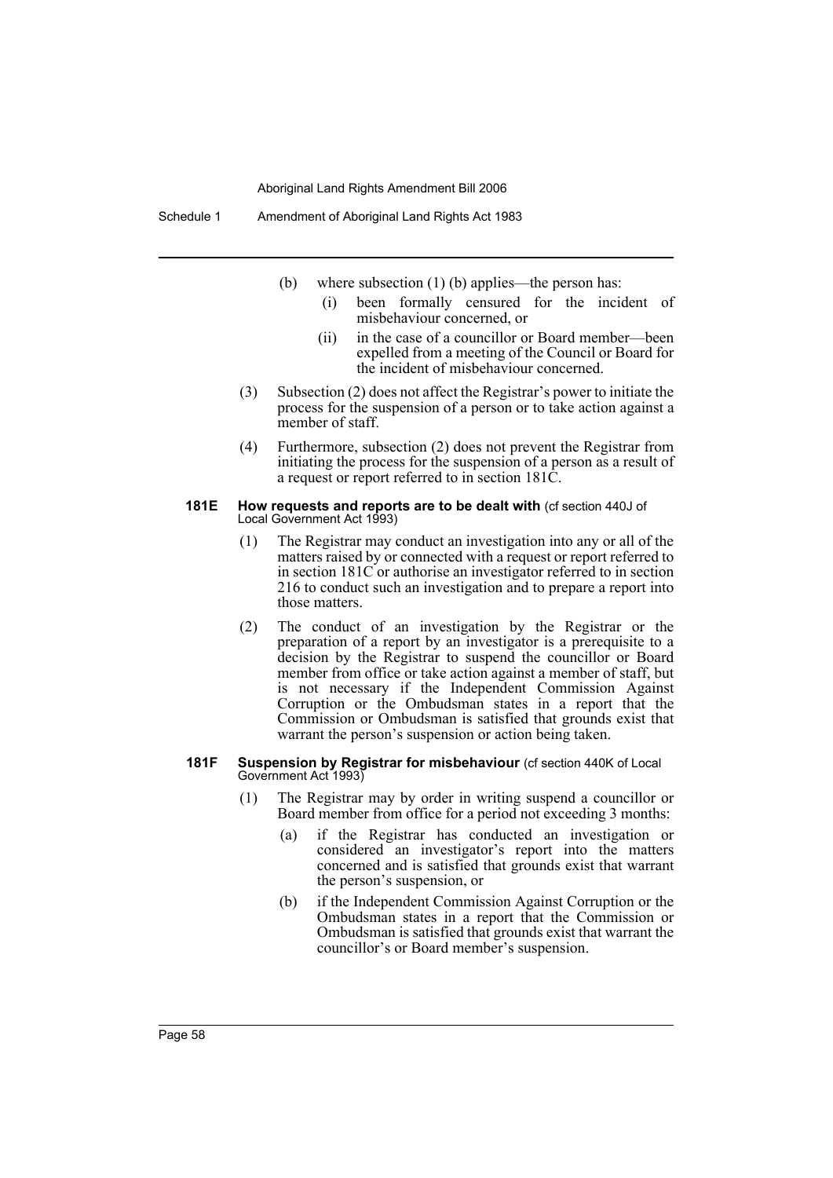- (b) where subsection (1) (b) applies—the person has:
	- (i) been formally censured for the incident of misbehaviour concerned, or
	- (ii) in the case of a councillor or Board member—been expelled from a meeting of the Council or Board for the incident of misbehaviour concerned.
- (3) Subsection (2) does not affect the Registrar's power to initiate the process for the suspension of a person or to take action against a member of staff.
- (4) Furthermore, subsection (2) does not prevent the Registrar from initiating the process for the suspension of a person as a result of a request or report referred to in section 181C.

#### **181E How requests and reports are to be dealt with** (cf section 440J of Local Government Act 1993)

- (1) The Registrar may conduct an investigation into any or all of the matters raised by or connected with a request or report referred to in section 181C or authorise an investigator referred to in section 216 to conduct such an investigation and to prepare a report into those matters.
- (2) The conduct of an investigation by the Registrar or the preparation of a report by an investigator is a prerequisite to a decision by the Registrar to suspend the councillor or Board member from office or take action against a member of staff, but is not necessary if the Independent Commission Against Corruption or the Ombudsman states in a report that the Commission or Ombudsman is satisfied that grounds exist that warrant the person's suspension or action being taken.

#### **181F Suspension by Registrar for misbehaviour** (cf section 440K of Local Government Act 1993)

- (1) The Registrar may by order in writing suspend a councillor or Board member from office for a period not exceeding 3 months:
	- (a) if the Registrar has conducted an investigation or considered an investigator's report into the matters concerned and is satisfied that grounds exist that warrant the person's suspension, or
	- (b) if the Independent Commission Against Corruption or the Ombudsman states in a report that the Commission or Ombudsman is satisfied that grounds exist that warrant the councillor's or Board member's suspension.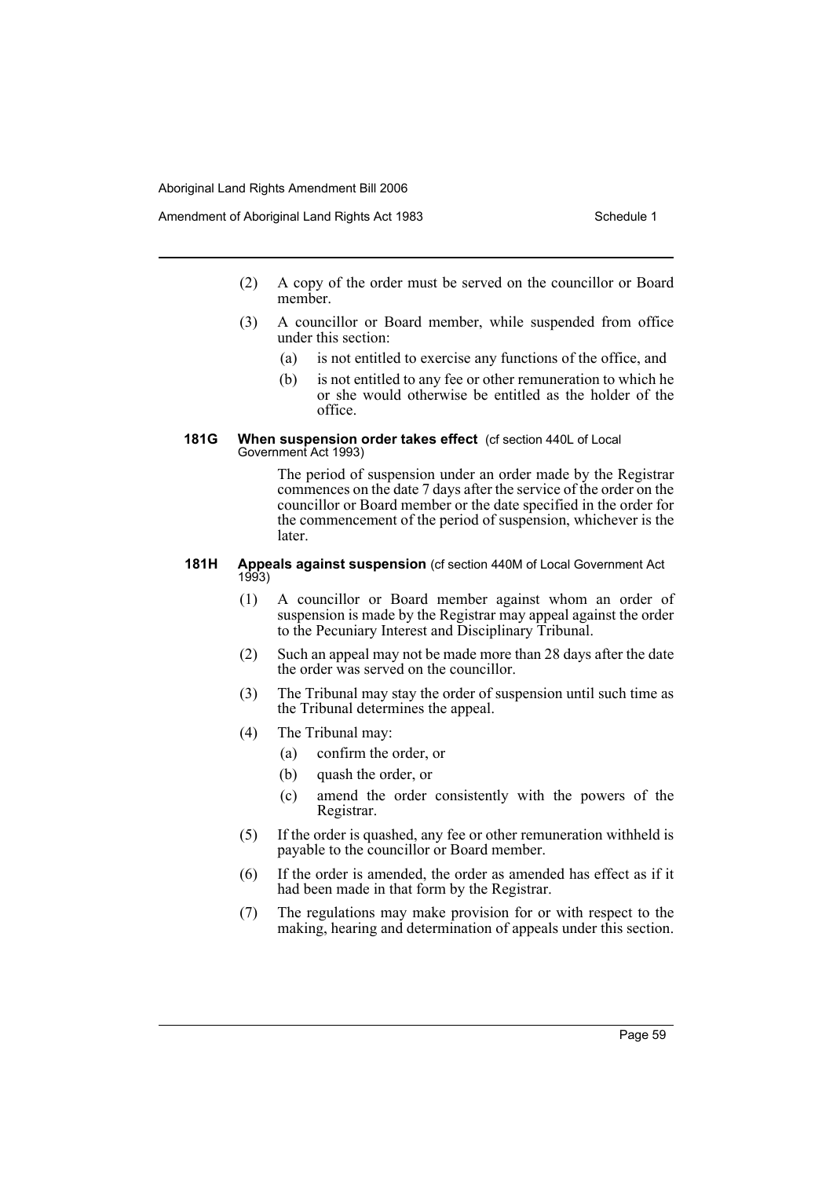- (2) A copy of the order must be served on the councillor or Board member.
- (3) A councillor or Board member, while suspended from office under this section:
	- (a) is not entitled to exercise any functions of the office, and
	- (b) is not entitled to any fee or other remuneration to which he or she would otherwise be entitled as the holder of the office.

#### **181G When suspension order takes effect** (cf section 440L of Local Government Act 1993)

The period of suspension under an order made by the Registrar commences on the date 7 days after the service of the order on the councillor or Board member or the date specified in the order for the commencement of the period of suspension, whichever is the **later** 

#### **181H Appeals against suspension** (cf section 440M of Local Government Act 1993)

- (1) A councillor or Board member against whom an order of suspension is made by the Registrar may appeal against the order to the Pecuniary Interest and Disciplinary Tribunal.
- (2) Such an appeal may not be made more than 28 days after the date the order was served on the councillor.
- (3) The Tribunal may stay the order of suspension until such time as the Tribunal determines the appeal.
- (4) The Tribunal may:
	- (a) confirm the order, or
	- (b) quash the order, or
	- (c) amend the order consistently with the powers of the Registrar.
- (5) If the order is quashed, any fee or other remuneration withheld is payable to the councillor or Board member.
- (6) If the order is amended, the order as amended has effect as if it had been made in that form by the Registrar.
- (7) The regulations may make provision for or with respect to the making, hearing and determination of appeals under this section.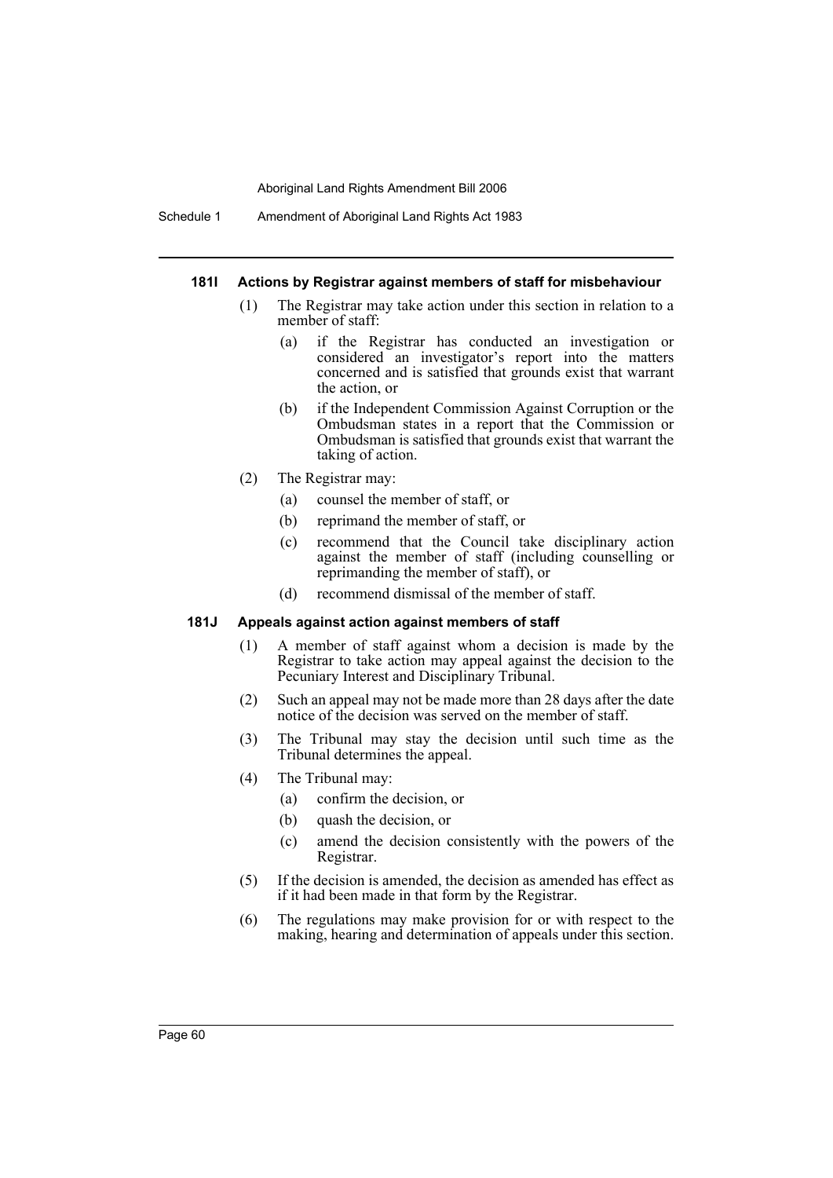Schedule 1 Amendment of Aboriginal Land Rights Act 1983

#### **181I Actions by Registrar against members of staff for misbehaviour**

- (1) The Registrar may take action under this section in relation to a member of staff:
	- (a) if the Registrar has conducted an investigation or considered an investigator's report into the matters concerned and is satisfied that grounds exist that warrant the action, or
	- (b) if the Independent Commission Against Corruption or the Ombudsman states in a report that the Commission or Ombudsman is satisfied that grounds exist that warrant the taking of action.
- (2) The Registrar may:
	- (a) counsel the member of staff, or
	- (b) reprimand the member of staff, or
	- (c) recommend that the Council take disciplinary action against the member of staff (including counselling or reprimanding the member of staff), or
	- (d) recommend dismissal of the member of staff.

## **181J Appeals against action against members of staff**

- (1) A member of staff against whom a decision is made by the Registrar to take action may appeal against the decision to the Pecuniary Interest and Disciplinary Tribunal.
- (2) Such an appeal may not be made more than 28 days after the date notice of the decision was served on the member of staff.
- (3) The Tribunal may stay the decision until such time as the Tribunal determines the appeal.
- (4) The Tribunal may:
	- (a) confirm the decision, or
	- (b) quash the decision, or
	- (c) amend the decision consistently with the powers of the Registrar.
- (5) If the decision is amended, the decision as amended has effect as if it had been made in that form by the Registrar.
- (6) The regulations may make provision for or with respect to the making, hearing and determination of appeals under this section.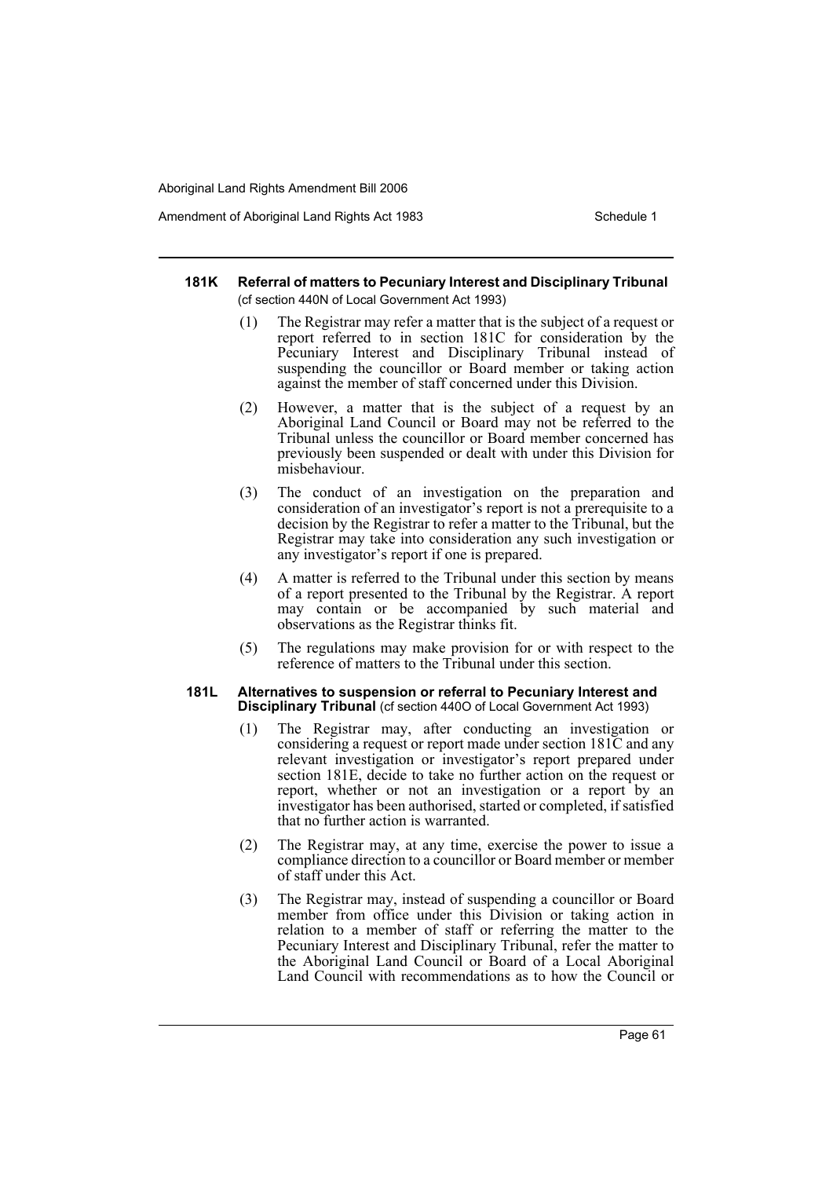Amendment of Aboriginal Land Rights Act 1983 Schedule 1

#### **181K Referral of matters to Pecuniary Interest and Disciplinary Tribunal**  (cf section 440N of Local Government Act 1993)

- (1) The Registrar may refer a matter that is the subject of a request or report referred to in section 181C for consideration by the Pecuniary Interest and Disciplinary Tribunal instead of suspending the councillor or Board member or taking action against the member of staff concerned under this Division.
- (2) However, a matter that is the subject of a request by an Aboriginal Land Council or Board may not be referred to the Tribunal unless the councillor or Board member concerned has previously been suspended or dealt with under this Division for misbehaviour.
- (3) The conduct of an investigation on the preparation and consideration of an investigator's report is not a prerequisite to a decision by the Registrar to refer a matter to the Tribunal, but the Registrar may take into consideration any such investigation or any investigator's report if one is prepared.
- (4) A matter is referred to the Tribunal under this section by means of a report presented to the Tribunal by the Registrar. A report may contain or be accompanied by such material and observations as the Registrar thinks fit.
- (5) The regulations may make provision for or with respect to the reference of matters to the Tribunal under this section.

#### **181L Alternatives to suspension or referral to Pecuniary Interest and Disciplinary Tribunal** (cf section 440O of Local Government Act 1993)

- (1) The Registrar may, after conducting an investigation or considering a request or report made under section 181C and any relevant investigation or investigator's report prepared under section 181E, decide to take no further action on the request or report, whether or not an investigation or a report by an investigator has been authorised, started or completed, if satisfied that no further action is warranted.
- (2) The Registrar may, at any time, exercise the power to issue a compliance direction to a councillor or Board member or member of staff under this Act.
- (3) The Registrar may, instead of suspending a councillor or Board member from office under this Division or taking action in relation to a member of staff or referring the matter to the Pecuniary Interest and Disciplinary Tribunal, refer the matter to the Aboriginal Land Council or Board of a Local Aboriginal Land Council with recommendations as to how the Council or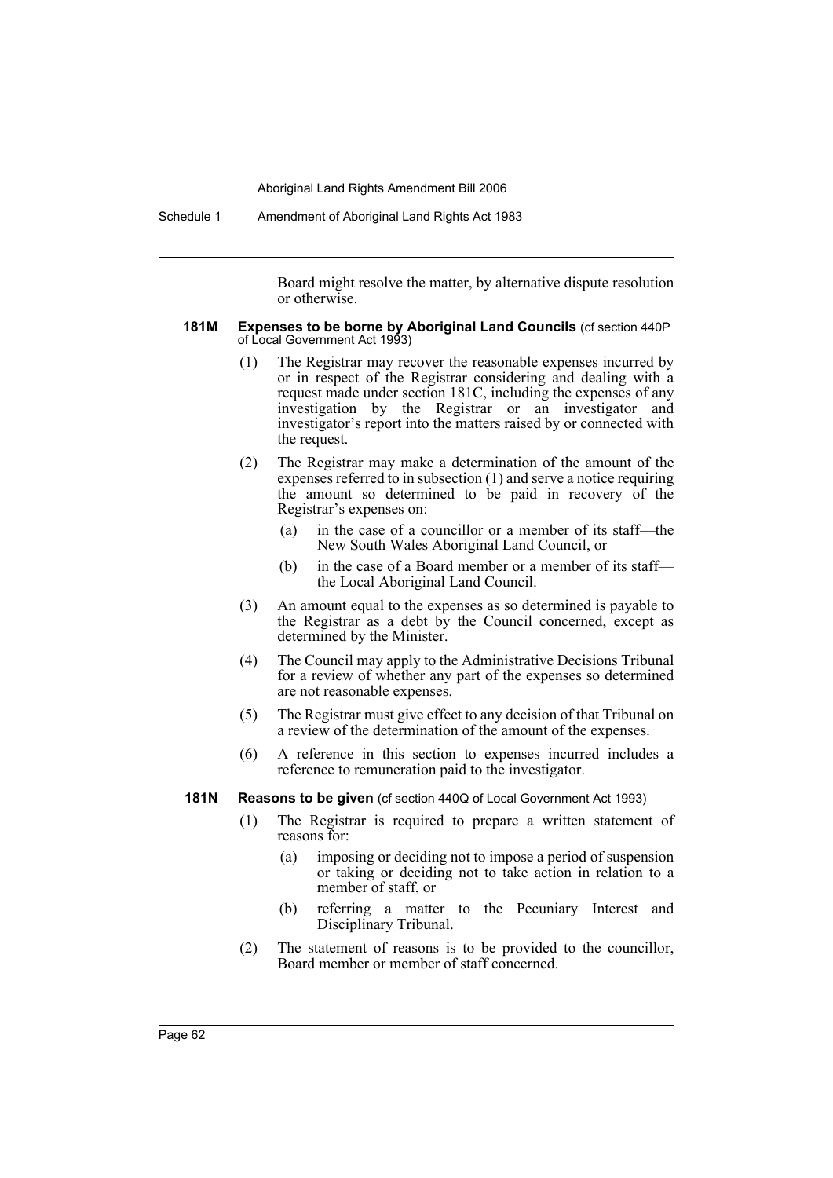Schedule 1 Amendment of Aboriginal Land Rights Act 1983

Board might resolve the matter, by alternative dispute resolution or otherwise.

#### **181M Expenses to be borne by Aboriginal Land Councils** (cf section 440P of Local Government Act 1993)

- (1) The Registrar may recover the reasonable expenses incurred by or in respect of the Registrar considering and dealing with a request made under section 181C, including the expenses of any investigation by the Registrar or an investigator and investigator's report into the matters raised by or connected with the request.
- (2) The Registrar may make a determination of the amount of the expenses referred to in subsection (1) and serve a notice requiring the amount so determined to be paid in recovery of the Registrar's expenses on:
	- (a) in the case of a councillor or a member of its staff—the New South Wales Aboriginal Land Council, or
	- (b) in the case of a Board member or a member of its staff the Local Aboriginal Land Council.
- (3) An amount equal to the expenses as so determined is payable to the Registrar as a debt by the Council concerned, except as determined by the Minister.
- (4) The Council may apply to the Administrative Decisions Tribunal for a review of whether any part of the expenses so determined are not reasonable expenses.
- (5) The Registrar must give effect to any decision of that Tribunal on a review of the determination of the amount of the expenses.
- (6) A reference in this section to expenses incurred includes a reference to remuneration paid to the investigator.

#### **181N Reasons to be given** (cf section 440Q of Local Government Act 1993)

- (1) The Registrar is required to prepare a written statement of reasons for:
	- (a) imposing or deciding not to impose a period of suspension or taking or deciding not to take action in relation to a member of staff, or
	- (b) referring a matter to the Pecuniary Interest and Disciplinary Tribunal.
- (2) The statement of reasons is to be provided to the councillor, Board member or member of staff concerned.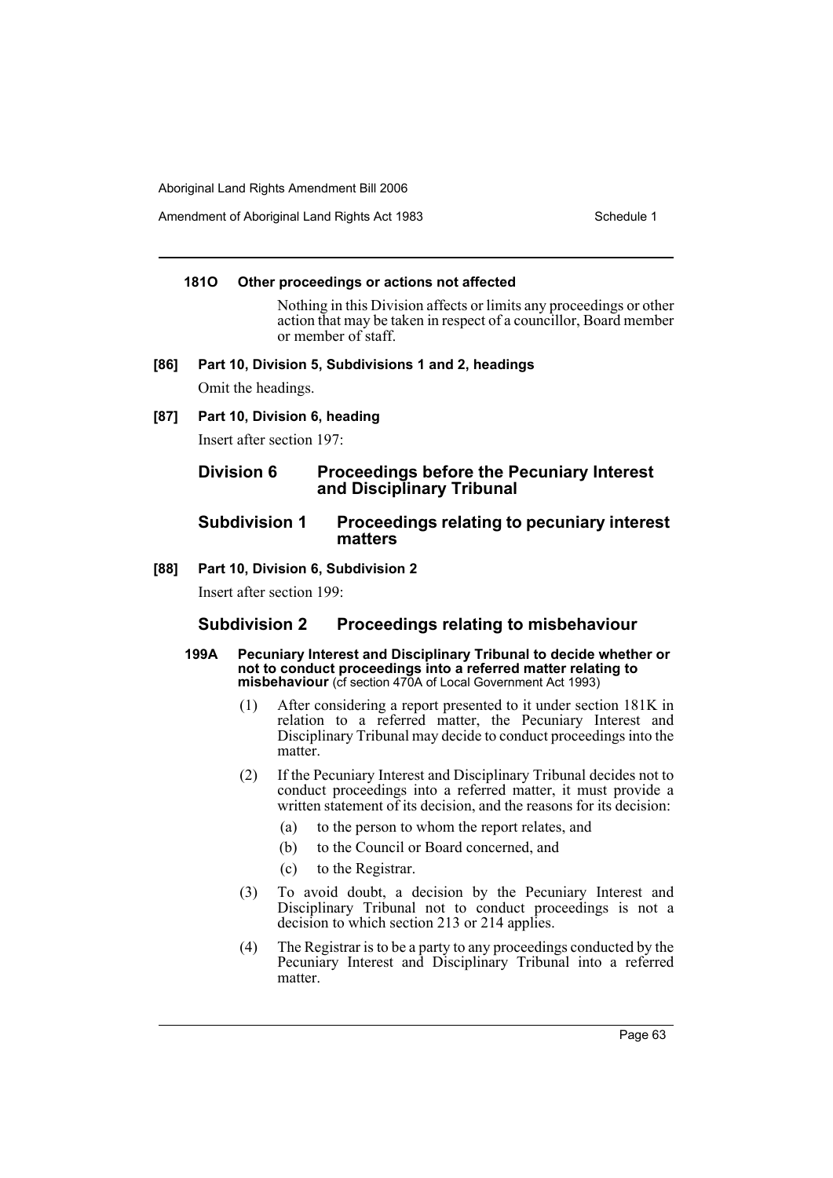Amendment of Aboriginal Land Rights Act 1983 Schedule 1

### **181O Other proceedings or actions not affected**

Nothing in this Division affects or limits any proceedings or other action that may be taken in respect of a councillor, Board member or member of staff.

**[86] Part 10, Division 5, Subdivisions 1 and 2, headings**

Omit the headings.

**[87] Part 10, Division 6, heading**

Insert after section 197:

# **Division 6 Proceedings before the Pecuniary Interest and Disciplinary Tribunal**

# **Subdivision 1 Proceedings relating to pecuniary interest matters**

### **[88] Part 10, Division 6, Subdivision 2**

Insert after section 199:

# **Subdivision 2 Proceedings relating to misbehaviour**

- **199A Pecuniary Interest and Disciplinary Tribunal to decide whether or not to conduct proceedings into a referred matter relating to misbehaviour** (cf section 470A of Local Government Act 1993)
	- (1) After considering a report presented to it under section 181K in relation to a referred matter, the Pecuniary Interest and Disciplinary Tribunal may decide to conduct proceedings into the matter.
	- (2) If the Pecuniary Interest and Disciplinary Tribunal decides not to conduct proceedings into a referred matter, it must provide a written statement of its decision, and the reasons for its decision:
		- (a) to the person to whom the report relates, and
		- (b) to the Council or Board concerned, and
		- (c) to the Registrar.
	- (3) To avoid doubt, a decision by the Pecuniary Interest and Disciplinary Tribunal not to conduct proceedings is not a decision to which section 213 or 214 applies.
	- (4) The Registrar is to be a party to any proceedings conducted by the Pecuniary Interest and Disciplinary Tribunal into a referred matter.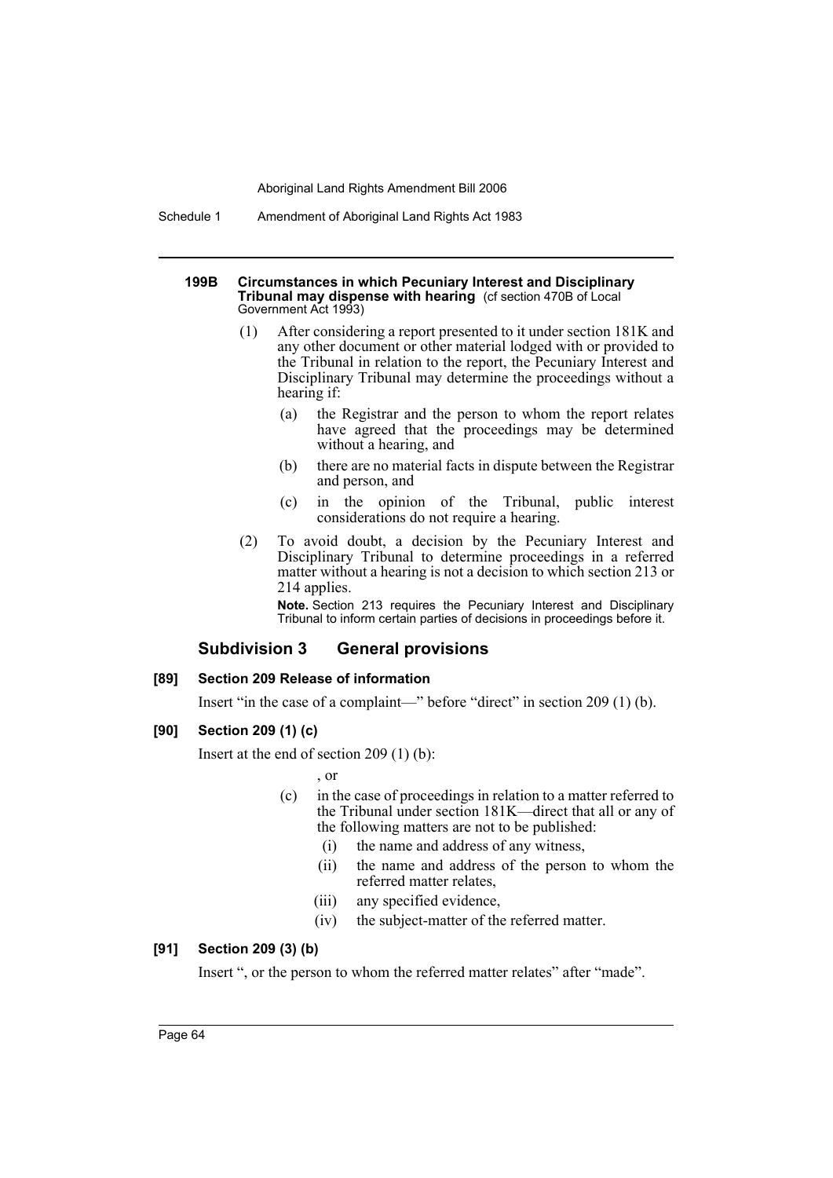Schedule 1 Amendment of Aboriginal Land Rights Act 1983

#### **199B Circumstances in which Pecuniary Interest and Disciplinary Tribunal may dispense with hearing** (cf section 470B of Local Government Act 1993)

- (1) After considering a report presented to it under section 181K and any other document or other material lodged with or provided to the Tribunal in relation to the report, the Pecuniary Interest and Disciplinary Tribunal may determine the proceedings without a hearing if:
	- (a) the Registrar and the person to whom the report relates have agreed that the proceedings may be determined without a hearing, and
	- (b) there are no material facts in dispute between the Registrar and person, and
	- (c) in the opinion of the Tribunal, public interest considerations do not require a hearing.
- (2) To avoid doubt, a decision by the Pecuniary Interest and Disciplinary Tribunal to determine proceedings in a referred matter without a hearing is not a decision to which section 213 or 214 applies.

**Note.** Section 213 requires the Pecuniary Interest and Disciplinary Tribunal to inform certain parties of decisions in proceedings before it.

# **Subdivision 3 General provisions**

### **[89] Section 209 Release of information**

Insert "in the case of a complaint—" before "direct" in section 209 (1) (b).

### **[90] Section 209 (1) (c)**

Insert at the end of section 209 (1) (b):

, or

- (c) in the case of proceedings in relation to a matter referred to the Tribunal under section 181K—direct that all or any of the following matters are not to be published:
	- (i) the name and address of any witness,
	- (ii) the name and address of the person to whom the referred matter relates,
	- (iii) any specified evidence,
	- (iv) the subject-matter of the referred matter.

# **[91] Section 209 (3) (b)**

Insert ", or the person to whom the referred matter relates" after "made".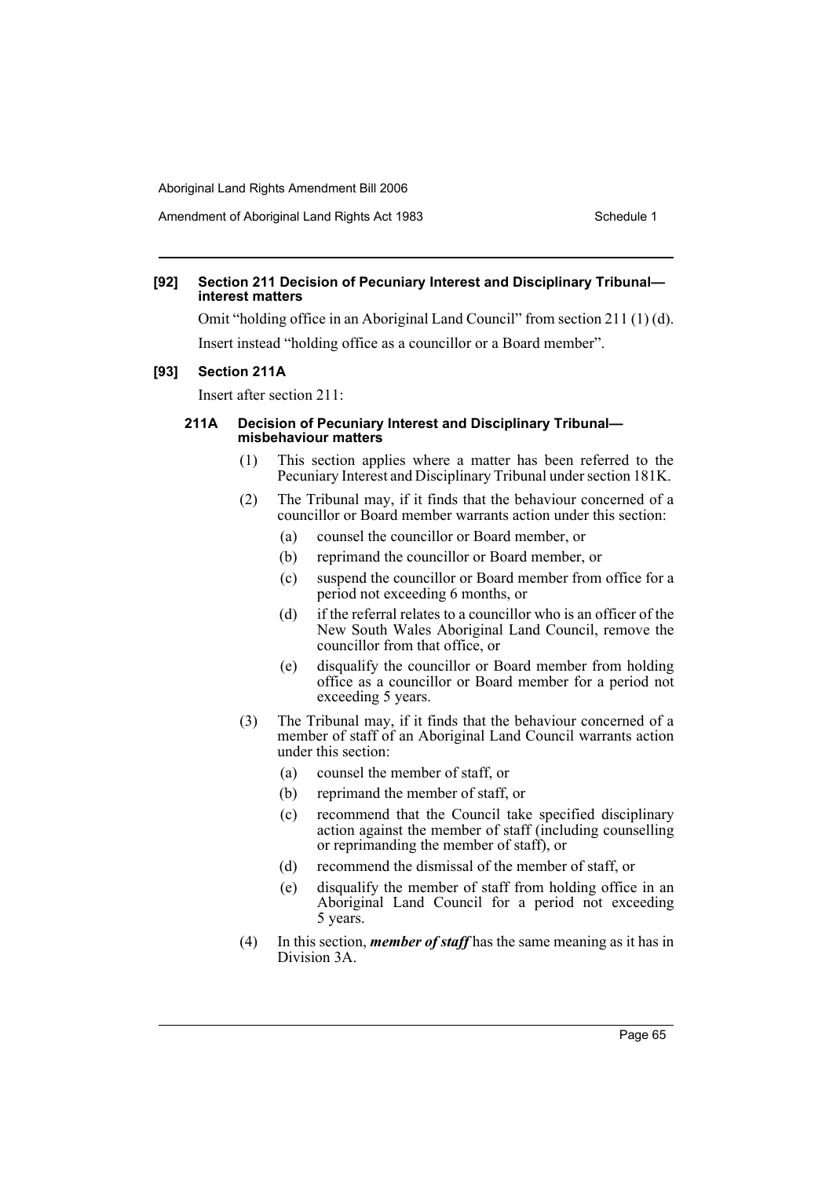### **[92] Section 211 Decision of Pecuniary Interest and Disciplinary Tribunal interest matters**

Omit "holding office in an Aboriginal Land Council" from section 211 (1) (d). Insert instead "holding office as a councillor or a Board member".

### **[93] Section 211A**

Insert after section 211:

### **211A Decision of Pecuniary Interest and Disciplinary Tribunal misbehaviour matters**

- (1) This section applies where a matter has been referred to the Pecuniary Interest and Disciplinary Tribunal under section 181K.
- (2) The Tribunal may, if it finds that the behaviour concerned of a councillor or Board member warrants action under this section:
	- (a) counsel the councillor or Board member, or
	- (b) reprimand the councillor or Board member, or
	- (c) suspend the councillor or Board member from office for a period not exceeding 6 months, or
	- (d) if the referral relates to a councillor who is an officer of the New South Wales Aboriginal Land Council, remove the councillor from that office, or
	- (e) disqualify the councillor or Board member from holding office as a councillor or Board member for a period not exceeding 5 years.
- (3) The Tribunal may, if it finds that the behaviour concerned of a member of staff of an Aboriginal Land Council warrants action under this section:
	- (a) counsel the member of staff, or
	- (b) reprimand the member of staff, or
	- (c) recommend that the Council take specified disciplinary action against the member of staff (including counselling or reprimanding the member of staff), or
	- (d) recommend the dismissal of the member of staff, or
	- (e) disqualify the member of staff from holding office in an Aboriginal Land Council for a period not exceeding 5 years.
- (4) In this section, *member of staff* has the same meaning as it has in Division 3A.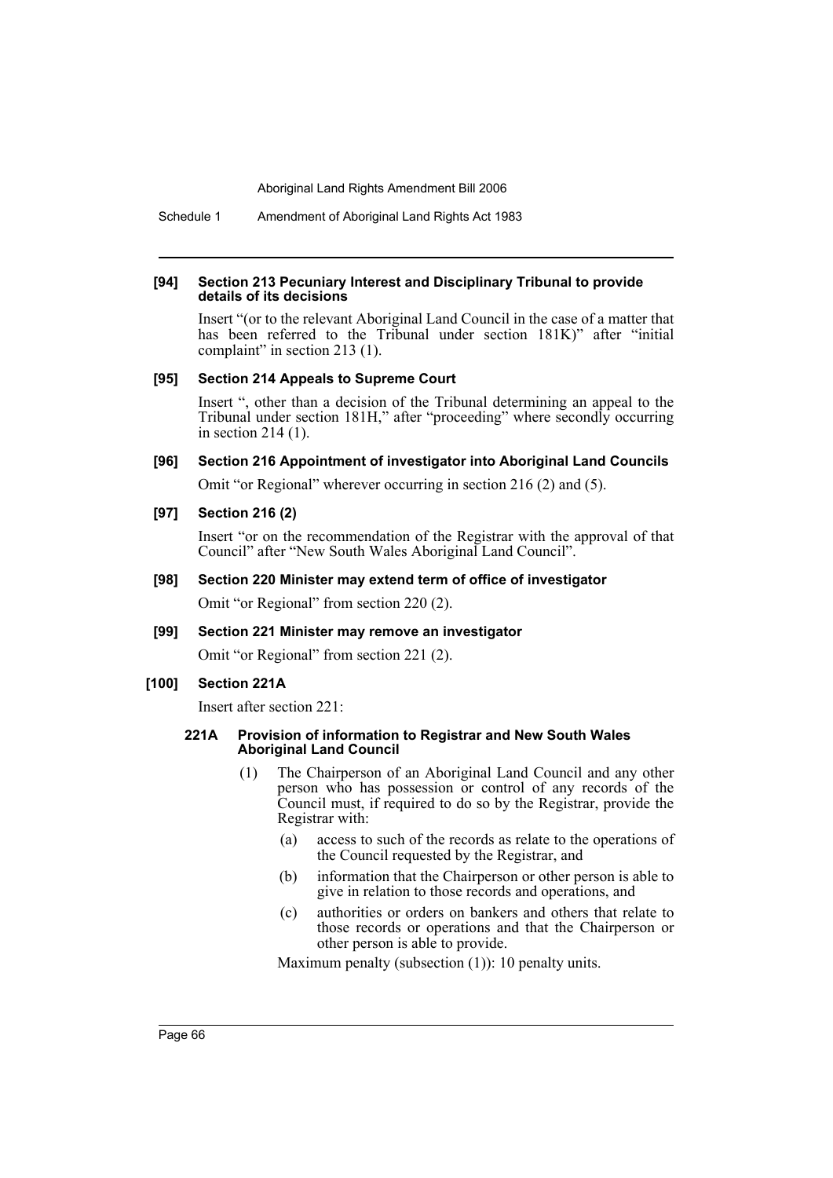Schedule 1 Amendment of Aboriginal Land Rights Act 1983

#### **[94] Section 213 Pecuniary Interest and Disciplinary Tribunal to provide details of its decisions**

Insert "(or to the relevant Aboriginal Land Council in the case of a matter that has been referred to the Tribunal under section 181K)" after "initial complaint" in section 213 (1).

### **[95] Section 214 Appeals to Supreme Court**

Insert ", other than a decision of the Tribunal determining an appeal to the Tribunal under section 181H," after "proceeding" where secondly occurring in section 214 (1).

### **[96] Section 216 Appointment of investigator into Aboriginal Land Councils**

Omit "or Regional" wherever occurring in section 216 (2) and (5).

### **[97] Section 216 (2)**

Insert "or on the recommendation of the Registrar with the approval of that Council" after "New South Wales Aboriginal Land Council".

#### **[98] Section 220 Minister may extend term of office of investigator**

Omit "or Regional" from section 220 (2).

#### **[99] Section 221 Minister may remove an investigator**

Omit "or Regional" from section 221 (2).

### **[100] Section 221A**

Insert after section 221:

#### **221A Provision of information to Registrar and New South Wales Aboriginal Land Council**

- (1) The Chairperson of an Aboriginal Land Council and any other person who has possession or control of any records of the Council must, if required to do so by the Registrar, provide the Registrar with:
	- (a) access to such of the records as relate to the operations of the Council requested by the Registrar, and
	- (b) information that the Chairperson or other person is able to give in relation to those records and operations, and
	- (c) authorities or orders on bankers and others that relate to those records or operations and that the Chairperson or other person is able to provide.

Maximum penalty (subsection (1)): 10 penalty units.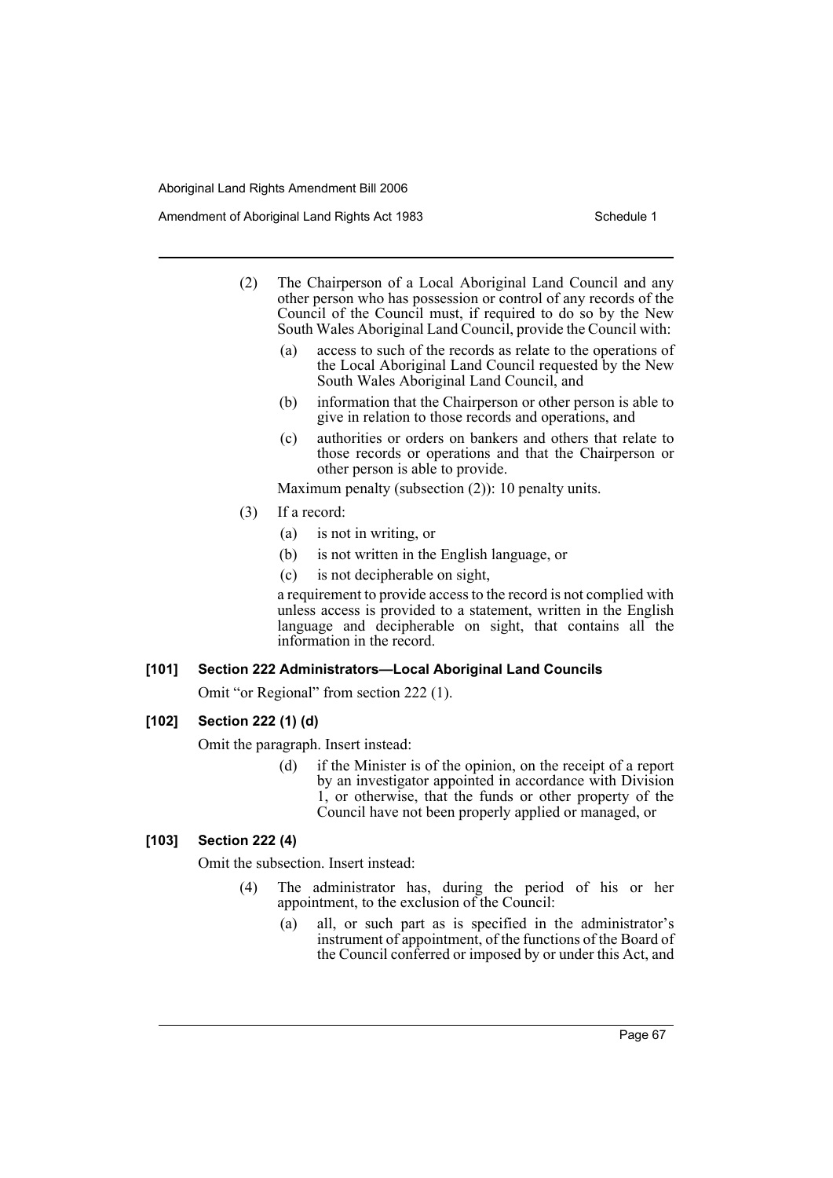Amendment of Aboriginal Land Rights Act 1983 Schedule 1

- (2) The Chairperson of a Local Aboriginal Land Council and any other person who has possession or control of any records of the Council of the Council must, if required to do so by the New South Wales Aboriginal Land Council, provide the Council with:
	- (a) access to such of the records as relate to the operations of the Local Aboriginal Land Council requested by the New South Wales Aboriginal Land Council, and
	- (b) information that the Chairperson or other person is able to give in relation to those records and operations, and
	- (c) authorities or orders on bankers and others that relate to those records or operations and that the Chairperson or other person is able to provide.

Maximum penalty (subsection (2)): 10 penalty units.

- (3) If a record:
	- (a) is not in writing, or
	- (b) is not written in the English language, or
	- (c) is not decipherable on sight,

a requirement to provide access to the record is not complied with unless access is provided to a statement, written in the English language and decipherable on sight, that contains all the information in the record.

# **[101] Section 222 Administrators—Local Aboriginal Land Councils**

Omit "or Regional" from section 222 (1).

# **[102] Section 222 (1) (d)**

Omit the paragraph. Insert instead:

(d) if the Minister is of the opinion, on the receipt of a report by an investigator appointed in accordance with Division 1, or otherwise, that the funds or other property of the Council have not been properly applied or managed, or

# **[103] Section 222 (4)**

Omit the subsection. Insert instead:

- (4) The administrator has, during the period of his or her appointment, to the exclusion of the Council:
	- (a) all, or such part as is specified in the administrator's instrument of appointment, of the functions of the Board of the Council conferred or imposed by or under this Act, and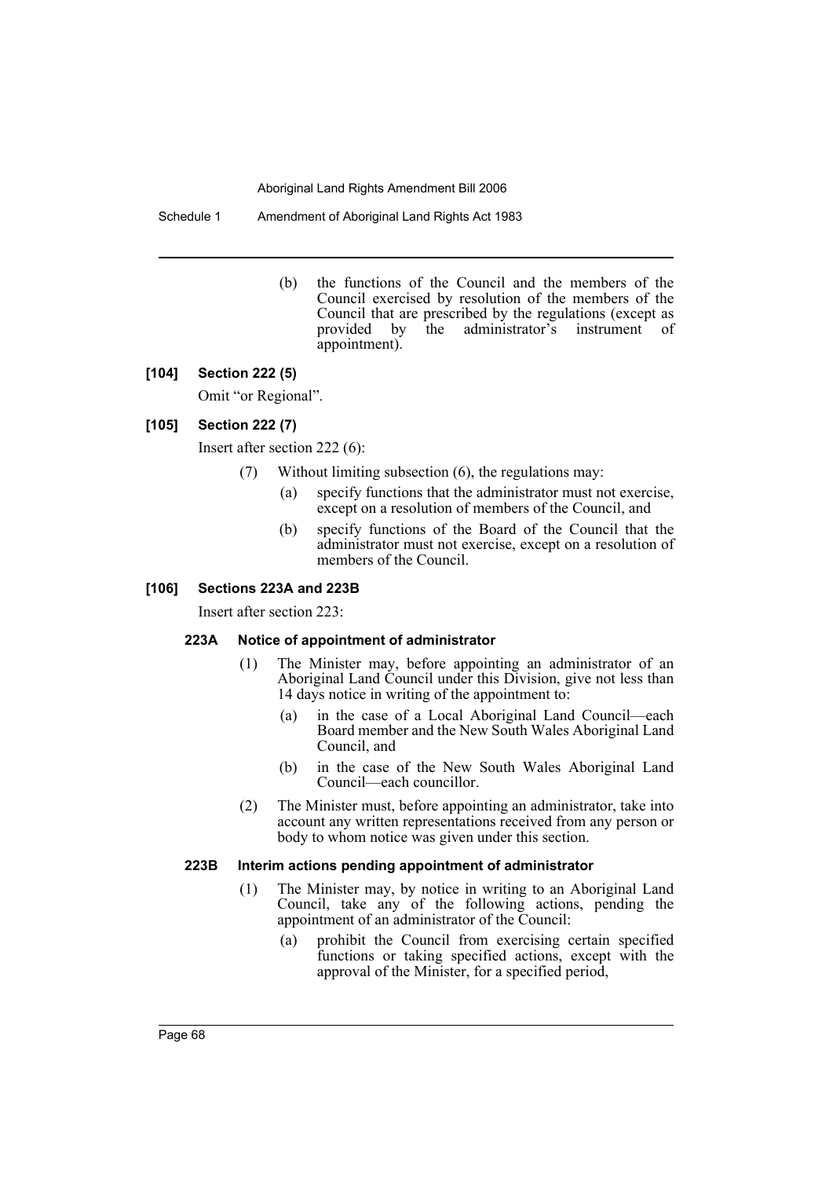Schedule 1 Amendment of Aboriginal Land Rights Act 1983

(b) the functions of the Council and the members of the Council exercised by resolution of the members of the Council that are prescribed by the regulations (except as provided by the administrator's instrument of appointment).

#### **[104] Section 222 (5)**

Omit "or Regional".

### **[105] Section 222 (7)**

Insert after section 222 (6):

- (7) Without limiting subsection (6), the regulations may:
	- (a) specify functions that the administrator must not exercise, except on a resolution of members of the Council, and
	- (b) specify functions of the Board of the Council that the administrator must not exercise, except on a resolution of members of the Council.

### **[106] Sections 223A and 223B**

Insert after section 223:

### **223A Notice of appointment of administrator**

- (1) The Minister may, before appointing an administrator of an Aboriginal Land Council under this Division, give not less than 14 days notice in writing of the appointment to:
	- (a) in the case of a Local Aboriginal Land Council—each Board member and the New South Wales Aboriginal Land Council, and
	- (b) in the case of the New South Wales Aboriginal Land Council—each councillor.
- (2) The Minister must, before appointing an administrator, take into account any written representations received from any person or body to whom notice was given under this section.

## **223B Interim actions pending appointment of administrator**

- (1) The Minister may, by notice in writing to an Aboriginal Land Council, take any of the following actions, pending the appointment of an administrator of the Council:
	- (a) prohibit the Council from exercising certain specified functions or taking specified actions, except with the approval of the Minister, for a specified period,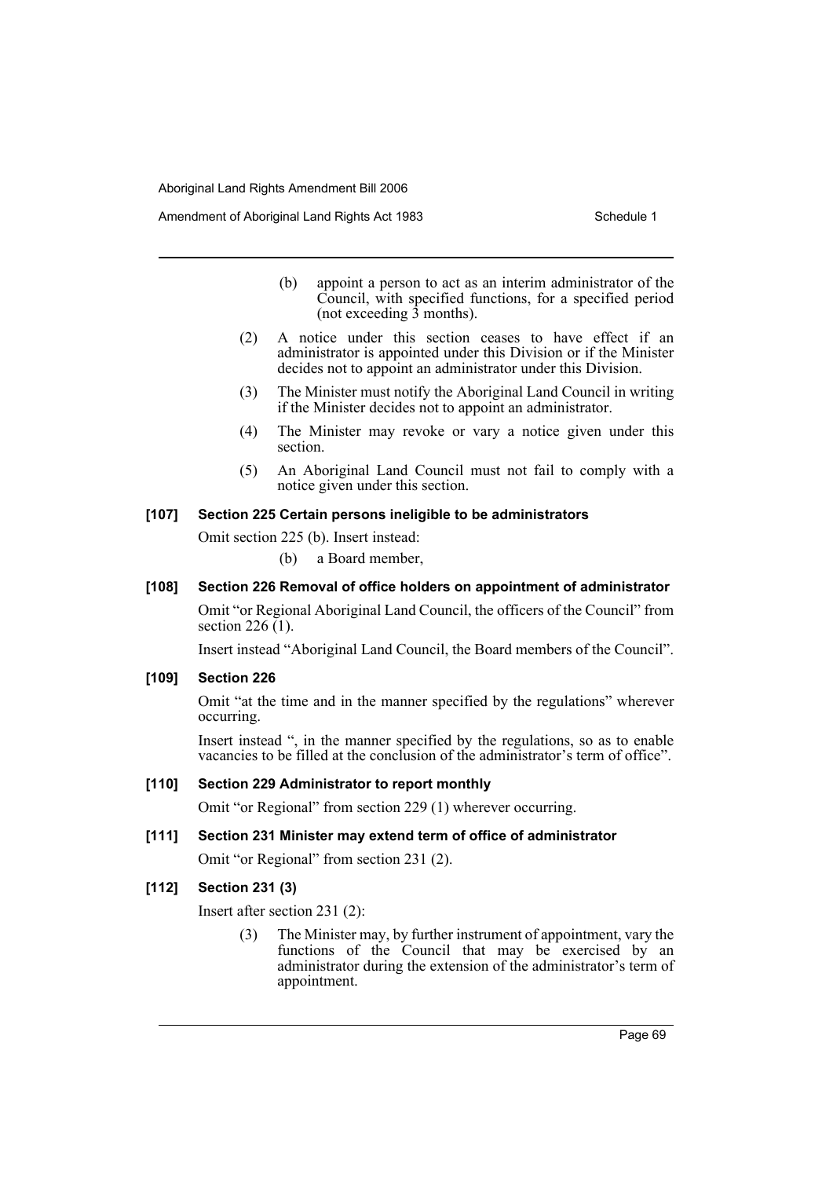- (b) appoint a person to act as an interim administrator of the Council, with specified functions, for a specified period (not exceeding  $\overline{3}$  months).
- (2) A notice under this section ceases to have effect if an administrator is appointed under this Division or if the Minister decides not to appoint an administrator under this Division.
- (3) The Minister must notify the Aboriginal Land Council in writing if the Minister decides not to appoint an administrator.
- (4) The Minister may revoke or vary a notice given under this section.
- (5) An Aboriginal Land Council must not fail to comply with a notice given under this section.

### **[107] Section 225 Certain persons ineligible to be administrators**

Omit section 225 (b). Insert instead:

(b) a Board member,

### **[108] Section 226 Removal of office holders on appointment of administrator**

Omit "or Regional Aboriginal Land Council, the officers of the Council" from section 226  $(1)$ .

Insert instead "Aboriginal Land Council, the Board members of the Council".

#### **[109] Section 226**

Omit "at the time and in the manner specified by the regulations" wherever occurring.

Insert instead ", in the manner specified by the regulations, so as to enable vacancies to be filled at the conclusion of the administrator's term of office".

#### **[110] Section 229 Administrator to report monthly**

Omit "or Regional" from section 229 (1) wherever occurring.

### **[111] Section 231 Minister may extend term of office of administrator**

Omit "or Regional" from section 231 (2).

# **[112] Section 231 (3)**

Insert after section 231 (2):

(3) The Minister may, by further instrument of appointment, vary the functions of the Council that may be exercised by an administrator during the extension of the administrator's term of appointment.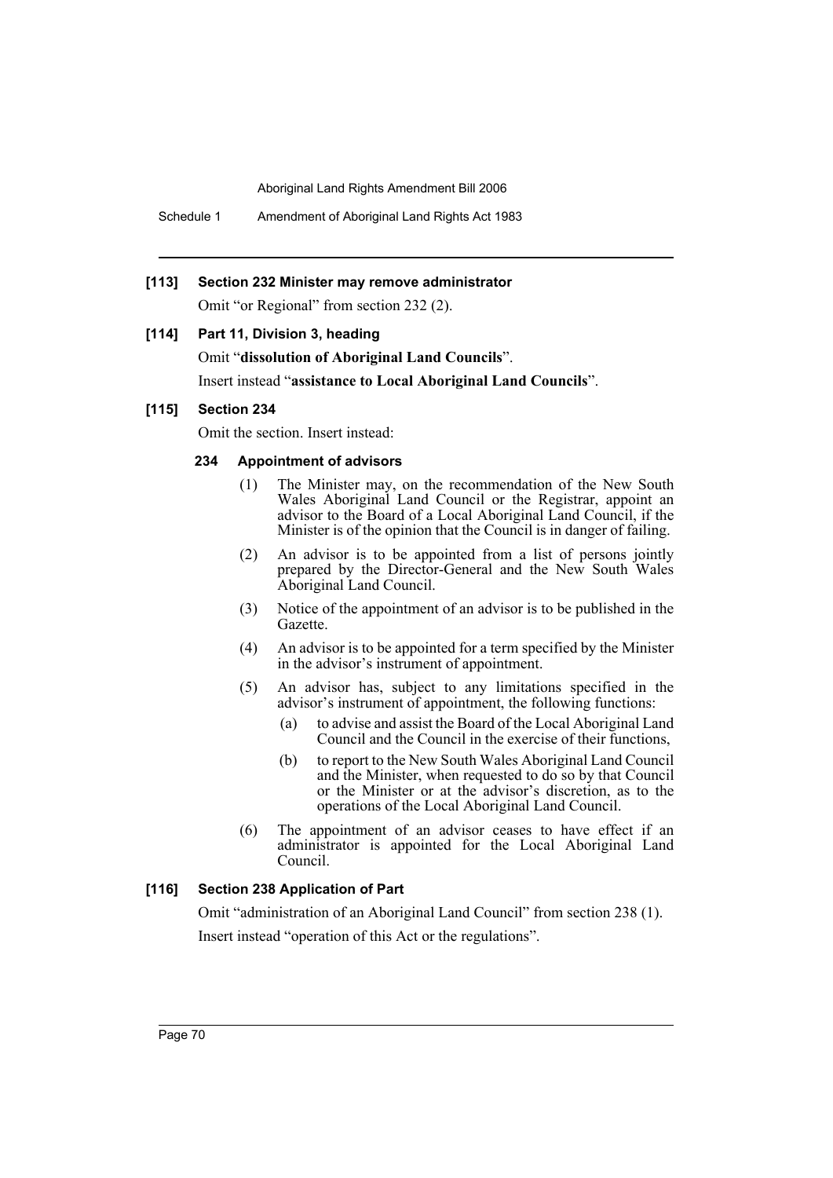Schedule 1 Amendment of Aboriginal Land Rights Act 1983

# **[113] Section 232 Minister may remove administrator**

Omit "or Regional" from section 232 (2).

# **[114] Part 11, Division 3, heading**

Omit "**dissolution of Aboriginal Land Councils**". Insert instead "**assistance to Local Aboriginal Land Councils**".

# **[115] Section 234**

Omit the section. Insert instead:

# **234 Appointment of advisors**

- (1) The Minister may, on the recommendation of the New South Wales Aboriginal Land Council or the Registrar, appoint an advisor to the Board of a Local Aboriginal Land Council, if the Minister is of the opinion that the Council is in danger of failing.
- (2) An advisor is to be appointed from a list of persons jointly prepared by the Director-General and the New South Wales Aboriginal Land Council.
- (3) Notice of the appointment of an advisor is to be published in the Gazette.
- (4) An advisor is to be appointed for a term specified by the Minister in the advisor's instrument of appointment.
- (5) An advisor has, subject to any limitations specified in the advisor's instrument of appointment, the following functions:
	- (a) to advise and assist the Board of the Local Aboriginal Land Council and the Council in the exercise of their functions,
	- (b) to report to the New South Wales Aboriginal Land Council and the Minister, when requested to do so by that Council or the Minister or at the advisor's discretion, as to the operations of the Local Aboriginal Land Council.
- (6) The appointment of an advisor ceases to have effect if an administrator is appointed for the Local Aboriginal Land Council.

# **[116] Section 238 Application of Part**

Omit "administration of an Aboriginal Land Council" from section 238 (1). Insert instead "operation of this Act or the regulations".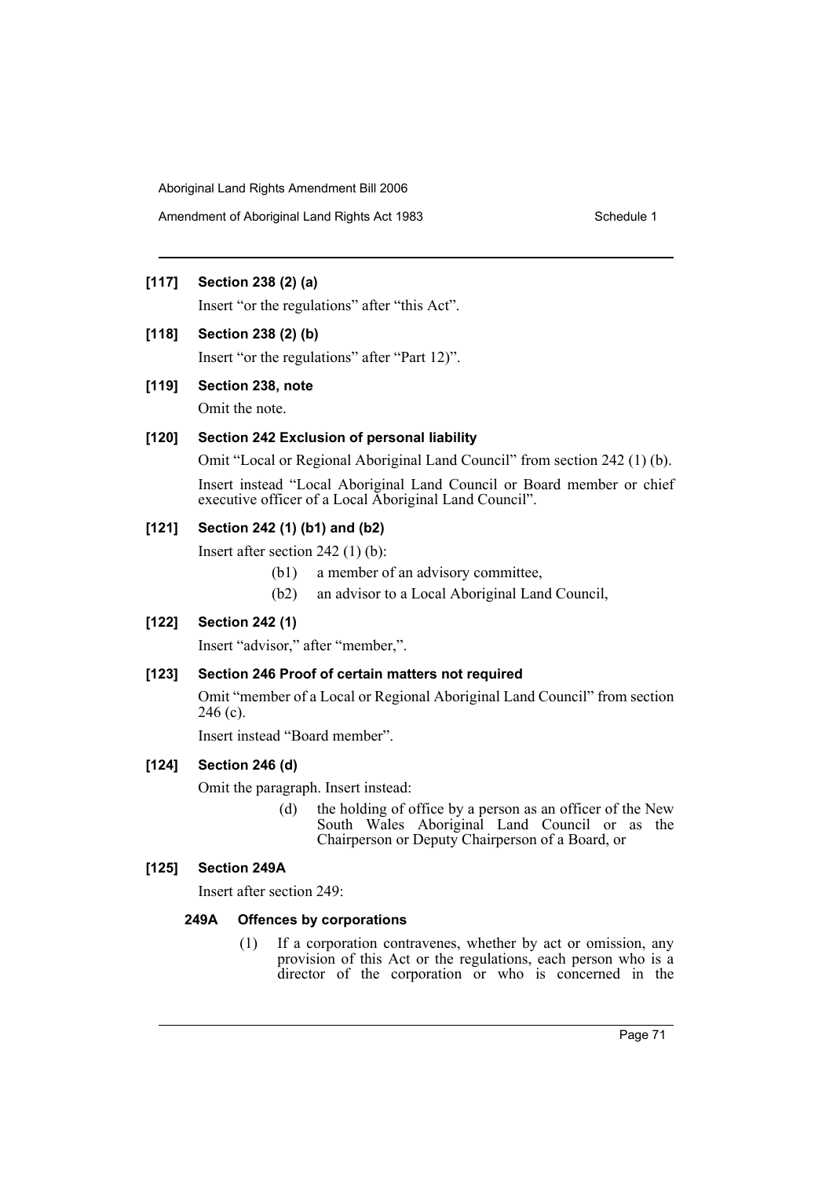Amendment of Aboriginal Land Rights Act 1983 Schedule 1

# **[117] Section 238 (2) (a)**

Insert "or the regulations" after "this Act".

# **[118] Section 238 (2) (b)**

Insert "or the regulations" after "Part 12)".

# **[119] Section 238, note**

Omit the note.

# **[120] Section 242 Exclusion of personal liability**

Omit "Local or Regional Aboriginal Land Council" from section 242 (1) (b). Insert instead "Local Aboriginal Land Council or Board member or chief executive officer of a Local Aboriginal Land Council".

# **[121] Section 242 (1) (b1) and (b2)**

Insert after section 242 (1) (b):

- (b1) a member of an advisory committee,
- (b2) an advisor to a Local Aboriginal Land Council,

# **[122] Section 242 (1)**

Insert "advisor," after "member,".

# **[123] Section 246 Proof of certain matters not required**

Omit "member of a Local or Regional Aboriginal Land Council" from section 246 (c).

Insert instead "Board member".

# **[124] Section 246 (d)**

Omit the paragraph. Insert instead:

(d) the holding of office by a person as an officer of the New South Wales Aboriginal Land Council or as the Chairperson or Deputy Chairperson of a Board, or

# **[125] Section 249A**

Insert after section 249:

# **249A Offences by corporations**

(1) If a corporation contravenes, whether by act or omission, any provision of this Act or the regulations, each person who is a director of the corporation or who is concerned in the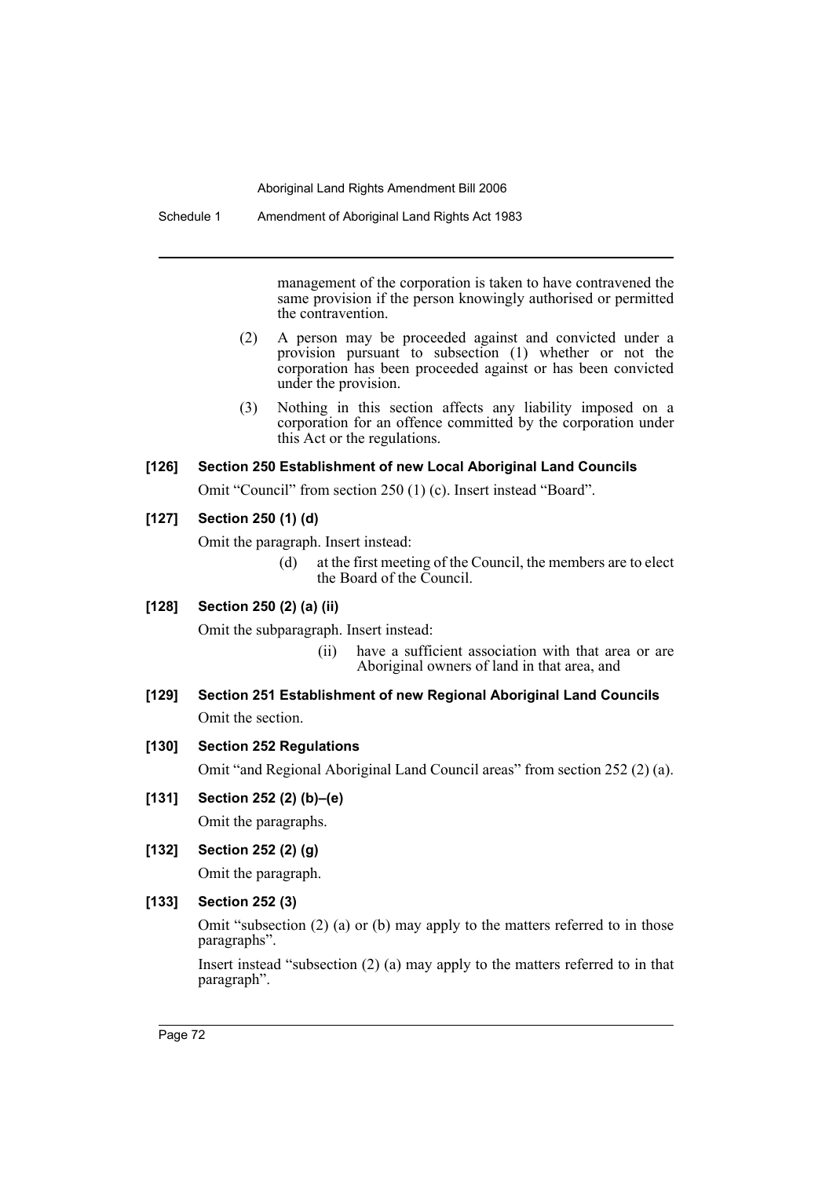Schedule 1 Amendment of Aboriginal Land Rights Act 1983

management of the corporation is taken to have contravened the same provision if the person knowingly authorised or permitted the contravention.

- (2) A person may be proceeded against and convicted under a provision pursuant to subsection (1) whether or not the corporation has been proceeded against or has been convicted under the provision.
- (3) Nothing in this section affects any liability imposed on a corporation for an offence committed by the corporation under this Act or the regulations.

# **[126] Section 250 Establishment of new Local Aboriginal Land Councils**

Omit "Council" from section 250 (1) (c). Insert instead "Board".

# **[127] Section 250 (1) (d)**

Omit the paragraph. Insert instead:

(d) at the first meeting of the Council, the members are to elect the Board of the Council.

# **[128] Section 250 (2) (a) (ii)**

Omit the subparagraph. Insert instead:

- (ii) have a sufficient association with that area or are Aboriginal owners of land in that area, and
- **[129] Section 251 Establishment of new Regional Aboriginal Land Councils** Omit the section.

# **[130] Section 252 Regulations**

Omit "and Regional Aboriginal Land Council areas" from section 252 (2) (a).

**[131] Section 252 (2) (b)–(e)**

Omit the paragraphs.

**[132] Section 252 (2) (g)**

Omit the paragraph.

# **[133] Section 252 (3)**

Omit "subsection (2) (a) or (b) may apply to the matters referred to in those paragraphs".

Insert instead "subsection (2) (a) may apply to the matters referred to in that paragraph".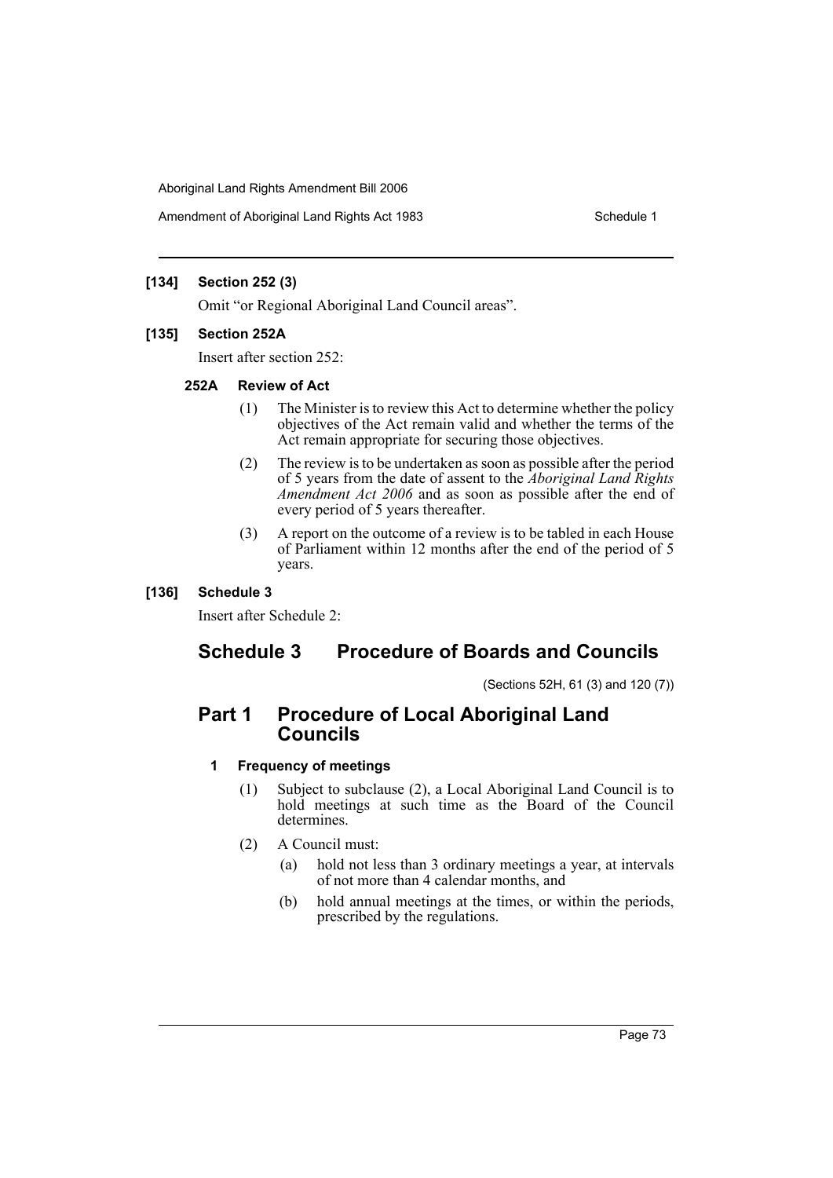Amendment of Aboriginal Land Rights Act 1983 Schedule 1

# **[134] Section 252 (3)**

Omit "or Regional Aboriginal Land Council areas".

## **[135] Section 252A**

Insert after section 252:

## **252A Review of Act**

- (1) The Minister is to review this Act to determine whether the policy objectives of the Act remain valid and whether the terms of the Act remain appropriate for securing those objectives.
- (2) The review is to be undertaken as soon as possible after the period of 5 years from the date of assent to the *Aboriginal Land Rights Amendment Act 2006* and as soon as possible after the end of every period of 5 years thereafter.
- (3) A report on the outcome of a review is to be tabled in each House of Parliament within 12 months after the end of the period of 5 years.

# **[136] Schedule 3**

Insert after Schedule 2:

# **Schedule 3 Procedure of Boards and Councils**

(Sections 52H, 61 (3) and 120 (7))

# **Part 1 Procedure of Local Aboriginal Land Councils**

# **1 Frequency of meetings**

- (1) Subject to subclause (2), a Local Aboriginal Land Council is to hold meetings at such time as the Board of the Council determines.
- (2) A Council must:
	- (a) hold not less than 3 ordinary meetings a year, at intervals of not more than 4 calendar months, and
	- (b) hold annual meetings at the times, or within the periods, prescribed by the regulations.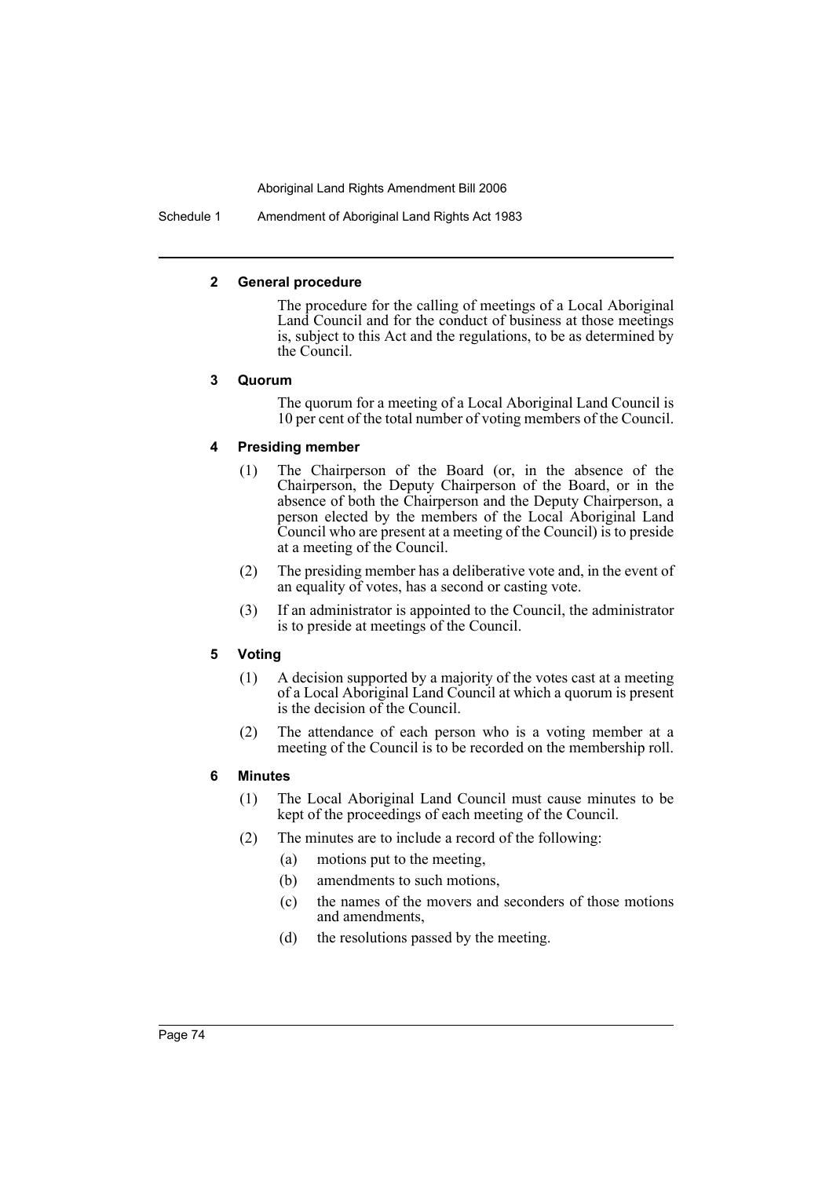Schedule 1 Amendment of Aboriginal Land Rights Act 1983

## **2 General procedure**

The procedure for the calling of meetings of a Local Aboriginal Land Council and for the conduct of business at those meetings is, subject to this Act and the regulations, to be as determined by the Council.

## **3 Quorum**

The quorum for a meeting of a Local Aboriginal Land Council is 10 per cent of the total number of voting members of the Council.

# **4 Presiding member**

- (1) The Chairperson of the Board (or, in the absence of the Chairperson, the Deputy Chairperson of the Board, or in the absence of both the Chairperson and the Deputy Chairperson, a person elected by the members of the Local Aboriginal Land Council who are present at a meeting of the Council) is to preside at a meeting of the Council.
- (2) The presiding member has a deliberative vote and, in the event of an equality of votes, has a second or casting vote.
- (3) If an administrator is appointed to the Council, the administrator is to preside at meetings of the Council.

# **5 Voting**

- (1) A decision supported by a majority of the votes cast at a meeting of a Local Aboriginal Land Council at which a quorum is present is the decision of the Council.
- (2) The attendance of each person who is a voting member at a meeting of the Council is to be recorded on the membership roll.

# **6 Minutes**

- (1) The Local Aboriginal Land Council must cause minutes to be kept of the proceedings of each meeting of the Council.
- (2) The minutes are to include a record of the following:
	- (a) motions put to the meeting,
	- (b) amendments to such motions,
	- (c) the names of the movers and seconders of those motions and amendments,
	- (d) the resolutions passed by the meeting.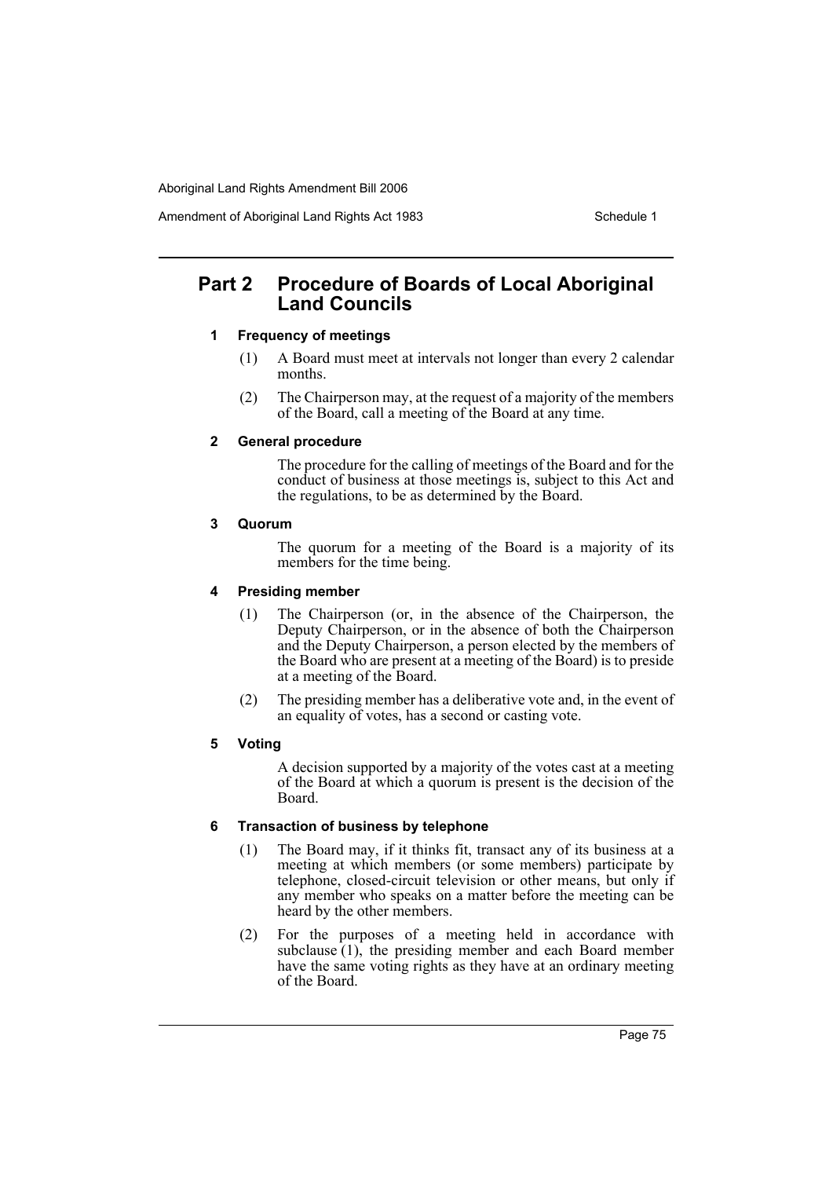Amendment of Aboriginal Land Rights Act 1983 Schedule 1

# **Part 2 Procedure of Boards of Local Aboriginal Land Councils**

# **1 Frequency of meetings**

- (1) A Board must meet at intervals not longer than every 2 calendar months.
- (2) The Chairperson may, at the request of a majority of the members of the Board, call a meeting of the Board at any time.

## **2 General procedure**

The procedure for the calling of meetings of the Board and for the conduct of business at those meetings is, subject to this Act and the regulations, to be as determined by the Board.

## **3 Quorum**

The quorum for a meeting of the Board is a majority of its members for the time being.

## **4 Presiding member**

- (1) The Chairperson (or, in the absence of the Chairperson, the Deputy Chairperson, or in the absence of both the Chairperson and the Deputy Chairperson, a person elected by the members of the Board who are present at a meeting of the Board) is to preside at a meeting of the Board.
- (2) The presiding member has a deliberative vote and, in the event of an equality of votes, has a second or casting vote.

# **5 Voting**

A decision supported by a majority of the votes cast at a meeting of the Board at which a quorum is present is the decision of the Board.

# **6 Transaction of business by telephone**

- (1) The Board may, if it thinks fit, transact any of its business at a meeting at which members (or some members) participate by telephone, closed-circuit television or other means, but only if any member who speaks on a matter before the meeting can be heard by the other members.
- (2) For the purposes of a meeting held in accordance with subclause  $(1)$ , the presiding member and each Board member have the same voting rights as they have at an ordinary meeting of the Board.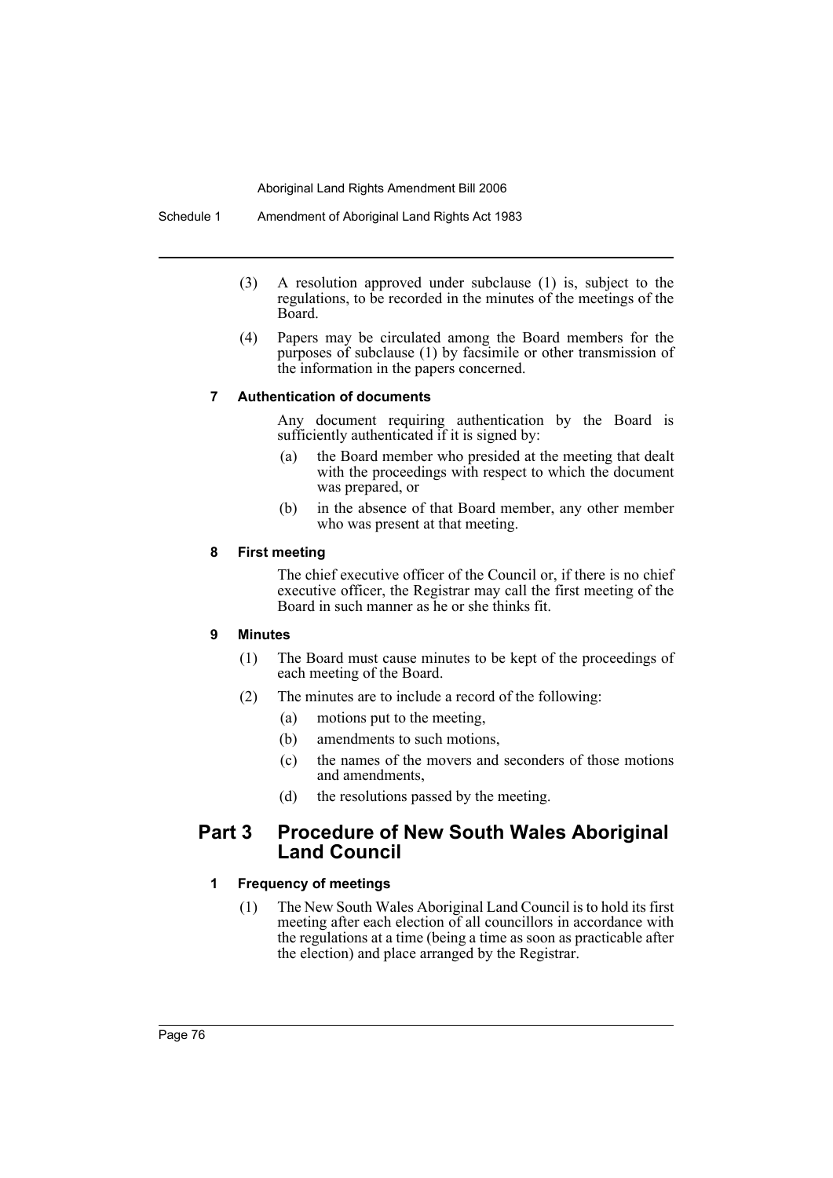- (3) A resolution approved under subclause (1) is, subject to the regulations, to be recorded in the minutes of the meetings of the Board.
- (4) Papers may be circulated among the Board members for the purposes of subclause (1) by facsimile or other transmission of the information in the papers concerned.

## **7 Authentication of documents**

Any document requiring authentication by the Board is sufficiently authenticated if it is signed by:

- (a) the Board member who presided at the meeting that dealt with the proceedings with respect to which the document was prepared, or
- (b) in the absence of that Board member, any other member who was present at that meeting.

# **8 First meeting**

The chief executive officer of the Council or, if there is no chief executive officer, the Registrar may call the first meeting of the Board in such manner as he or she thinks fit.

# **9 Minutes**

- (1) The Board must cause minutes to be kept of the proceedings of each meeting of the Board.
- (2) The minutes are to include a record of the following:
	- (a) motions put to the meeting,
	- (b) amendments to such motions,
	- (c) the names of the movers and seconders of those motions and amendments,
	- (d) the resolutions passed by the meeting.

# **Part 3 Procedure of New South Wales Aboriginal Land Council**

# **1 Frequency of meetings**

(1) The New South Wales Aboriginal Land Council is to hold its first meeting after each election of all councillors in accordance with the regulations at a time (being a time as soon as practicable after the election) and place arranged by the Registrar.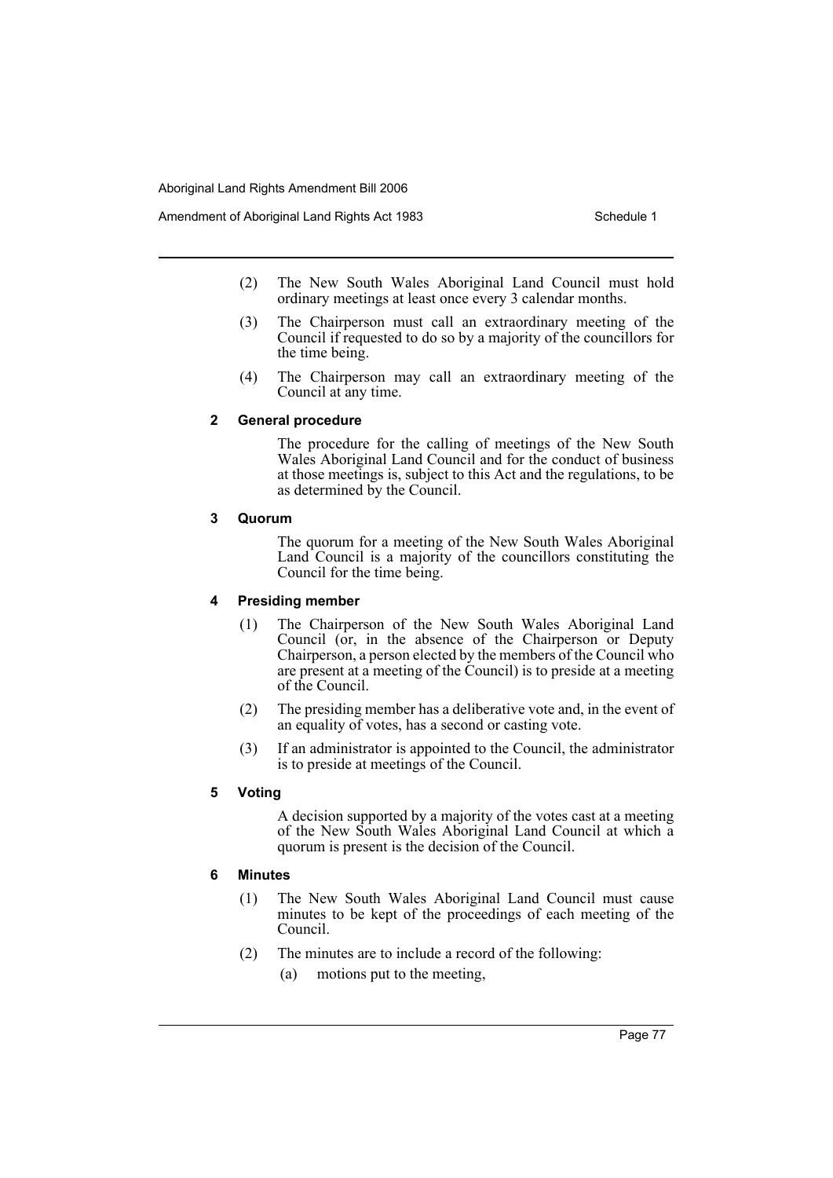- (2) The New South Wales Aboriginal Land Council must hold ordinary meetings at least once every 3 calendar months.
- (3) The Chairperson must call an extraordinary meeting of the Council if requested to do so by a majority of the councillors for the time being.
- (4) The Chairperson may call an extraordinary meeting of the Council at any time.

### **2 General procedure**

The procedure for the calling of meetings of the New South Wales Aboriginal Land Council and for the conduct of business at those meetings is, subject to this Act and the regulations, to be as determined by the Council.

### **3 Quorum**

The quorum for a meeting of the New South Wales Aboriginal Land Council is a majority of the councillors constituting the Council for the time being.

# **4 Presiding member**

- (1) The Chairperson of the New South Wales Aboriginal Land Council (or, in the absence of the Chairperson or Deputy Chairperson, a person elected by the members of the Council who are present at a meeting of the Council) is to preside at a meeting of the Council.
- (2) The presiding member has a deliberative vote and, in the event of an equality of votes, has a second or casting vote.
- (3) If an administrator is appointed to the Council, the administrator is to preside at meetings of the Council.

# **5 Voting**

A decision supported by a majority of the votes cast at a meeting of the New South Wales Aboriginal Land Council at which a quorum is present is the decision of the Council.

# **6 Minutes**

- (1) The New South Wales Aboriginal Land Council must cause minutes to be kept of the proceedings of each meeting of the Council.
- (2) The minutes are to include a record of the following:
	- (a) motions put to the meeting,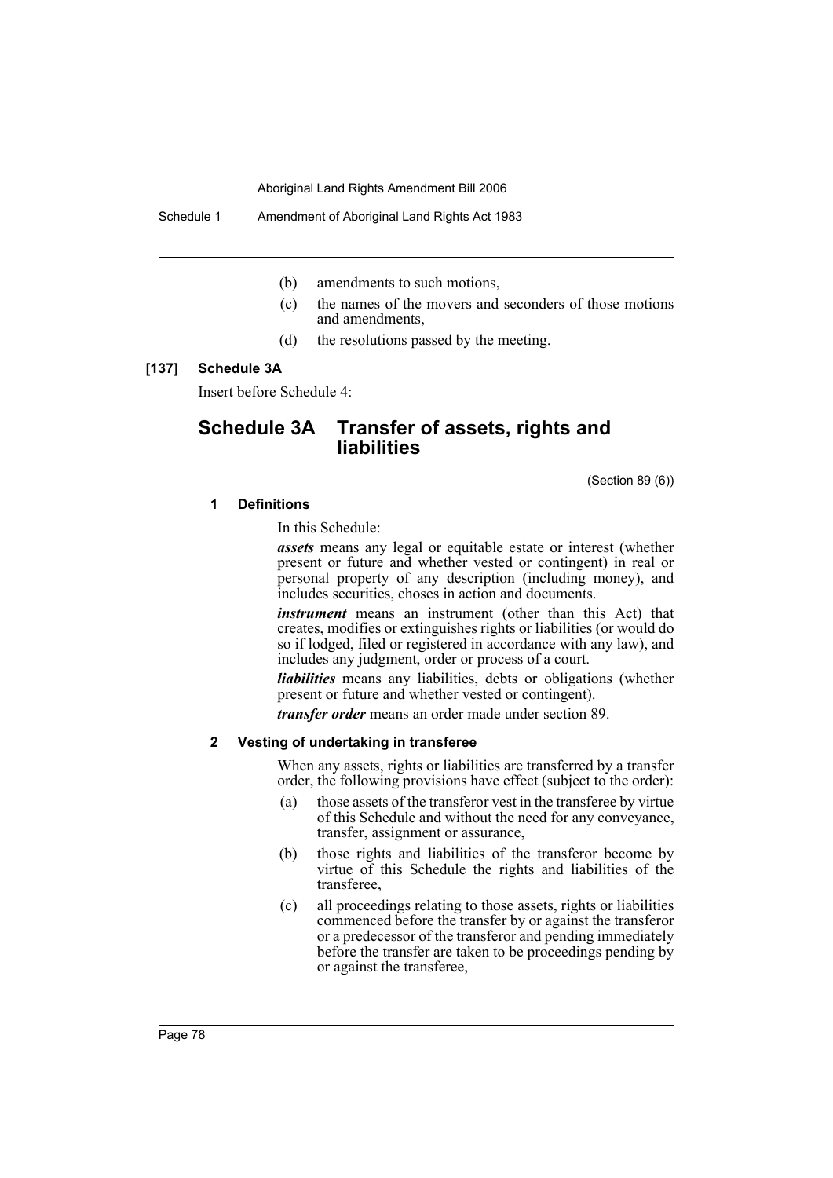Schedule 1 Amendment of Aboriginal Land Rights Act 1983

- (b) amendments to such motions,
- (c) the names of the movers and seconders of those motions and amendments,
- (d) the resolutions passed by the meeting.

#### **[137] Schedule 3A**

Insert before Schedule 4:

# **Schedule 3A Transfer of assets, rights and liabilities**

(Section 89 (6))

#### **1 Definitions**

In this Schedule:

*assets* means any legal or equitable estate or interest (whether present or future and whether vested or contingent) in real or personal property of any description (including money), and includes securities, choses in action and documents.

*instrument* means an instrument (other than this Act) that creates, modifies or extinguishes rights or liabilities (or would do so if lodged, filed or registered in accordance with any law), and includes any judgment, order or process of a court.

*liabilities* means any liabilities, debts or obligations (whether present or future and whether vested or contingent).

*transfer order* means an order made under section 89.

### **2 Vesting of undertaking in transferee**

When any assets, rights or liabilities are transferred by a transfer order, the following provisions have effect (subject to the order):

- (a) those assets of the transferor vest in the transferee by virtue of this Schedule and without the need for any conveyance, transfer, assignment or assurance,
- (b) those rights and liabilities of the transferor become by virtue of this Schedule the rights and liabilities of the transferee,
- (c) all proceedings relating to those assets, rights or liabilities commenced before the transfer by or against the transferor or a predecessor of the transferor and pending immediately before the transfer are taken to be proceedings pending by or against the transferee,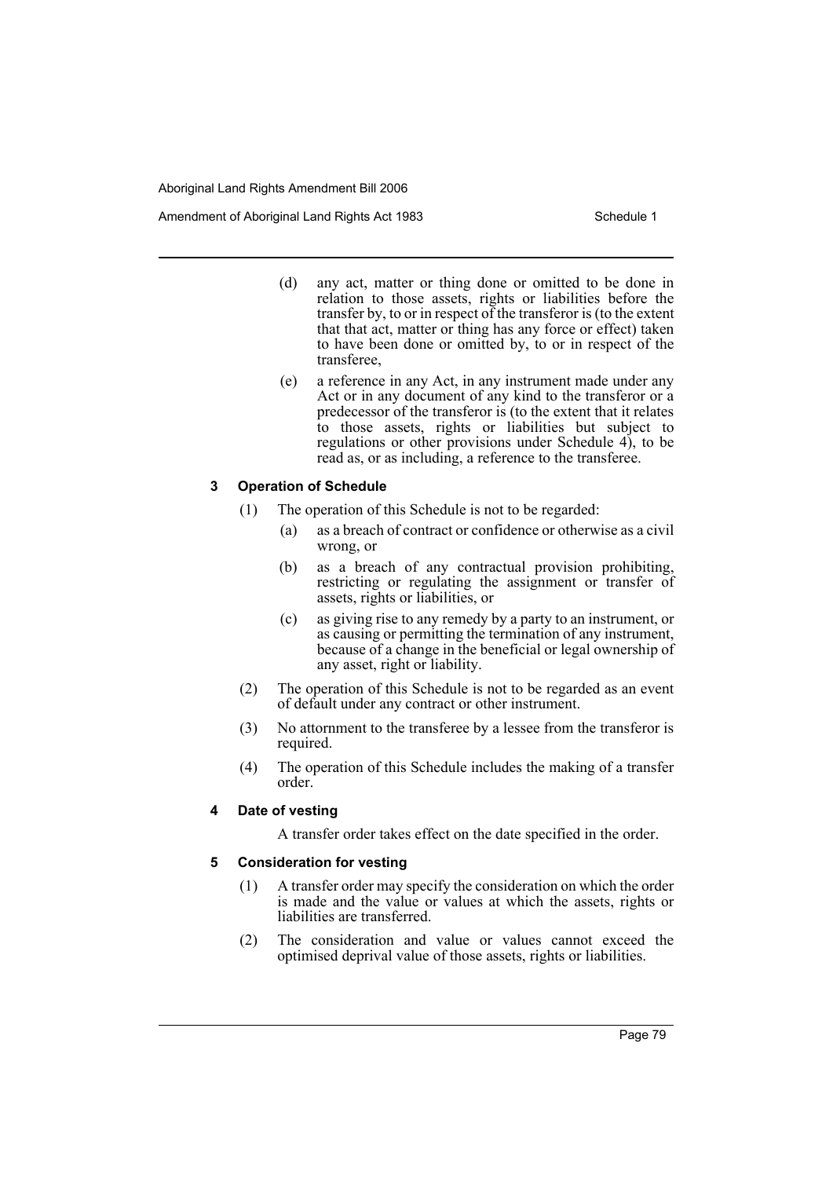Amendment of Aboriginal Land Rights Act 1983 Schedule 1

- (d) any act, matter or thing done or omitted to be done in relation to those assets, rights or liabilities before the transfer by, to or in respect of the transferor is (to the extent that that act, matter or thing has any force or effect) taken to have been done or omitted by, to or in respect of the transferee,
- (e) a reference in any Act, in any instrument made under any Act or in any document of any kind to the transferor or a predecessor of the transferor is (to the extent that it relates to those assets, rights or liabilities but subject to regulations or other provisions under Schedule 4), to be read as, or as including, a reference to the transferee.

## **3 Operation of Schedule**

- (1) The operation of this Schedule is not to be regarded:
	- (a) as a breach of contract or confidence or otherwise as a civil wrong, or
	- (b) as a breach of any contractual provision prohibiting, restricting or regulating the assignment or transfer of assets, rights or liabilities, or
	- (c) as giving rise to any remedy by a party to an instrument, or as causing or permitting the termination of any instrument, because of a change in the beneficial or legal ownership of any asset, right or liability.
- (2) The operation of this Schedule is not to be regarded as an event of default under any contract or other instrument.
- (3) No attornment to the transferee by a lessee from the transferor is required.
- (4) The operation of this Schedule includes the making of a transfer order.

# **4 Date of vesting**

A transfer order takes effect on the date specified in the order.

# **5 Consideration for vesting**

- (1) A transfer order may specify the consideration on which the order is made and the value or values at which the assets, rights or liabilities are transferred.
- (2) The consideration and value or values cannot exceed the optimised deprival value of those assets, rights or liabilities.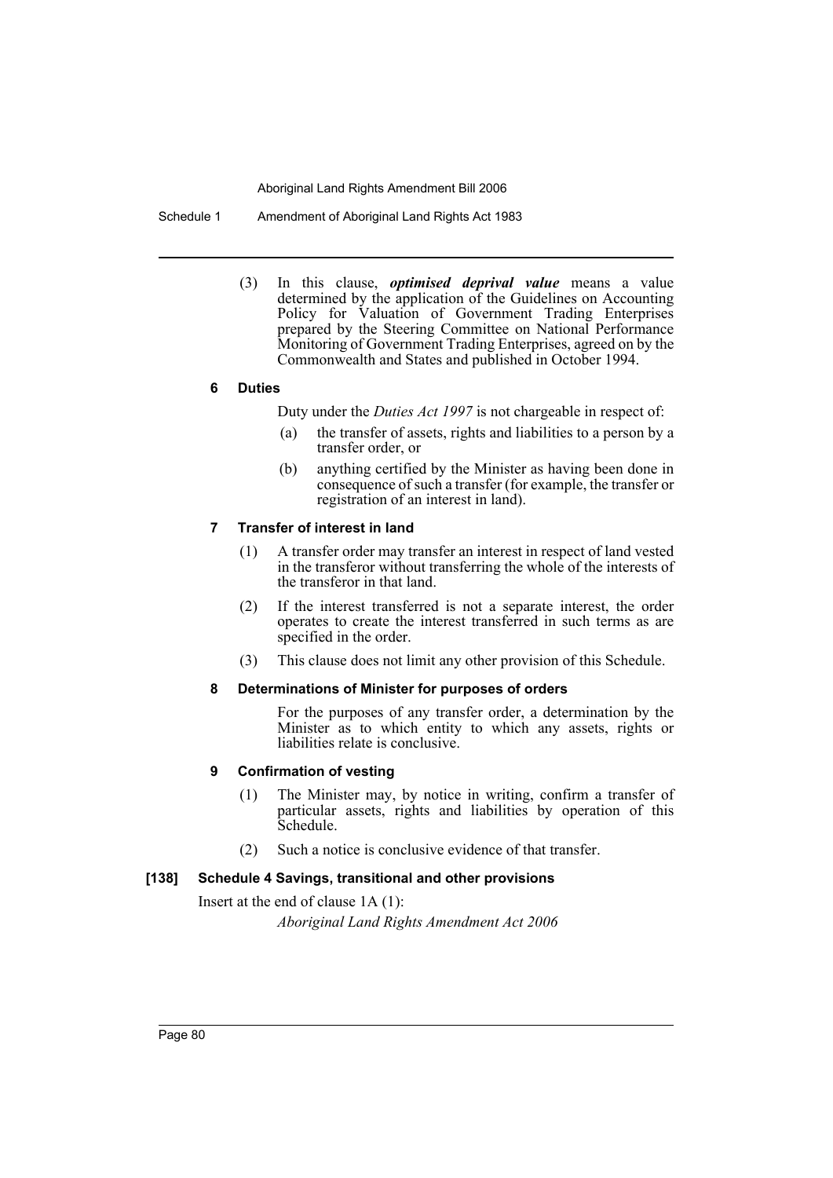Schedule 1 Amendment of Aboriginal Land Rights Act 1983

(3) In this clause, *optimised deprival value* means a value determined by the application of the Guidelines on Accounting Policy for Valuation of Government Trading Enterprises prepared by the Steering Committee on National Performance Monitoring of Government Trading Enterprises, agreed on by the Commonwealth and States and published in October 1994.

## **6 Duties**

Duty under the *Duties Act 1997* is not chargeable in respect of:

- (a) the transfer of assets, rights and liabilities to a person by a transfer order, or
- (b) anything certified by the Minister as having been done in consequence of such a transfer (for example, the transfer or registration of an interest in land).

# **7 Transfer of interest in land**

- (1) A transfer order may transfer an interest in respect of land vested in the transferor without transferring the whole of the interests of the transferor in that land.
- (2) If the interest transferred is not a separate interest, the order operates to create the interest transferred in such terms as are specified in the order.
- (3) This clause does not limit any other provision of this Schedule.

## **8 Determinations of Minister for purposes of orders**

For the purposes of any transfer order, a determination by the Minister as to which entity to which any assets, rights or liabilities relate is conclusive.

# **9 Confirmation of vesting**

- (1) The Minister may, by notice in writing, confirm a transfer of particular assets, rights and liabilities by operation of this Schedule.
- (2) Such a notice is conclusive evidence of that transfer.

# **[138] Schedule 4 Savings, transitional and other provisions**

Insert at the end of clause 1A (1):

*Aboriginal Land Rights Amendment Act 2006*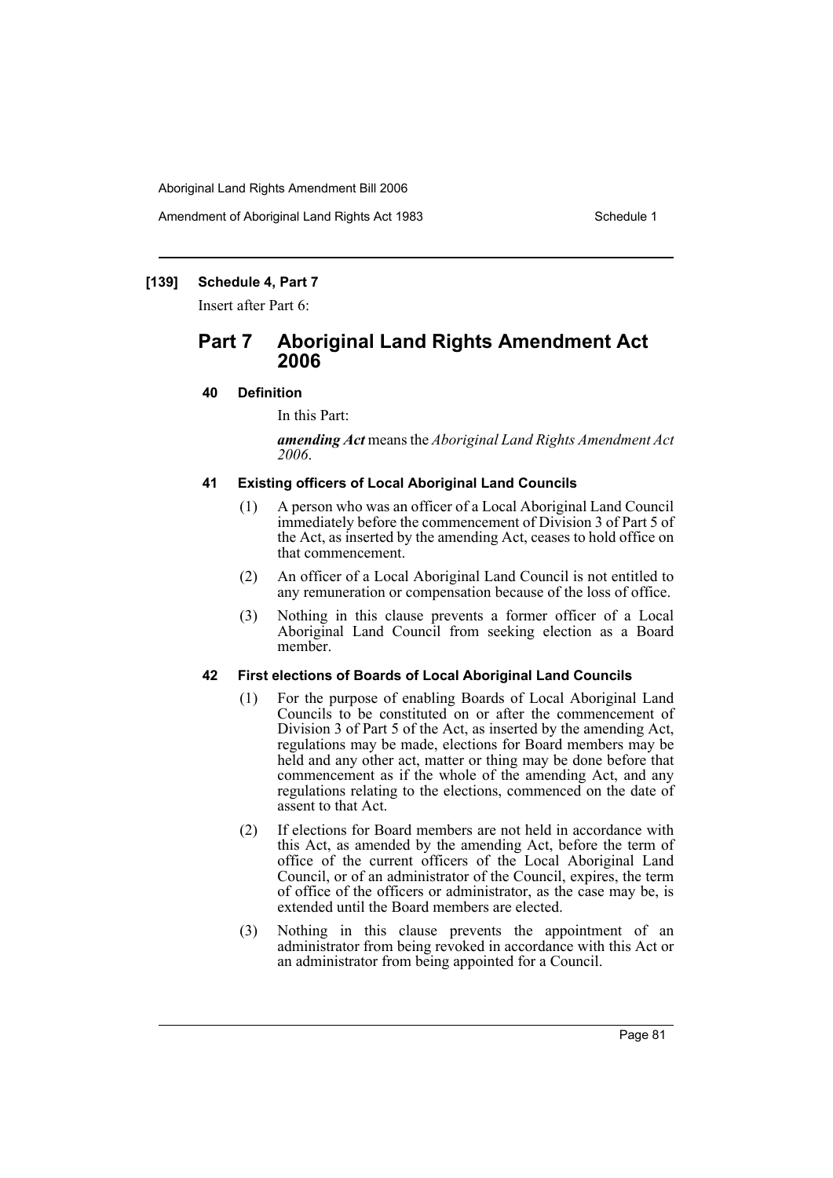Amendment of Aboriginal Land Rights Act 1983 Schedule 1

# **[139] Schedule 4, Part 7**

Insert after Part 6:

# **Part 7 Aboriginal Land Rights Amendment Act 2006**

# **40 Definition**

In this Part:

*amending Act* means the *Aboriginal Land Rights Amendment Act 2006*.

# **41 Existing officers of Local Aboriginal Land Councils**

- (1) A person who was an officer of a Local Aboriginal Land Council immediately before the commencement of Division 3 of Part 5 of the Act, as inserted by the amending Act, ceases to hold office on that commencement.
- (2) An officer of a Local Aboriginal Land Council is not entitled to any remuneration or compensation because of the loss of office.
- (3) Nothing in this clause prevents a former officer of a Local Aboriginal Land Council from seeking election as a Board member.

# **42 First elections of Boards of Local Aboriginal Land Councils**

- (1) For the purpose of enabling Boards of Local Aboriginal Land Councils to be constituted on or after the commencement of Division 3 of Part 5 of the Act, as inserted by the amending Act, regulations may be made, elections for Board members may be held and any other act, matter or thing may be done before that commencement as if the whole of the amending Act, and any regulations relating to the elections, commenced on the date of assent to that Act.
- (2) If elections for Board members are not held in accordance with this Act, as amended by the amending Act, before the term of office of the current officers of the Local Aboriginal Land Council, or of an administrator of the Council, expires, the term of office of the officers or administrator, as the case may be, is extended until the Board members are elected.
- (3) Nothing in this clause prevents the appointment of an administrator from being revoked in accordance with this Act or an administrator from being appointed for a Council.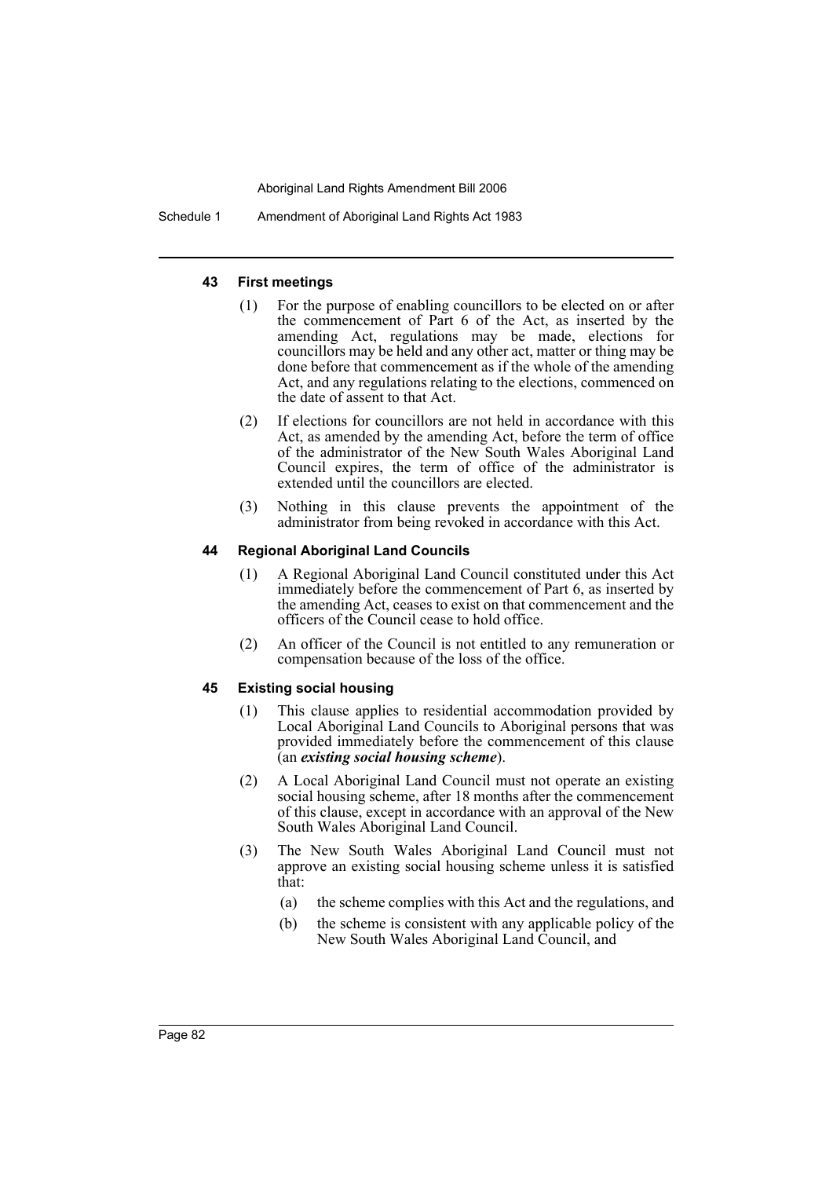Schedule 1 Amendment of Aboriginal Land Rights Act 1983

### **43 First meetings**

- (1) For the purpose of enabling councillors to be elected on or after the commencement of Part 6 of the Act, as inserted by the amending Act, regulations may be made, elections for councillors may be held and any other act, matter or thing may be done before that commencement as if the whole of the amending Act, and any regulations relating to the elections, commenced on the date of assent to that Act.
- (2) If elections for councillors are not held in accordance with this Act, as amended by the amending Act, before the term of office of the administrator of the New South Wales Aboriginal Land Council expires, the term of office of the administrator is extended until the councillors are elected.
- (3) Nothing in this clause prevents the appointment of the administrator from being revoked in accordance with this Act.

### **44 Regional Aboriginal Land Councils**

- (1) A Regional Aboriginal Land Council constituted under this Act immediately before the commencement of Part 6, as inserted by the amending Act, ceases to exist on that commencement and the officers of the Council cease to hold office.
- (2) An officer of the Council is not entitled to any remuneration or compensation because of the loss of the office.

### **45 Existing social housing**

- (1) This clause applies to residential accommodation provided by Local Aboriginal Land Councils to Aboriginal persons that was provided immediately before the commencement of this clause (an *existing social housing scheme*).
- (2) A Local Aboriginal Land Council must not operate an existing social housing scheme, after 18 months after the commencement of this clause, except in accordance with an approval of the New South Wales Aboriginal Land Council.
- (3) The New South Wales Aboriginal Land Council must not approve an existing social housing scheme unless it is satisfied that:
	- (a) the scheme complies with this Act and the regulations, and
	- (b) the scheme is consistent with any applicable policy of the New South Wales Aboriginal Land Council, and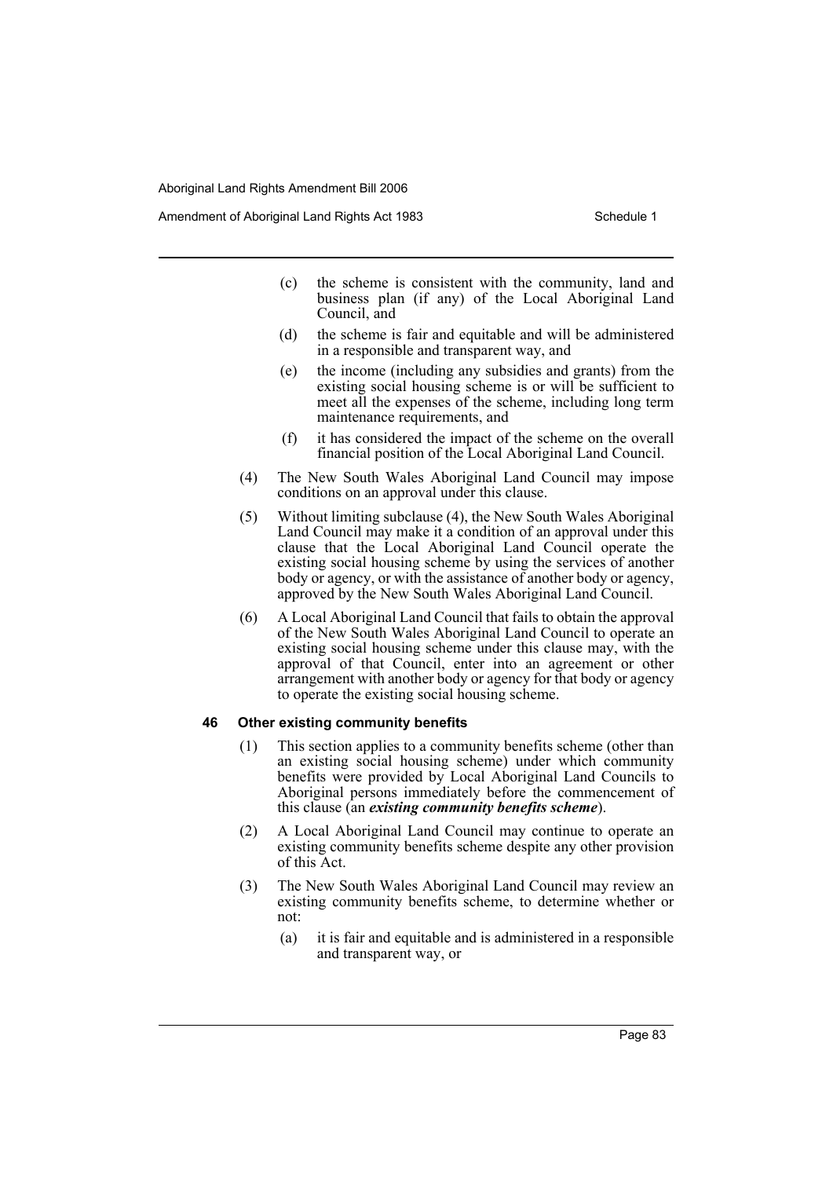Amendment of Aboriginal Land Rights Act 1983 Schedule 1

- (c) the scheme is consistent with the community, land and business plan (if any) of the Local Aboriginal Land Council, and
- (d) the scheme is fair and equitable and will be administered in a responsible and transparent way, and
- (e) the income (including any subsidies and grants) from the existing social housing scheme is or will be sufficient to meet all the expenses of the scheme, including long term maintenance requirements, and
- (f) it has considered the impact of the scheme on the overall financial position of the Local Aboriginal Land Council.
- (4) The New South Wales Aboriginal Land Council may impose conditions on an approval under this clause.
- (5) Without limiting subclause (4), the New South Wales Aboriginal Land Council may make it a condition of an approval under this clause that the Local Aboriginal Land Council operate the existing social housing scheme by using the services of another body or agency, or with the assistance of another body or agency, approved by the New South Wales Aboriginal Land Council.
- (6) A Local Aboriginal Land Council that fails to obtain the approval of the New South Wales Aboriginal Land Council to operate an existing social housing scheme under this clause may, with the approval of that Council, enter into an agreement or other arrangement with another body or agency for that body or agency to operate the existing social housing scheme.

#### **46 Other existing community benefits**

- (1) This section applies to a community benefits scheme (other than an existing social housing scheme) under which community benefits were provided by Local Aboriginal Land Councils to Aboriginal persons immediately before the commencement of this clause (an *existing community benefits scheme*).
- (2) A Local Aboriginal Land Council may continue to operate an existing community benefits scheme despite any other provision of this Act.
- (3) The New South Wales Aboriginal Land Council may review an existing community benefits scheme, to determine whether or not:
	- (a) it is fair and equitable and is administered in a responsible and transparent way, or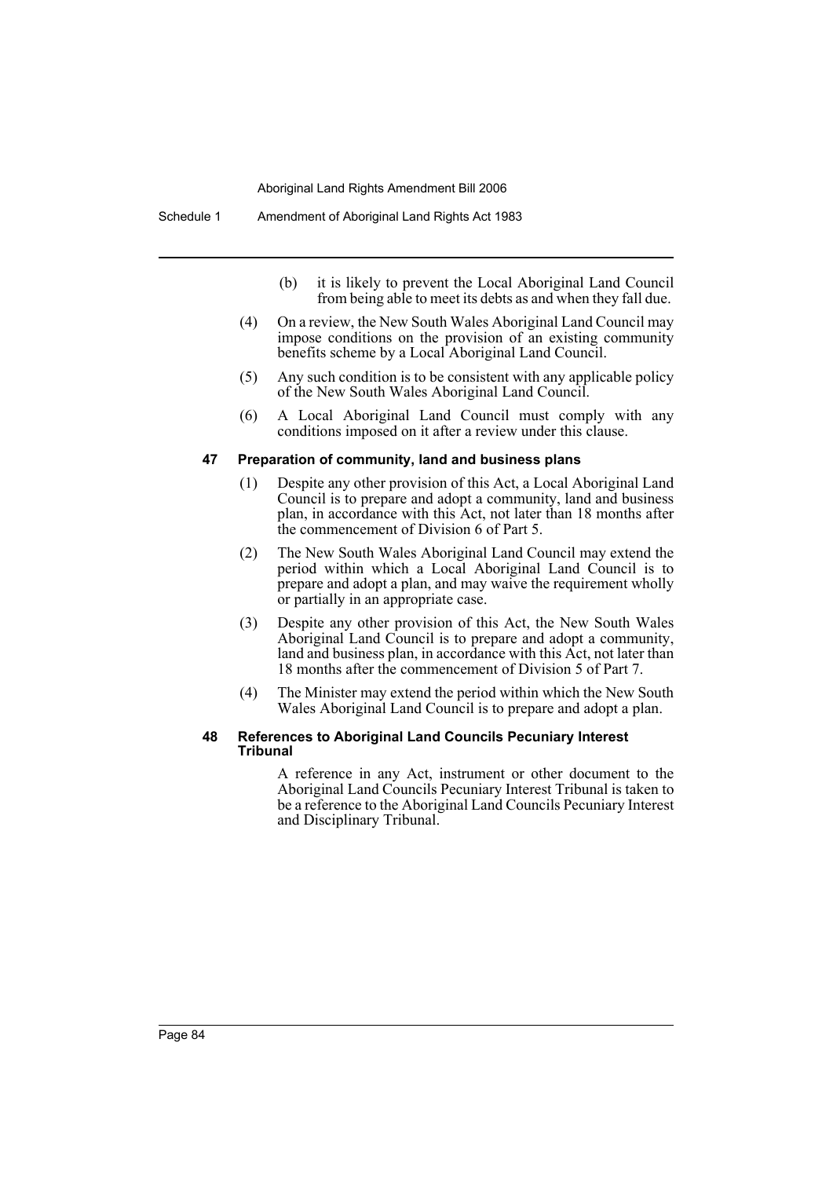- (b) it is likely to prevent the Local Aboriginal Land Council from being able to meet its debts as and when they fall due.
- (4) On a review, the New South Wales Aboriginal Land Council may impose conditions on the provision of an existing community benefits scheme by a Local Aboriginal Land Council.
- (5) Any such condition is to be consistent with any applicable policy of the New South Wales Aboriginal Land Council.
- (6) A Local Aboriginal Land Council must comply with any conditions imposed on it after a review under this clause.

#### **47 Preparation of community, land and business plans**

- (1) Despite any other provision of this Act, a Local Aboriginal Land Council is to prepare and adopt a community, land and business plan, in accordance with this Act, not later than 18 months after the commencement of Division 6 of Part 5.
- (2) The New South Wales Aboriginal Land Council may extend the period within which a Local Aboriginal Land Council is to prepare and adopt a plan, and may waive the requirement wholly or partially in an appropriate case.
- (3) Despite any other provision of this Act, the New South Wales Aboriginal Land Council is to prepare and adopt a community, land and business plan, in accordance with this Act, not later than 18 months after the commencement of Division 5 of Part 7.
- (4) The Minister may extend the period within which the New South Wales Aboriginal Land Council is to prepare and adopt a plan.

#### **48 References to Aboriginal Land Councils Pecuniary Interest Tribunal**

A reference in any Act, instrument or other document to the Aboriginal Land Councils Pecuniary Interest Tribunal is taken to be a reference to the Aboriginal Land Councils Pecuniary Interest and Disciplinary Tribunal.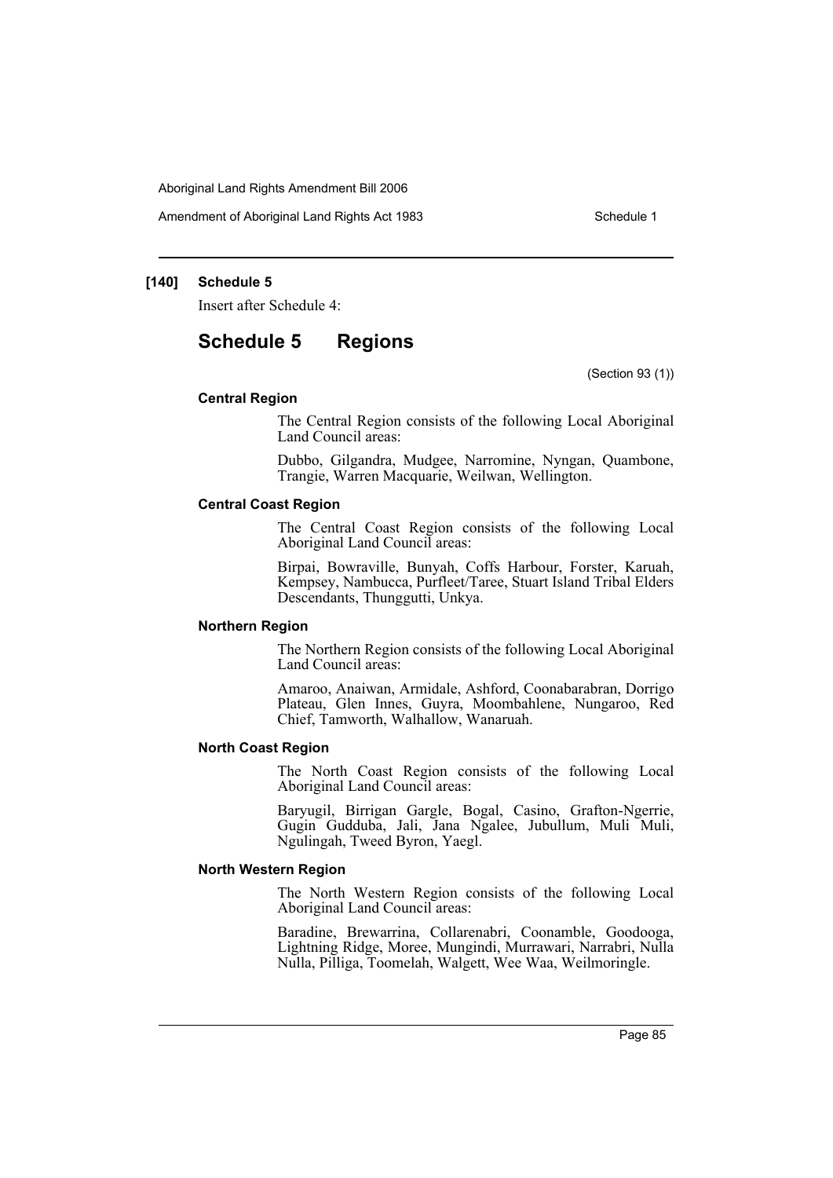Amendment of Aboriginal Land Rights Act 1983 Schedule 1

### **[140] Schedule 5**

Insert after Schedule 4:

# **Schedule 5 Regions**

(Section 93 (1))

#### **Central Region**

The Central Region consists of the following Local Aboriginal Land Council areas:

Dubbo, Gilgandra, Mudgee, Narromine, Nyngan, Quambone, Trangie, Warren Macquarie, Weilwan, Wellington.

#### **Central Coast Region**

The Central Coast Region consists of the following Local Aboriginal Land Council areas:

Birpai, Bowraville, Bunyah, Coffs Harbour, Forster, Karuah, Kempsey, Nambucca, Purfleet/Taree, Stuart Island Tribal Elders Descendants, Thunggutti, Unkya.

#### **Northern Region**

The Northern Region consists of the following Local Aboriginal Land Council areas:

Amaroo, Anaiwan, Armidale, Ashford, Coonabarabran, Dorrigo Plateau, Glen Innes, Guyra, Moombahlene, Nungaroo, Red Chief, Tamworth, Walhallow, Wanaruah.

#### **North Coast Region**

The North Coast Region consists of the following Local Aboriginal Land Council areas:

Baryugil, Birrigan Gargle, Bogal, Casino, Grafton-Ngerrie, Gugin Gudduba, Jali, Jana Ngalee, Jubullum, Muli Muli, Ngulingah, Tweed Byron, Yaegl.

#### **North Western Region**

The North Western Region consists of the following Local Aboriginal Land Council areas:

Baradine, Brewarrina, Collarenabri, Coonamble, Goodooga, Lightning Ridge, Moree, Mungindi, Murrawari, Narrabri, Nulla Nulla, Pilliga, Toomelah, Walgett, Wee Waa, Weilmoringle.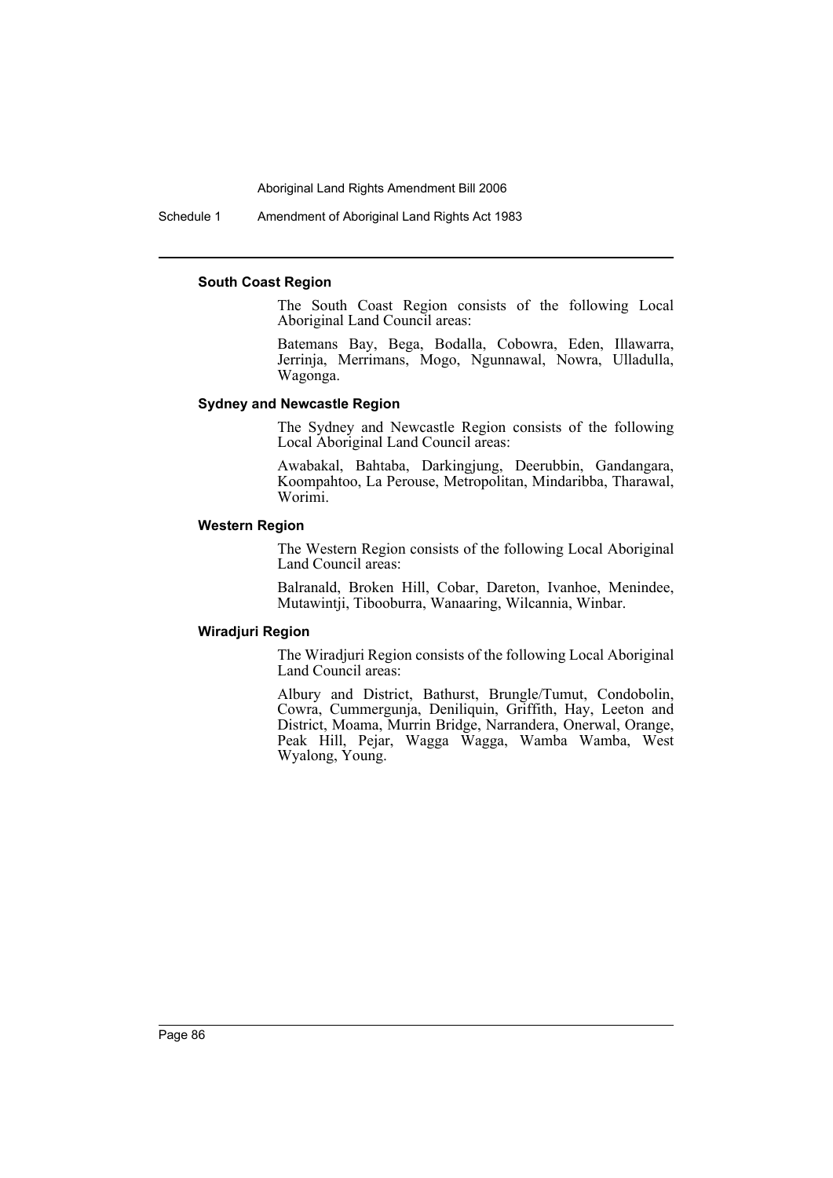Schedule 1 Amendment of Aboriginal Land Rights Act 1983

#### **South Coast Region**

The South Coast Region consists of the following Local Aboriginal Land Council areas:

Batemans Bay, Bega, Bodalla, Cobowra, Eden, Illawarra, Jerrinja, Merrimans, Mogo, Ngunnawal, Nowra, Ulladulla, Wagonga.

#### **Sydney and Newcastle Region**

The Sydney and Newcastle Region consists of the following Local Aboriginal Land Council areas:

Awabakal, Bahtaba, Darkingjung, Deerubbin, Gandangara, Koompahtoo, La Perouse, Metropolitan, Mindaribba, Tharawal, Worimi.

#### **Western Region**

The Western Region consists of the following Local Aboriginal Land Council areas:

Balranald, Broken Hill, Cobar, Dareton, Ivanhoe, Menindee, Mutawintji, Tibooburra, Wanaaring, Wilcannia, Winbar.

### **Wiradjuri Region**

The Wiradjuri Region consists of the following Local Aboriginal Land Council areas:

Albury and District, Bathurst, Brungle/Tumut, Condobolin, Cowra, Cummergunja, Deniliquin, Griffith, Hay, Leeton and District, Moama, Murrin Bridge, Narrandera, Onerwal, Orange, Peak Hill, Pejar, Wagga Wagga, Wamba Wamba, West Wyalong, Young.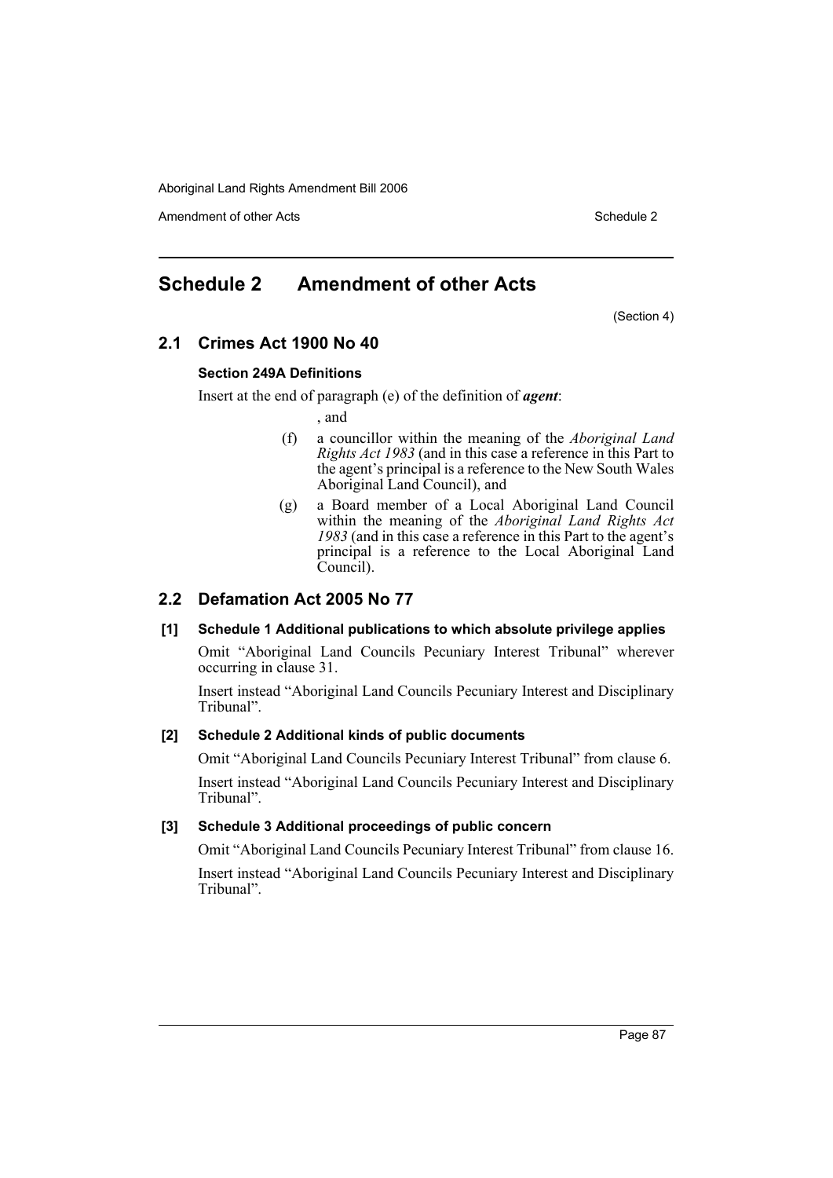Amendment of other Acts **Schedule 2** and the 2 and the 2 and 2 and 2 and 2 and 2 and 2 and 2 and 2 and 2 and 2 and 2 and 2 and 2 and 2 and 2 and 2 and 2 and 2 and 2 and 2 and 2 and 2 and 2 and 2 and 2 and 2 and 2 and 2 and

# **Schedule 2 Amendment of other Acts**

(Section 4)

# **2.1 Crimes Act 1900 No 40**

## **Section 249A Definitions**

Insert at the end of paragraph (e) of the definition of *agent*:

, and

- (f) a councillor within the meaning of the *Aboriginal Land Rights Act 1983* (and in this case a reference in this Part to the agent's principal is a reference to the New South Wales Aboriginal Land Council), and
- (g) a Board member of a Local Aboriginal Land Council within the meaning of the *Aboriginal Land Rights Act 1983* (and in this case a reference in this Part to the agent's principal is a reference to the Local Aboriginal Land Council).

# **2.2 Defamation Act 2005 No 77**

# **[1] Schedule 1 Additional publications to which absolute privilege applies**

Omit "Aboriginal Land Councils Pecuniary Interest Tribunal" wherever occurring in clause 31.

Insert instead "Aboriginal Land Councils Pecuniary Interest and Disciplinary Tribunal".

## **[2] Schedule 2 Additional kinds of public documents**

Omit "Aboriginal Land Councils Pecuniary Interest Tribunal" from clause 6.

Insert instead "Aboriginal Land Councils Pecuniary Interest and Disciplinary Tribunal".

### **[3] Schedule 3 Additional proceedings of public concern**

Omit "Aboriginal Land Councils Pecuniary Interest Tribunal" from clause 16. Insert instead "Aboriginal Land Councils Pecuniary Interest and Disciplinary Tribunal".